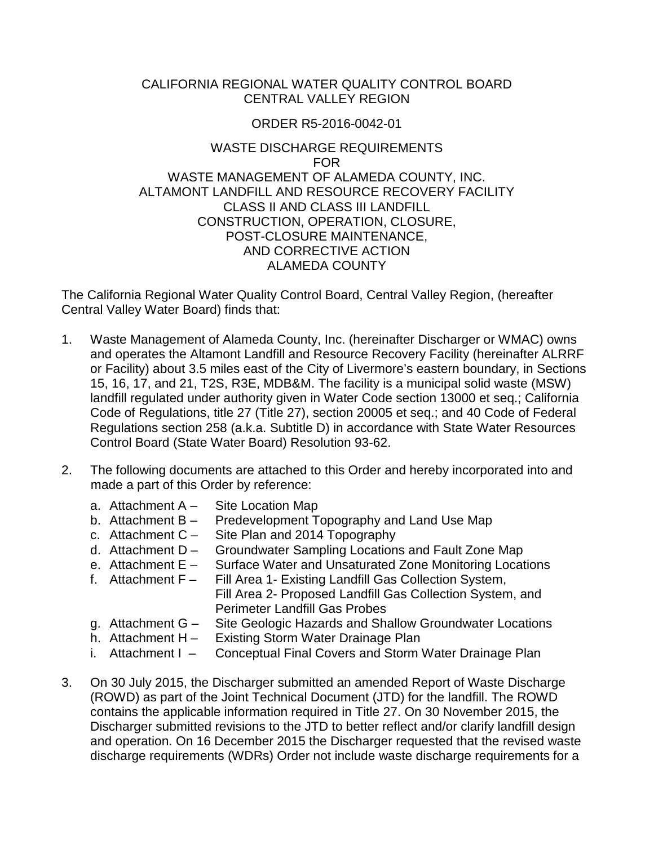#### CALIFORNIA REGIONAL WATER QUALITY CONTROL BOARD CENTRAL VALLEY REGION

#### ORDER R5-2016-0042-01

#### WASTE DISCHARGE REQUIREMENTS FOR WASTE MANAGEMENT OF ALAMEDA COUNTY, INC. ALTAMONT LANDFILL AND RESOURCE RECOVERY FACILITY CLASS II AND CLASS III LANDFILL CONSTRUCTION, OPERATION, CLOSURE, POST-CLOSURE MAINTENANCE, AND CORRECTIVE ACTION ALAMEDA COUNTY

The California Regional Water Quality Control Board, Central Valley Region, (hereafter Central Valley Water Board) finds that:

- 1. Waste Management of Alameda County, Inc. (hereinafter Discharger or WMAC) owns and operates the Altamont Landfill and Resource Recovery Facility (hereinafter ALRRF or Facility) about 3.5 miles east of the City of Livermore's eastern boundary, in Sections 15, 16, 17, and 21, T2S, R3E, MDB&M. The facility is a municipal solid waste (MSW) landfill regulated under authority given in Water Code section 13000 et seq.; California Code of Regulations, title 27 (Title 27), section 20005 et seq.; and 40 Code of Federal Regulations section 258 (a.k.a. Subtitle D) in accordance with State Water Resources Control Board (State Water Board) Resolution 93-62.
- 2. The following documents are attached to this Order and hereby incorporated into and made a part of this Order by reference:
	- a. Attachment A Site Location Map
	- b. Attachment B Predevelopment Topography and Land Use Map
	- c. Attachment C Site Plan and 2014 Topography
	- d. Attachment D Groundwater Sampling Locations and Fault Zone Map e. Attachment E Surface Water and Unsaturated Zone Monitoring Locat
	- Surface Water and Unsaturated Zone Monitoring Locations
	- f. Attachment F Fill Area 1- Existing Landfill Gas Collection System, Fill Area 2- Proposed Landfill Gas Collection System, and Perimeter Landfill Gas Probes
	- g. Attachment G Site Geologic Hazards and Shallow Groundwater Locations
	- h. Attachment H Existing Storm Water Drainage Plan
	- i. Attachment I Conceptual Final Covers and Storm Water Drainage Plan
- 3. On 30 July 2015, the Discharger submitted an amended Report of Waste Discharge (ROWD) as part of the Joint Technical Document (JTD) for the landfill. The ROWD contains the applicable information required in Title 27. On 30 November 2015, the Discharger submitted revisions to the JTD to better reflect and/or clarify landfill design and operation. On 16 December 2015 the Discharger requested that the revised waste discharge requirements (WDRs) Order not include waste discharge requirements for a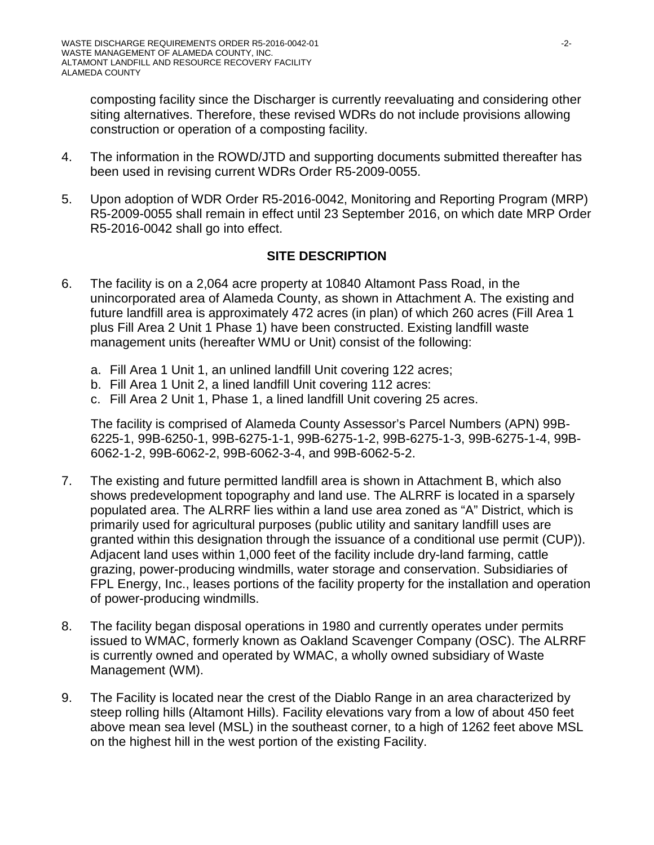composting facility since the Discharger is currently reevaluating and considering other siting alternatives. Therefore, these revised WDRs do not include provisions allowing construction or operation of a composting facility.

- 4. The information in the ROWD/JTD and supporting documents submitted thereafter has been used in revising current WDRs Order R5-2009-0055.
- 5. Upon adoption of WDR Order R5-2016-0042, Monitoring and Reporting Program (MRP) R5-2009-0055 shall remain in effect until 23 September 2016, on which date MRP Order R5-2016-0042 shall go into effect.

# **SITE DESCRIPTION**

- 6. The facility is on a 2,064 acre property at 10840 Altamont Pass Road, in the unincorporated area of Alameda County, as shown in Attachment A. The existing and future landfill area is approximately 472 acres (in plan) of which 260 acres (Fill Area 1 plus Fill Area 2 Unit 1 Phase 1) have been constructed. Existing landfill waste management units (hereafter WMU or Unit) consist of the following:
	- a. Fill Area 1 Unit 1, an unlined landfill Unit covering 122 acres;
	- b. Fill Area 1 Unit 2, a lined landfill Unit covering 112 acres:
	- c. Fill Area 2 Unit 1, Phase 1, a lined landfill Unit covering 25 acres.

The facility is comprised of Alameda County Assessor's Parcel Numbers (APN) 99B-6225-1, 99B-6250-1, 99B-6275-1-1, 99B-6275-1-2, 99B-6275-1-3, 99B-6275-1-4, 99B-6062-1-2, 99B-6062-2, 99B-6062-3-4, and 99B-6062-5-2.

- 7. The existing and future permitted landfill area is shown in Attachment B, which also shows predevelopment topography and land use. The ALRRF is located in a sparsely populated area. The ALRRF lies within a land use area zoned as "A" District, which is primarily used for agricultural purposes (public utility and sanitary landfill uses are granted within this designation through the issuance of a conditional use permit (CUP)). Adjacent land uses within 1,000 feet of the facility include dry-land farming, cattle grazing, power-producing windmills, water storage and conservation. Subsidiaries of FPL Energy, Inc., leases portions of the facility property for the installation and operation of power-producing windmills.
- 8. The facility began disposal operations in 1980 and currently operates under permits issued to WMAC, formerly known as Oakland Scavenger Company (OSC). The ALRRF is currently owned and operated by WMAC, a wholly owned subsidiary of Waste Management (WM).
- 9. The Facility is located near the crest of the Diablo Range in an area characterized by steep rolling hills (Altamont Hills). Facility elevations vary from a low of about 450 feet above mean sea level (MSL) in the southeast corner, to a high of 1262 feet above MSL on the highest hill in the west portion of the existing Facility.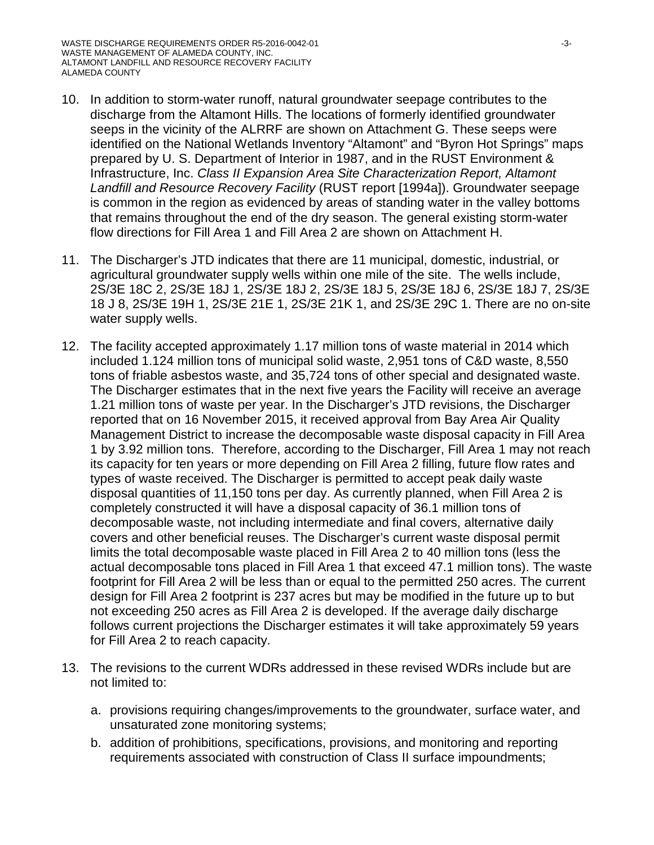- 10. In addition to storm-water runoff, natural groundwater seepage contributes to the discharge from the Altamont Hills. The locations of formerly identified groundwater seeps in the vicinity of the ALRRF are shown on Attachment G. These seeps were identified on the National Wetlands Inventory "Altamont" and "Byron Hot Springs" maps prepared by U. S. Department of Interior in 1987, and in the RUST Environment & Infrastructure, Inc. *Class II Expansion Area Site Characterization Report, Altamont Landfill and Resource Recovery Facility* (RUST report [1994a]). Groundwater seepage is common in the region as evidenced by areas of standing water in the valley bottoms that remains throughout the end of the dry season. The general existing storm-water flow directions for Fill Area 1 and Fill Area 2 are shown on Attachment H.
- 11. The Discharger's JTD indicates that there are 11 municipal, domestic, industrial, or agricultural groundwater supply wells within one mile of the site. The wells include, 2S/3E 18C 2, 2S/3E 18J 1, 2S/3E 18J 2, 2S/3E 18J 5, 2S/3E 18J 6, 2S/3E 18J 7, 2S/3E 18 J 8, 2S/3E 19H 1, 2S/3E 21E 1, 2S/3E 21K 1, and 2S/3E 29C 1. There are no on-site water supply wells.
- 12. The facility accepted approximately 1.17 million tons of waste material in 2014 which included 1.124 million tons of municipal solid waste, 2,951 tons of C&D waste, 8,550 tons of friable asbestos waste, and 35,724 tons of other special and designated waste. The Discharger estimates that in the next five years the Facility will receive an average 1.21 million tons of waste per year. In the Discharger's JTD revisions, the Discharger reported that on 16 November 2015, it received approval from Bay Area Air Quality Management District to increase the decomposable waste disposal capacity in Fill Area 1 by 3.92 million tons. Therefore, according to the Discharger, Fill Area 1 may not reach its capacity for ten years or more depending on Fill Area 2 filling, future flow rates and types of waste received. The Discharger is permitted to accept peak daily waste disposal quantities of 11,150 tons per day. As currently planned, when Fill Area 2 is completely constructed it will have a disposal capacity of 36.1 million tons of decomposable waste, not including intermediate and final covers, alternative daily covers and other beneficial reuses. The Discharger's current waste disposal permit limits the total decomposable waste placed in Fill Area 2 to 40 million tons (less the actual decomposable tons placed in Fill Area 1 that exceed 47.1 million tons). The waste footprint for Fill Area 2 will be less than or equal to the permitted 250 acres. The current design for Fill Area 2 footprint is 237 acres but may be modified in the future up to but not exceeding 250 acres as Fill Area 2 is developed. If the average daily discharge follows current projections the Discharger estimates it will take approximately 59 years for Fill Area 2 to reach capacity.
- 13. The revisions to the current WDRs addressed in these revised WDRs include but are not limited to:
	- a. provisions requiring changes/improvements to the groundwater, surface water, and unsaturated zone monitoring systems;
	- b. addition of prohibitions, specifications, provisions, and monitoring and reporting requirements associated with construction of Class II surface impoundments;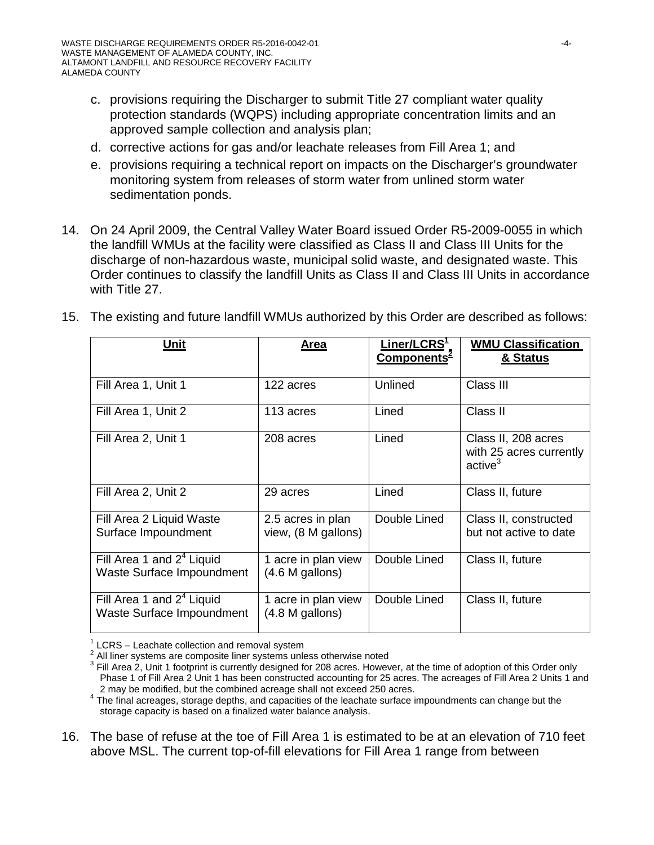- c. provisions requiring the Discharger to submit Title 27 compliant water quality protection standards (WQPS) including appropriate concentration limits and an approved sample collection and analysis plan;
- d. corrective actions for gas and/or leachate releases from Fill Area 1; and
- e. provisions requiring a technical report on impacts on the Discharger's groundwater monitoring system from releases of storm water from unlined storm water sedimentation ponds.
- 14. On 24 April 2009, the Central Valley Water Board issued Order R5-2009-0055 in which the landfill WMUs at the facility were classified as Class II and Class III Units for the discharge of non-hazardous waste, municipal solid waste, and designated waste. This Order continues to classify the landfill Units as Class II and Class III Units in accordance with Title 27.

| Unit                                                     | Area                                     | Liner/LCRS <del>'</del><br>Components <sup>2</sup> | <b>WMU Classification</b><br>& Status                                 |
|----------------------------------------------------------|------------------------------------------|----------------------------------------------------|-----------------------------------------------------------------------|
| Fill Area 1, Unit 1                                      | 122 acres                                | Unlined                                            | Class III                                                             |
| Fill Area 1, Unit 2                                      | 113 acres                                | Lined                                              | Class II                                                              |
| Fill Area 2, Unit 1                                      | 208 acres                                | Lined                                              | Class II, 208 acres<br>with 25 acres currently<br>active <sup>3</sup> |
| Fill Area 2, Unit 2                                      | 29 acres                                 | Lined                                              | Class II, future                                                      |
| Fill Area 2 Liquid Waste<br>Surface Impoundment          | 2.5 acres in plan<br>view, (8 M gallons) | Double Lined                                       | Class II, constructed<br>but not active to date                       |
| Fill Area 1 and $24$ Liquid<br>Waste Surface Impoundment | 1 acre in plan view<br>(4.6 M gallons)   | Double Lined                                       | Class II, future                                                      |
| Fill Area 1 and $24$ Liquid<br>Waste Surface Impoundment | 1 acre in plan view<br>(4.8 M galons)    | Double Lined                                       | Class II, future                                                      |

15. The existing and future landfill WMUs authorized by this Order are described as follows:

16. The base of refuse at the toe of Fill Area 1 is estimated to be at an elevation of 710 feet above MSL. The current top-of-fill elevations for Fill Area 1 range from between

<sup>&</sup>lt;sup>1</sup> LCRS – Leachate collection and removal system<br>
<sup>2</sup> All liner systems are composite liner systems unless otherwise noted<br>
<sup>3</sup> Fill Area 2, Unit 1 footprint is currently designed for 208 acres. However, at the time of a Phase 1 of Fill Area 2 Unit 1 has been constructed accounting for 25 acres. The acreages of Fill Area 2 Units 1 and

<sup>2</sup> may be modified, but the combined acreage shall not exceed 250 acres.<br><sup>4</sup> The final acreages, storage depths, and capacities of the leachate surface impoundments can change but the storage capacity is based on a finalized water balance analysis.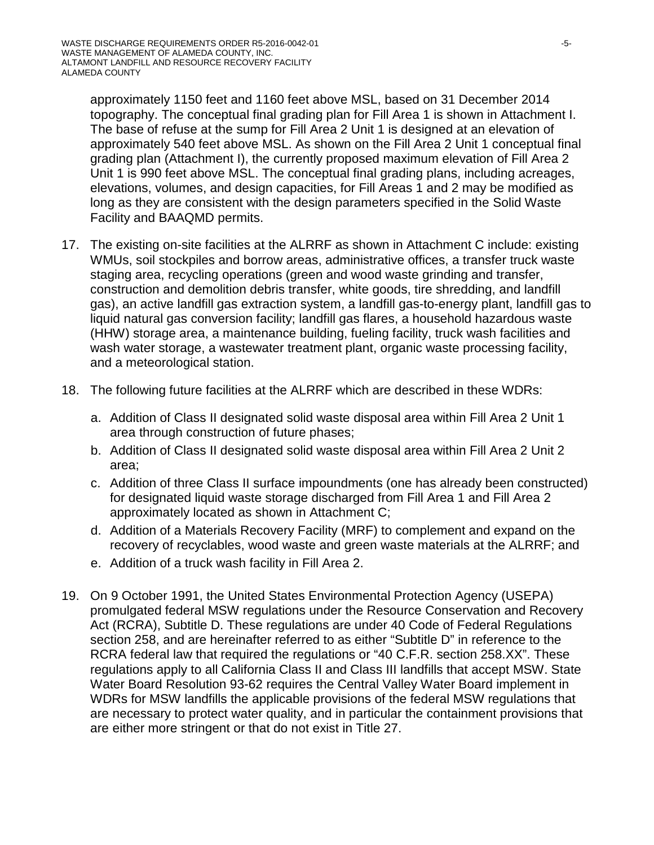approximately 1150 feet and 1160 feet above MSL, based on 31 December 2014 topography. The conceptual final grading plan for Fill Area 1 is shown in Attachment I. The base of refuse at the sump for Fill Area 2 Unit 1 is designed at an elevation of approximately 540 feet above MSL. As shown on the Fill Area 2 Unit 1 conceptual final grading plan (Attachment I), the currently proposed maximum elevation of Fill Area 2 Unit 1 is 990 feet above MSL. The conceptual final grading plans, including acreages, elevations, volumes, and design capacities, for Fill Areas 1 and 2 may be modified as long as they are consistent with the design parameters specified in the Solid Waste Facility and BAAQMD permits.

- 17. The existing on-site facilities at the ALRRF as shown in Attachment C include: existing WMUs, soil stockpiles and borrow areas, administrative offices, a transfer truck waste staging area, recycling operations (green and wood waste grinding and transfer, construction and demolition debris transfer, white goods, tire shredding, and landfill gas), an active landfill gas extraction system, a landfill gas-to-energy plant, landfill gas to liquid natural gas conversion facility; landfill gas flares, a household hazardous waste (HHW) storage area, a maintenance building, fueling facility, truck wash facilities and wash water storage, a wastewater treatment plant, organic waste processing facility, and a meteorological station.
- 18. The following future facilities at the ALRRF which are described in these WDRs:
	- a. Addition of Class II designated solid waste disposal area within Fill Area 2 Unit 1 area through construction of future phases;
	- b. Addition of Class II designated solid waste disposal area within Fill Area 2 Unit 2 area;
	- c. Addition of three Class II surface impoundments (one has already been constructed) for designated liquid waste storage discharged from Fill Area 1 and Fill Area 2 approximately located as shown in Attachment C;
	- d. Addition of a Materials Recovery Facility (MRF) to complement and expand on the recovery of recyclables, wood waste and green waste materials at the ALRRF; and
	- e. Addition of a truck wash facility in Fill Area 2.
- 19. On 9 October 1991, the United States Environmental Protection Agency (USEPA) promulgated federal MSW regulations under the Resource Conservation and Recovery Act (RCRA), Subtitle D. These regulations are under 40 Code of Federal Regulations section 258, and are hereinafter referred to as either "Subtitle D" in reference to the RCRA federal law that required the regulations or "40 C.F.R. section 258.XX". These regulations apply to all California Class II and Class III landfills that accept MSW. State Water Board Resolution 93-62 requires the Central Valley Water Board implement in WDRs for MSW landfills the applicable provisions of the federal MSW regulations that are necessary to protect water quality, and in particular the containment provisions that are either more stringent or that do not exist in Title 27.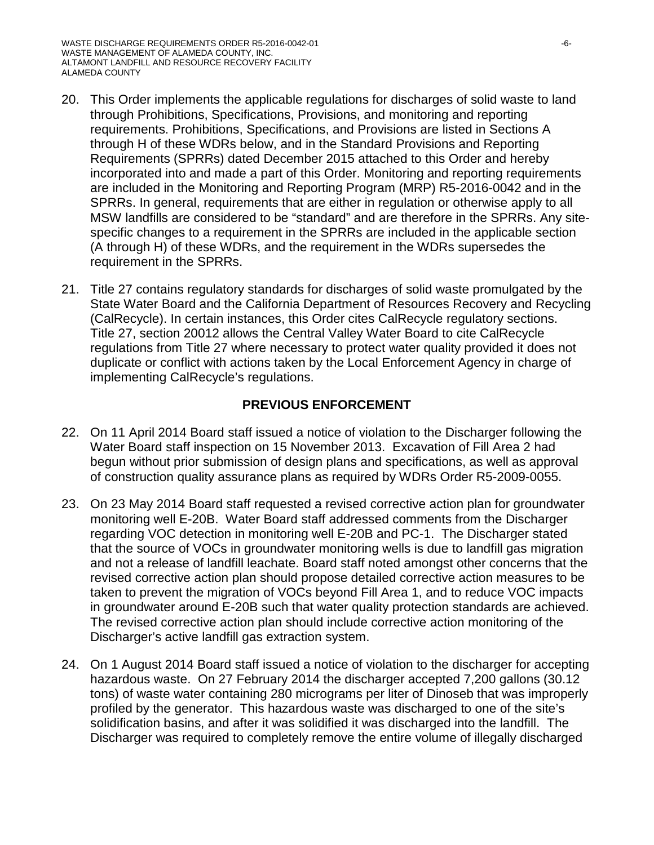- 20. This Order implements the applicable regulations for discharges of solid waste to land through Prohibitions, Specifications, Provisions, and monitoring and reporting requirements. Prohibitions, Specifications, and Provisions are listed in Sections A through H of these WDRs below, and in the Standard Provisions and Reporting Requirements (SPRRs) dated December 2015 attached to this Order and hereby incorporated into and made a part of this Order. Monitoring and reporting requirements are included in the Monitoring and Reporting Program (MRP) R5-2016-0042 and in the SPRRs. In general, requirements that are either in regulation or otherwise apply to all MSW landfills are considered to be "standard" and are therefore in the SPRRs. Any sitespecific changes to a requirement in the SPRRs are included in the applicable section (A through H) of these WDRs, and the requirement in the WDRs supersedes the requirement in the SPRRs.
- 21. Title 27 contains regulatory standards for discharges of solid waste promulgated by the State Water Board and the California Department of Resources Recovery and Recycling (CalRecycle). In certain instances, this Order cites CalRecycle regulatory sections. Title 27, section 20012 allows the Central Valley Water Board to cite CalRecycle regulations from Title 27 where necessary to protect water quality provided it does not duplicate or conflict with actions taken by the Local Enforcement Agency in charge of implementing CalRecycle's regulations.

### **PREVIOUS ENFORCEMENT**

- 22. On 11 April 2014 Board staff issued a notice of violation to the Discharger following the Water Board staff inspection on 15 November 2013. Excavation of Fill Area 2 had begun without prior submission of design plans and specifications, as well as approval of construction quality assurance plans as required by WDRs Order R5-2009-0055.
- 23. On 23 May 2014 Board staff requested a revised corrective action plan for groundwater monitoring well E-20B. Water Board staff addressed comments from the Discharger regarding VOC detection in monitoring well E-20B and PC-1. The Discharger stated that the source of VOCs in groundwater monitoring wells is due to landfill gas migration and not a release of landfill leachate. Board staff noted amongst other concerns that the revised corrective action plan should propose detailed corrective action measures to be taken to prevent the migration of VOCs beyond Fill Area 1, and to reduce VOC impacts in groundwater around E-20B such that water quality protection standards are achieved. The revised corrective action plan should include corrective action monitoring of the Discharger's active landfill gas extraction system.
- 24. On 1 August 2014 Board staff issued a notice of violation to the discharger for accepting hazardous waste. On 27 February 2014 the discharger accepted 7,200 gallons (30.12 tons) of waste water containing 280 micrograms per liter of Dinoseb that was improperly profiled by the generator. This hazardous waste was discharged to one of the site's solidification basins, and after it was solidified it was discharged into the landfill. The Discharger was required to completely remove the entire volume of illegally discharged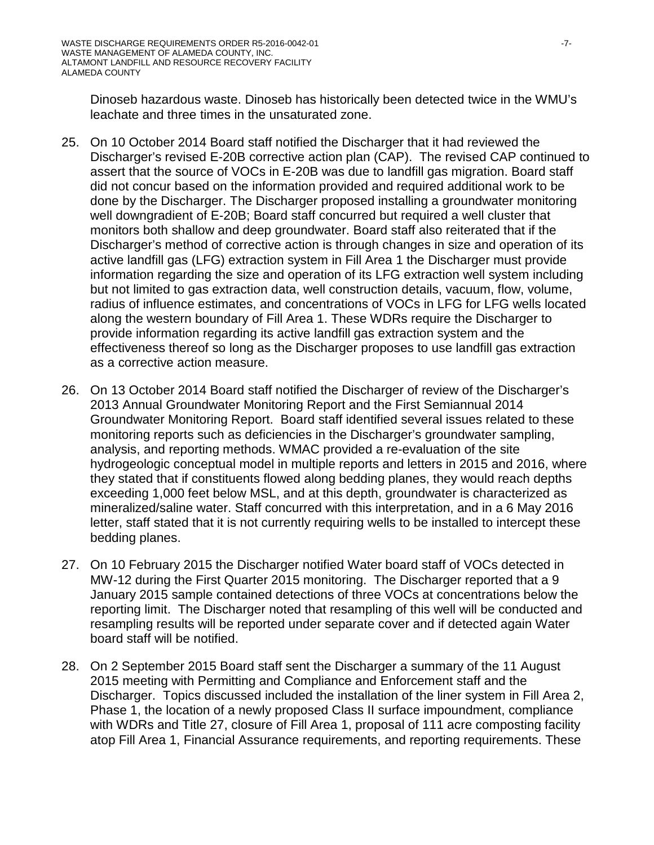Dinoseb hazardous waste. Dinoseb has historically been detected twice in the WMU's leachate and three times in the unsaturated zone.

- 25. On 10 October 2014 Board staff notified the Discharger that it had reviewed the Discharger's revised E-20B corrective action plan (CAP). The revised CAP continued to assert that the source of VOCs in E-20B was due to landfill gas migration. Board staff did not concur based on the information provided and required additional work to be done by the Discharger. The Discharger proposed installing a groundwater monitoring well downgradient of E-20B; Board staff concurred but required a well cluster that monitors both shallow and deep groundwater. Board staff also reiterated that if the Discharger's method of corrective action is through changes in size and operation of its active landfill gas (LFG) extraction system in Fill Area 1 the Discharger must provide information regarding the size and operation of its LFG extraction well system including but not limited to gas extraction data, well construction details, vacuum, flow, volume, radius of influence estimates, and concentrations of VOCs in LFG for LFG wells located along the western boundary of Fill Area 1. These WDRs require the Discharger to provide information regarding its active landfill gas extraction system and the effectiveness thereof so long as the Discharger proposes to use landfill gas extraction as a corrective action measure.
- 26. On 13 October 2014 Board staff notified the Discharger of review of the Discharger's 2013 Annual Groundwater Monitoring Report and the First Semiannual 2014 Groundwater Monitoring Report. Board staff identified several issues related to these monitoring reports such as deficiencies in the Discharger's groundwater sampling, analysis, and reporting methods. WMAC provided a re-evaluation of the site hydrogeologic conceptual model in multiple reports and letters in 2015 and 2016, where they stated that if constituents flowed along bedding planes, they would reach depths exceeding 1,000 feet below MSL, and at this depth, groundwater is characterized as mineralized/saline water. Staff concurred with this interpretation, and in a 6 May 2016 letter, staff stated that it is not currently requiring wells to be installed to intercept these bedding planes.
- 27. On 10 February 2015 the Discharger notified Water board staff of VOCs detected in MW-12 during the First Quarter 2015 monitoring. The Discharger reported that a 9 January 2015 sample contained detections of three VOCs at concentrations below the reporting limit. The Discharger noted that resampling of this well will be conducted and resampling results will be reported under separate cover and if detected again Water board staff will be notified.
- 28. On 2 September 2015 Board staff sent the Discharger a summary of the 11 August 2015 meeting with Permitting and Compliance and Enforcement staff and the Discharger. Topics discussed included the installation of the liner system in Fill Area 2, Phase 1, the location of a newly proposed Class II surface impoundment, compliance with WDRs and Title 27, closure of Fill Area 1, proposal of 111 acre composting facility atop Fill Area 1, Financial Assurance requirements, and reporting requirements. These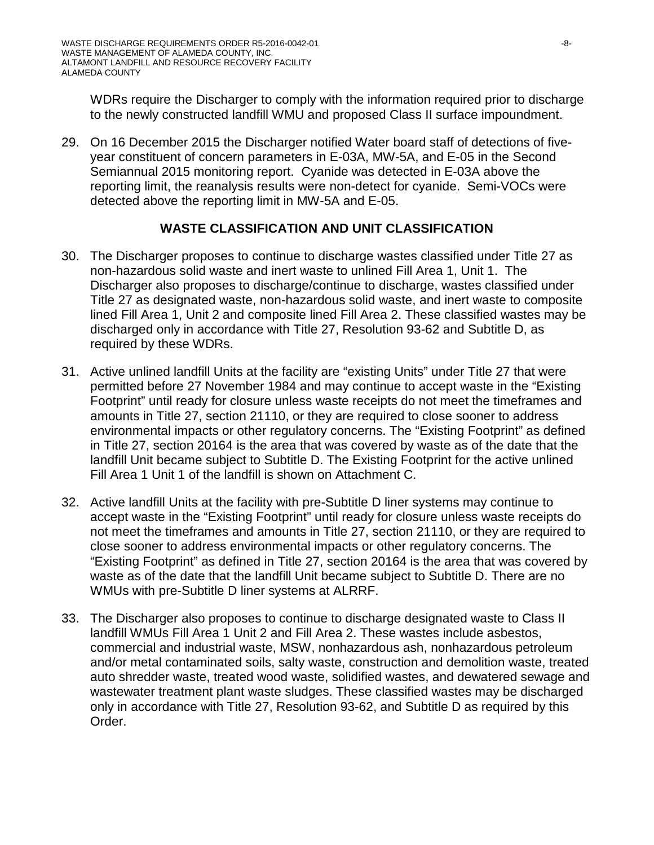WDRs require the Discharger to comply with the information required prior to discharge to the newly constructed landfill WMU and proposed Class II surface impoundment.

29. On 16 December 2015 the Discharger notified Water board staff of detections of fiveyear constituent of concern parameters in E-03A, MW-5A, and E-05 in the Second Semiannual 2015 monitoring report. Cyanide was detected in E-03A above the reporting limit, the reanalysis results were non-detect for cyanide. Semi-VOCs were detected above the reporting limit in MW-5A and E-05.

# **WASTE CLASSIFICATION AND UNIT CLASSIFICATION**

- 30. The Discharger proposes to continue to discharge wastes classified under Title 27 as non-hazardous solid waste and inert waste to unlined Fill Area 1, Unit 1. The Discharger also proposes to discharge/continue to discharge, wastes classified under Title 27 as designated waste, non-hazardous solid waste, and inert waste to composite lined Fill Area 1, Unit 2 and composite lined Fill Area 2. These classified wastes may be discharged only in accordance with Title 27, Resolution 93-62 and Subtitle D, as required by these WDRs.
- 31. Active unlined landfill Units at the facility are "existing Units" under Title 27 that were permitted before 27 November 1984 and may continue to accept waste in the "Existing Footprint" until ready for closure unless waste receipts do not meet the timeframes and amounts in Title 27, section 21110, or they are required to close sooner to address environmental impacts or other regulatory concerns. The "Existing Footprint" as defined in Title 27, section 20164 is the area that was covered by waste as of the date that the landfill Unit became subject to Subtitle D. The Existing Footprint for the active unlined Fill Area 1 Unit 1 of the landfill is shown on Attachment C.
- 32. Active landfill Units at the facility with pre-Subtitle D liner systems may continue to accept waste in the "Existing Footprint" until ready for closure unless waste receipts do not meet the timeframes and amounts in Title 27, section 21110, or they are required to close sooner to address environmental impacts or other regulatory concerns. The "Existing Footprint" as defined in Title 27, section 20164 is the area that was covered by waste as of the date that the landfill Unit became subject to Subtitle D. There are no WMUs with pre-Subtitle D liner systems at ALRRF.
- 33. The Discharger also proposes to continue to discharge designated waste to Class II landfill WMUs Fill Area 1 Unit 2 and Fill Area 2. These wastes include asbestos, commercial and industrial waste, MSW, nonhazardous ash, nonhazardous petroleum and/or metal contaminated soils, salty waste, construction and demolition waste, treated auto shredder waste, treated wood waste, solidified wastes, and dewatered sewage and wastewater treatment plant waste sludges. These classified wastes may be discharged only in accordance with Title 27, Resolution 93-62, and Subtitle D as required by this Order.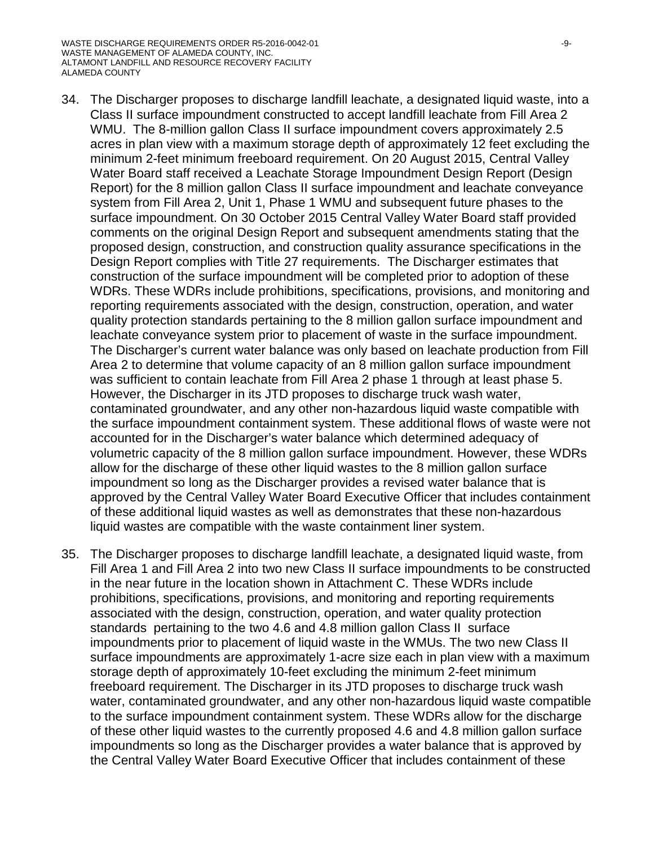- 34. The Discharger proposes to discharge landfill leachate, a designated liquid waste, into a Class II surface impoundment constructed to accept landfill leachate from Fill Area 2 WMU. The 8-million gallon Class II surface impoundment covers approximately 2.5 acres in plan view with a maximum storage depth of approximately 12 feet excluding the minimum 2-feet minimum freeboard requirement. On 20 August 2015, Central Valley Water Board staff received a Leachate Storage Impoundment Design Report (Design Report) for the 8 million gallon Class II surface impoundment and leachate conveyance system from Fill Area 2, Unit 1, Phase 1 WMU and subsequent future phases to the surface impoundment. On 30 October 2015 Central Valley Water Board staff provided comments on the original Design Report and subsequent amendments stating that the proposed design, construction, and construction quality assurance specifications in the Design Report complies with Title 27 requirements. The Discharger estimates that construction of the surface impoundment will be completed prior to adoption of these WDRs. These WDRs include prohibitions, specifications, provisions, and monitoring and reporting requirements associated with the design, construction, operation, and water quality protection standards pertaining to the 8 million gallon surface impoundment and leachate conveyance system prior to placement of waste in the surface impoundment. The Discharger's current water balance was only based on leachate production from Fill Area 2 to determine that volume capacity of an 8 million gallon surface impoundment was sufficient to contain leachate from Fill Area 2 phase 1 through at least phase 5. However, the Discharger in its JTD proposes to discharge truck wash water, contaminated groundwater, and any other non-hazardous liquid waste compatible with the surface impoundment containment system. These additional flows of waste were not accounted for in the Discharger's water balance which determined adequacy of volumetric capacity of the 8 million gallon surface impoundment. However, these WDRs allow for the discharge of these other liquid wastes to the 8 million gallon surface impoundment so long as the Discharger provides a revised water balance that is approved by the Central Valley Water Board Executive Officer that includes containment of these additional liquid wastes as well as demonstrates that these non-hazardous liquid wastes are compatible with the waste containment liner system.
- 35. The Discharger proposes to discharge landfill leachate, a designated liquid waste, from Fill Area 1 and Fill Area 2 into two new Class II surface impoundments to be constructed in the near future in the location shown in Attachment C. These WDRs include prohibitions, specifications, provisions, and monitoring and reporting requirements associated with the design, construction, operation, and water quality protection standards pertaining to the two 4.6 and 4.8 million gallon Class II surface impoundments prior to placement of liquid waste in the WMUs. The two new Class II surface impoundments are approximately 1-acre size each in plan view with a maximum storage depth of approximately 10-feet excluding the minimum 2-feet minimum freeboard requirement. The Discharger in its JTD proposes to discharge truck wash water, contaminated groundwater, and any other non-hazardous liquid waste compatible to the surface impoundment containment system. These WDRs allow for the discharge of these other liquid wastes to the currently proposed 4.6 and 4.8 million gallon surface impoundments so long as the Discharger provides a water balance that is approved by the Central Valley Water Board Executive Officer that includes containment of these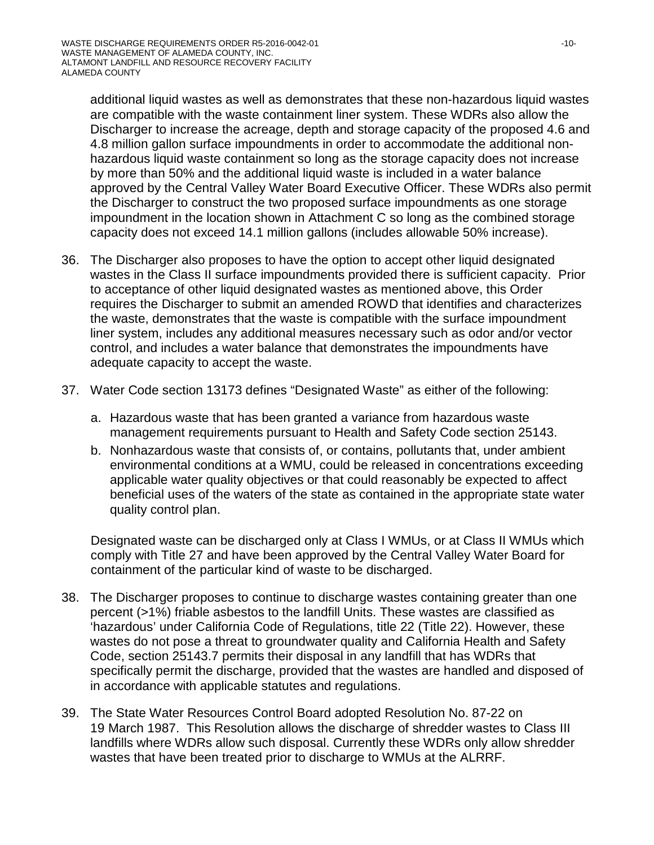additional liquid wastes as well as demonstrates that these non-hazardous liquid wastes are compatible with the waste containment liner system. These WDRs also allow the Discharger to increase the acreage, depth and storage capacity of the proposed 4.6 and 4.8 million gallon surface impoundments in order to accommodate the additional nonhazardous liquid waste containment so long as the storage capacity does not increase by more than 50% and the additional liquid waste is included in a water balance approved by the Central Valley Water Board Executive Officer. These WDRs also permit the Discharger to construct the two proposed surface impoundments as one storage impoundment in the location shown in Attachment C so long as the combined storage capacity does not exceed 14.1 million gallons (includes allowable 50% increase).

- 36. The Discharger also proposes to have the option to accept other liquid designated wastes in the Class II surface impoundments provided there is sufficient capacity. Prior to acceptance of other liquid designated wastes as mentioned above, this Order requires the Discharger to submit an amended ROWD that identifies and characterizes the waste, demonstrates that the waste is compatible with the surface impoundment liner system, includes any additional measures necessary such as odor and/or vector control, and includes a water balance that demonstrates the impoundments have adequate capacity to accept the waste.
- 37. Water Code section 13173 defines "Designated Waste" as either of the following:
	- a. Hazardous waste that has been granted a variance from hazardous waste management requirements pursuant to Health and Safety Code section 25143.
	- b. Nonhazardous waste that consists of, or contains, pollutants that, under ambient environmental conditions at a WMU, could be released in concentrations exceeding applicable water quality objectives or that could reasonably be expected to affect beneficial uses of the waters of the state as contained in the appropriate state water quality control plan.

Designated waste can be discharged only at Class I WMUs, or at Class II WMUs which comply with Title 27 and have been approved by the Central Valley Water Board for containment of the particular kind of waste to be discharged.

- 38. The Discharger proposes to continue to discharge wastes containing greater than one percent (>1%) friable asbestos to the landfill Units. These wastes are classified as 'hazardous' under California Code of Regulations, title 22 (Title 22). However, these wastes do not pose a threat to groundwater quality and California Health and Safety Code, section 25143.7 permits their disposal in any landfill that has WDRs that specifically permit the discharge, provided that the wastes are handled and disposed of in accordance with applicable statutes and regulations.
- 39. The State Water Resources Control Board adopted Resolution No. 87-22 on 19 March 1987. This Resolution allows the discharge of shredder wastes to Class III landfills where WDRs allow such disposal. Currently these WDRs only allow shredder wastes that have been treated prior to discharge to WMUs at the ALRRF.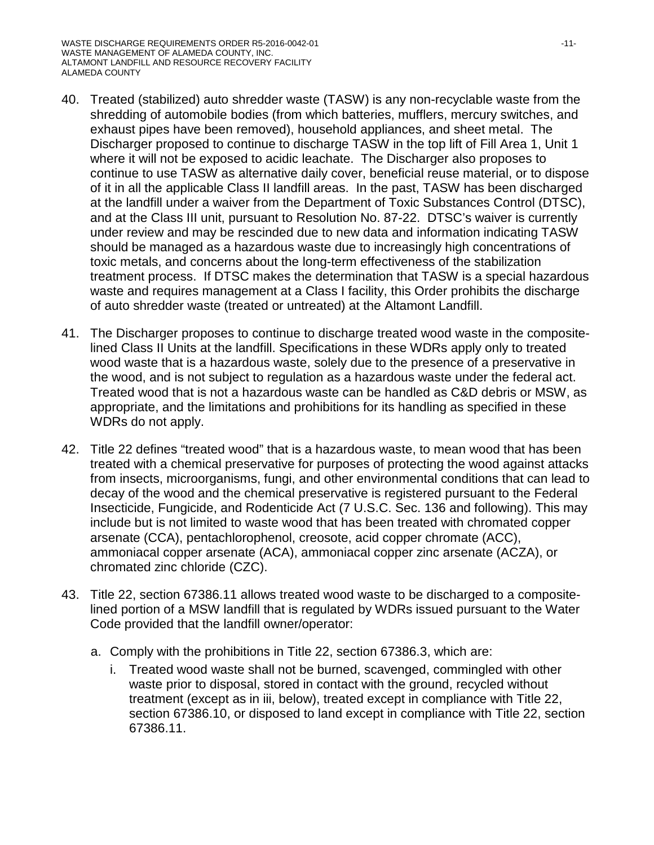- 40. Treated (stabilized) auto shredder waste (TASW) is any non-recyclable waste from the shredding of automobile bodies (from which batteries, mufflers, mercury switches, and exhaust pipes have been removed), household appliances, and sheet metal. The Discharger proposed to continue to discharge TASW in the top lift of Fill Area 1, Unit 1 where it will not be exposed to acidic leachate. The Discharger also proposes to continue to use TASW as alternative daily cover, beneficial reuse material, or to dispose of it in all the applicable Class II landfill areas. In the past, TASW has been discharged at the landfill under a waiver from the Department of Toxic Substances Control (DTSC), and at the Class III unit, pursuant to Resolution No. 87-22. DTSC's waiver is currently under review and may be rescinded due to new data and information indicating TASW should be managed as a hazardous waste due to increasingly high concentrations of toxic metals, and concerns about the long-term effectiveness of the stabilization treatment process. If DTSC makes the determination that TASW is a special hazardous waste and requires management at a Class I facility, this Order prohibits the discharge of auto shredder waste (treated or untreated) at the Altamont Landfill.
- 41. The Discharger proposes to continue to discharge treated wood waste in the compositelined Class II Units at the landfill. Specifications in these WDRs apply only to treated wood waste that is a hazardous waste, solely due to the presence of a preservative in the wood, and is not subject to regulation as a hazardous waste under the federal act. Treated wood that is not a hazardous waste can be handled as C&D debris or MSW, as appropriate, and the limitations and prohibitions for its handling as specified in these WDRs do not apply.
- 42. Title 22 defines "treated wood" that is a hazardous waste, to mean wood that has been treated with a chemical preservative for purposes of protecting the wood against attacks from insects, microorganisms, fungi, and other environmental conditions that can lead to decay of the wood and the chemical preservative is registered pursuant to the Federal Insecticide, Fungicide, and Rodenticide Act (7 U.S.C. Sec. 136 and following). This may include but is not limited to waste wood that has been treated with chromated copper arsenate (CCA), pentachlorophenol, creosote, acid copper chromate (ACC), ammoniacal copper arsenate (ACA), ammoniacal copper zinc arsenate (ACZA), or chromated zinc chloride (CZC).
- 43. Title 22, section 67386.11 allows treated wood waste to be discharged to a compositelined portion of a MSW landfill that is regulated by WDRs issued pursuant to the Water Code provided that the landfill owner/operator:
	- a. Comply with the prohibitions in Title 22, section 67386.3, which are:
		- i. Treated wood waste shall not be burned, scavenged, commingled with other waste prior to disposal, stored in contact with the ground, recycled without treatment (except as in iii, below), treated except in compliance with Title 22, section 67386.10, or disposed to land except in compliance with Title 22, section 67386.11.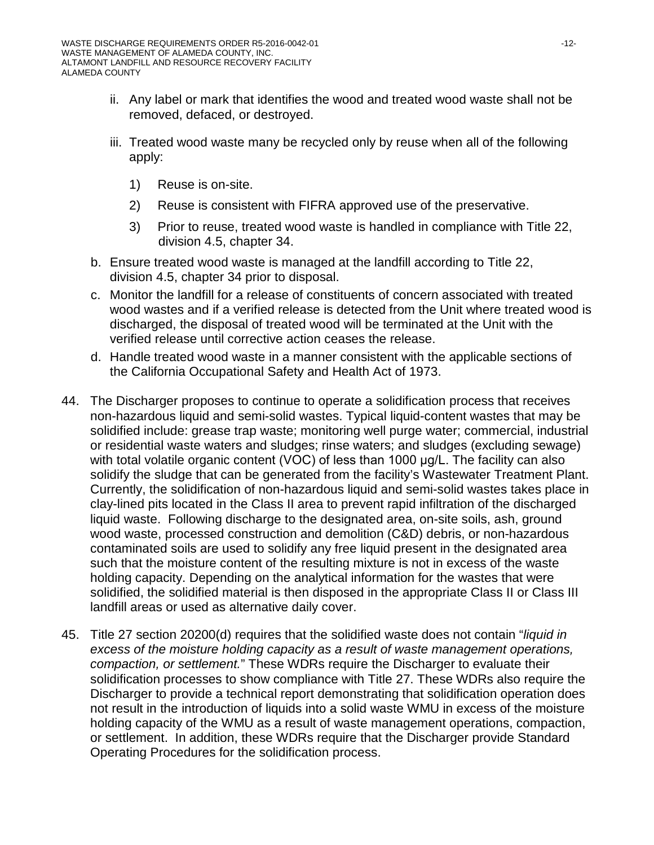- ii. Any label or mark that identifies the wood and treated wood waste shall not be removed, defaced, or destroyed.
- iii. Treated wood waste many be recycled only by reuse when all of the following apply:
	- 1) Reuse is on-site.
	- 2) Reuse is consistent with FIFRA approved use of the preservative.
	- 3) Prior to reuse, treated wood waste is handled in compliance with Title 22, division 4.5, chapter 34.
- b. Ensure treated wood waste is managed at the landfill according to Title 22, division 4.5, chapter 34 prior to disposal.
- c. Monitor the landfill for a release of constituents of concern associated with treated wood wastes and if a verified release is detected from the Unit where treated wood is discharged, the disposal of treated wood will be terminated at the Unit with the verified release until corrective action ceases the release.
- d. Handle treated wood waste in a manner consistent with the applicable sections of the California Occupational Safety and Health Act of 1973.
- 44. The Discharger proposes to continue to operate a solidification process that receives non-hazardous liquid and semi-solid wastes. Typical liquid-content wastes that may be solidified include: grease trap waste; monitoring well purge water; commercial, industrial or residential waste waters and sludges; rinse waters; and sludges (excluding sewage) with total volatile organic content (VOC) of less than 1000 μg/L. The facility can also solidify the sludge that can be generated from the facility's Wastewater Treatment Plant. Currently, the solidification of non-hazardous liquid and semi-solid wastes takes place in clay-lined pits located in the Class II area to prevent rapid infiltration of the discharged liquid waste. Following discharge to the designated area, on-site soils, ash, ground wood waste, processed construction and demolition (C&D) debris, or non-hazardous contaminated soils are used to solidify any free liquid present in the designated area such that the moisture content of the resulting mixture is not in excess of the waste holding capacity. Depending on the analytical information for the wastes that were solidified, the solidified material is then disposed in the appropriate Class II or Class III landfill areas or used as alternative daily cover.
- 45. Title 27 section 20200(d) requires that the solidified waste does not contain "*liquid in excess of the moisture holding capacity as a result of waste management operations, compaction, or settlement.*" These WDRs require the Discharger to evaluate their solidification processes to show compliance with Title 27. These WDRs also require the Discharger to provide a technical report demonstrating that solidification operation does not result in the introduction of liquids into a solid waste WMU in excess of the moisture holding capacity of the WMU as a result of waste management operations, compaction, or settlement. In addition, these WDRs require that the Discharger provide Standard Operating Procedures for the solidification process.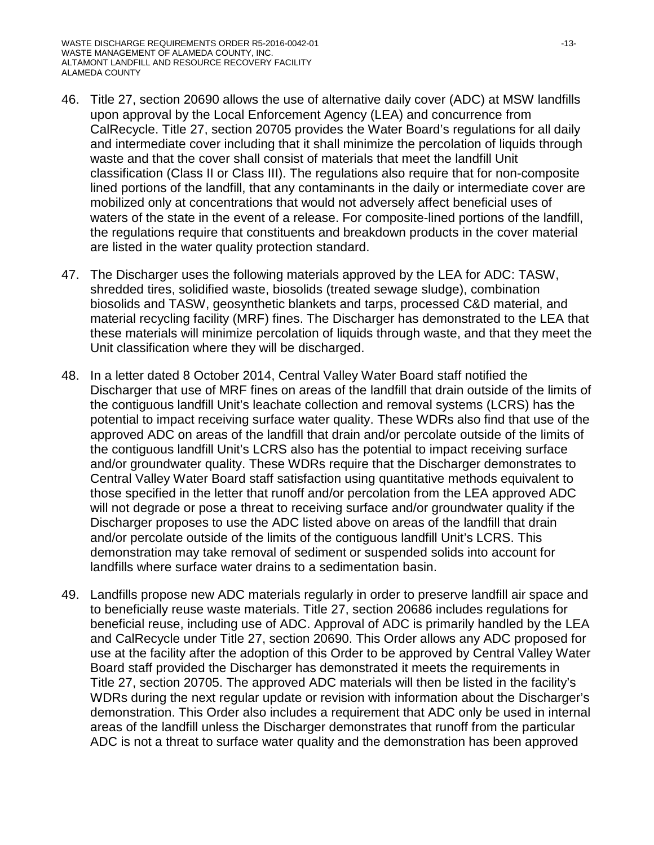- 46. Title 27, section 20690 allows the use of alternative daily cover (ADC) at MSW landfills upon approval by the Local Enforcement Agency (LEA) and concurrence from CalRecycle. Title 27, section 20705 provides the Water Board's regulations for all daily and intermediate cover including that it shall minimize the percolation of liquids through waste and that the cover shall consist of materials that meet the landfill Unit classification (Class II or Class III). The regulations also require that for non-composite lined portions of the landfill, that any contaminants in the daily or intermediate cover are mobilized only at concentrations that would not adversely affect beneficial uses of waters of the state in the event of a release. For composite-lined portions of the landfill, the regulations require that constituents and breakdown products in the cover material are listed in the water quality protection standard.
- 47. The Discharger uses the following materials approved by the LEA for ADC: TASW, shredded tires, solidified waste, biosolids (treated sewage sludge), combination biosolids and TASW, geosynthetic blankets and tarps, processed C&D material, and material recycling facility (MRF) fines. The Discharger has demonstrated to the LEA that these materials will minimize percolation of liquids through waste, and that they meet the Unit classification where they will be discharged.
- 48. In a letter dated 8 October 2014, Central Valley Water Board staff notified the Discharger that use of MRF fines on areas of the landfill that drain outside of the limits of the contiguous landfill Unit's leachate collection and removal systems (LCRS) has the potential to impact receiving surface water quality. These WDRs also find that use of the approved ADC on areas of the landfill that drain and/or percolate outside of the limits of the contiguous landfill Unit's LCRS also has the potential to impact receiving surface and/or groundwater quality. These WDRs require that the Discharger demonstrates to Central Valley Water Board staff satisfaction using quantitative methods equivalent to those specified in the letter that runoff and/or percolation from the LEA approved ADC will not degrade or pose a threat to receiving surface and/or groundwater quality if the Discharger proposes to use the ADC listed above on areas of the landfill that drain and/or percolate outside of the limits of the contiguous landfill Unit's LCRS. This demonstration may take removal of sediment or suspended solids into account for landfills where surface water drains to a sedimentation basin.
- 49. Landfills propose new ADC materials regularly in order to preserve landfill air space and to beneficially reuse waste materials. Title 27, section 20686 includes regulations for beneficial reuse, including use of ADC. Approval of ADC is primarily handled by the LEA and CalRecycle under Title 27, section 20690. This Order allows any ADC proposed for use at the facility after the adoption of this Order to be approved by Central Valley Water Board staff provided the Discharger has demonstrated it meets the requirements in Title 27, section 20705. The approved ADC materials will then be listed in the facility's WDRs during the next regular update or revision with information about the Discharger's demonstration. This Order also includes a requirement that ADC only be used in internal areas of the landfill unless the Discharger demonstrates that runoff from the particular ADC is not a threat to surface water quality and the demonstration has been approved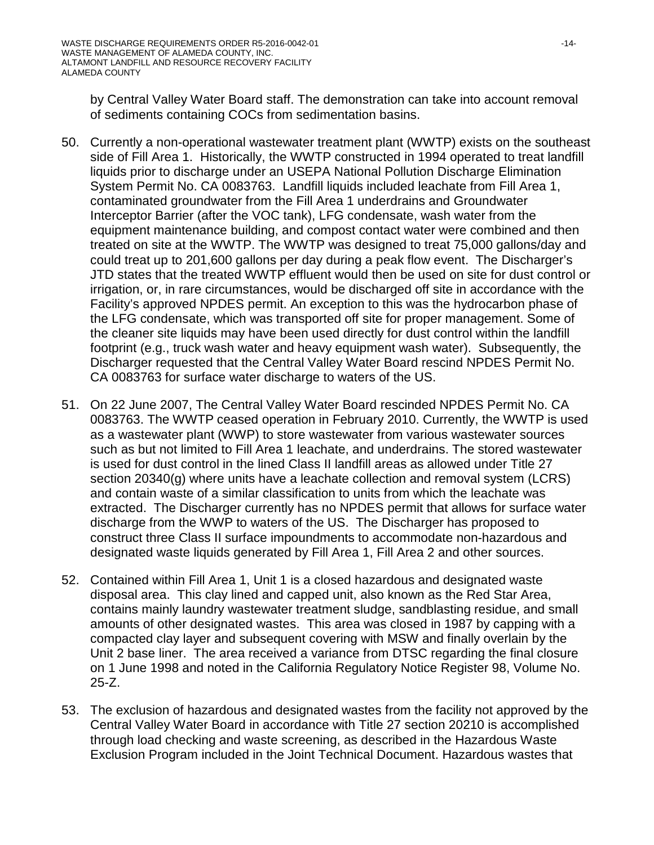by Central Valley Water Board staff. The demonstration can take into account removal of sediments containing COCs from sedimentation basins.

- 50. Currently a non-operational wastewater treatment plant (WWTP) exists on the southeast side of Fill Area 1. Historically, the WWTP constructed in 1994 operated to treat landfill liquids prior to discharge under an USEPA National Pollution Discharge Elimination System Permit No. CA 0083763. Landfill liquids included leachate from Fill Area 1, contaminated groundwater from the Fill Area 1 underdrains and Groundwater Interceptor Barrier (after the VOC tank), LFG condensate, wash water from the equipment maintenance building, and compost contact water were combined and then treated on site at the WWTP. The WWTP was designed to treat 75,000 gallons/day and could treat up to 201,600 gallons per day during a peak flow event. The Discharger's JTD states that the treated WWTP effluent would then be used on site for dust control or irrigation, or, in rare circumstances, would be discharged off site in accordance with the Facility's approved NPDES permit. An exception to this was the hydrocarbon phase of the LFG condensate, which was transported off site for proper management. Some of the cleaner site liquids may have been used directly for dust control within the landfill footprint (e.g., truck wash water and heavy equipment wash water). Subsequently, the Discharger requested that the Central Valley Water Board rescind NPDES Permit No. CA 0083763 for surface water discharge to waters of the US.
- 51. On 22 June 2007, The Central Valley Water Board rescinded NPDES Permit No. CA 0083763. The WWTP ceased operation in February 2010. Currently, the WWTP is used as a wastewater plant (WWP) to store wastewater from various wastewater sources such as but not limited to Fill Area 1 leachate, and underdrains. The stored wastewater is used for dust control in the lined Class II landfill areas as allowed under Title 27 section 20340(g) where units have a leachate collection and removal system (LCRS) and contain waste of a similar classification to units from which the leachate was extracted. The Discharger currently has no NPDES permit that allows for surface water discharge from the WWP to waters of the US. The Discharger has proposed to construct three Class II surface impoundments to accommodate non-hazardous and designated waste liquids generated by Fill Area 1, Fill Area 2 and other sources.
- 52. Contained within Fill Area 1, Unit 1 is a closed hazardous and designated waste disposal area. This clay lined and capped unit, also known as the Red Star Area, contains mainly laundry wastewater treatment sludge, sandblasting residue, and small amounts of other designated wastes. This area was closed in 1987 by capping with a compacted clay layer and subsequent covering with MSW and finally overlain by the Unit 2 base liner. The area received a variance from DTSC regarding the final closure on 1 June 1998 and noted in the California Regulatory Notice Register 98, Volume No. 25-Z.
- 53. The exclusion of hazardous and designated wastes from the facility not approved by the Central Valley Water Board in accordance with Title 27 section 20210 is accomplished through load checking and waste screening, as described in the Hazardous Waste Exclusion Program included in the Joint Technical Document. Hazardous wastes that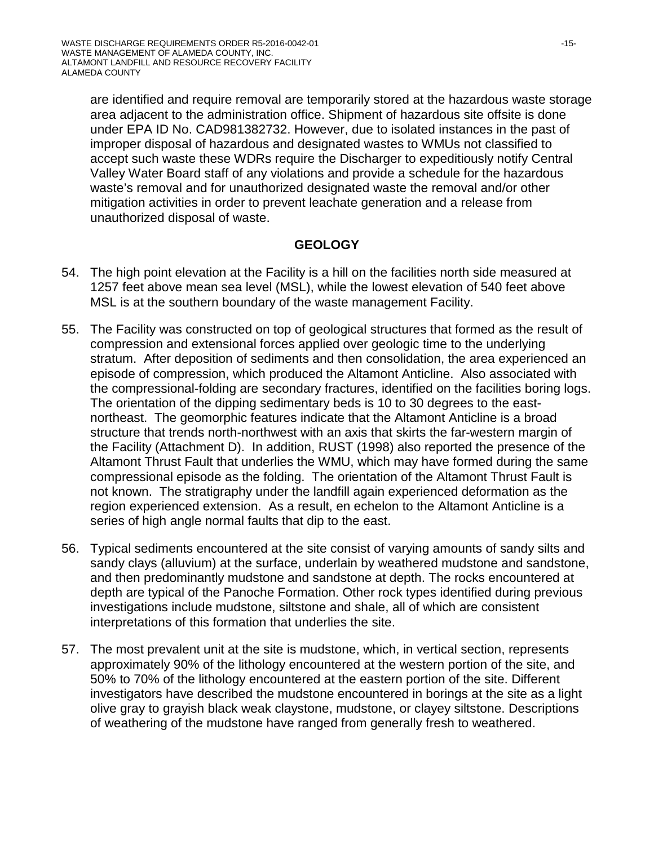are identified and require removal are temporarily stored at the hazardous waste storage area adjacent to the administration office. Shipment of hazardous site offsite is done under EPA ID No. CAD981382732. However, due to isolated instances in the past of improper disposal of hazardous and designated wastes to WMUs not classified to accept such waste these WDRs require the Discharger to expeditiously notify Central Valley Water Board staff of any violations and provide a schedule for the hazardous waste's removal and for unauthorized designated waste the removal and/or other mitigation activities in order to prevent leachate generation and a release from unauthorized disposal of waste.

# **GEOLOGY**

- 54. The high point elevation at the Facility is a hill on the facilities north side measured at 1257 feet above mean sea level (MSL), while the lowest elevation of 540 feet above MSL is at the southern boundary of the waste management Facility.
- 55. The Facility was constructed on top of geological structures that formed as the result of compression and extensional forces applied over geologic time to the underlying stratum. After deposition of sediments and then consolidation, the area experienced an episode of compression, which produced the Altamont Anticline. Also associated with the compressional-folding are secondary fractures, identified on the facilities boring logs. The orientation of the dipping sedimentary beds is 10 to 30 degrees to the eastnortheast. The geomorphic features indicate that the Altamont Anticline is a broad structure that trends north-northwest with an axis that skirts the far-western margin of the Facility (Attachment D). In addition, RUST (1998) also reported the presence of the Altamont Thrust Fault that underlies the WMU, which may have formed during the same compressional episode as the folding. The orientation of the Altamont Thrust Fault is not known. The stratigraphy under the landfill again experienced deformation as the region experienced extension. As a result, en echelon to the Altamont Anticline is a series of high angle normal faults that dip to the east.
- 56. Typical sediments encountered at the site consist of varying amounts of sandy silts and sandy clays (alluvium) at the surface, underlain by weathered mudstone and sandstone, and then predominantly mudstone and sandstone at depth. The rocks encountered at depth are typical of the Panoche Formation. Other rock types identified during previous investigations include mudstone, siltstone and shale, all of which are consistent interpretations of this formation that underlies the site.
- 57. The most prevalent unit at the site is mudstone, which, in vertical section, represents approximately 90% of the lithology encountered at the western portion of the site, and 50% to 70% of the lithology encountered at the eastern portion of the site. Different investigators have described the mudstone encountered in borings at the site as a light olive gray to grayish black weak claystone, mudstone, or clayey siltstone. Descriptions of weathering of the mudstone have ranged from generally fresh to weathered.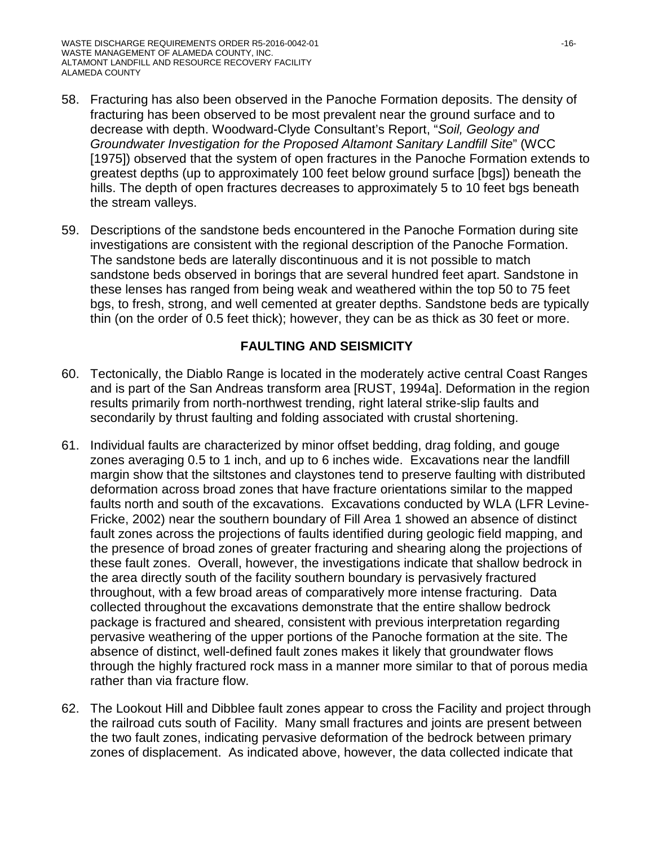- 58. Fracturing has also been observed in the Panoche Formation deposits. The density of fracturing has been observed to be most prevalent near the ground surface and to decrease with depth. Woodward-Clyde Consultant's Report, "*Soil, Geology and Groundwater Investigation for the Proposed Altamont Sanitary Landfill Site*" (WCC [1975]) observed that the system of open fractures in the Panoche Formation extends to greatest depths (up to approximately 100 feet below ground surface [bgs]) beneath the hills. The depth of open fractures decreases to approximately 5 to 10 feet bgs beneath the stream valleys.
- 59. Descriptions of the sandstone beds encountered in the Panoche Formation during site investigations are consistent with the regional description of the Panoche Formation. The sandstone beds are laterally discontinuous and it is not possible to match sandstone beds observed in borings that are several hundred feet apart. Sandstone in these lenses has ranged from being weak and weathered within the top 50 to 75 feet bgs, to fresh, strong, and well cemented at greater depths. Sandstone beds are typically thin (on the order of 0.5 feet thick); however, they can be as thick as 30 feet or more.

# **FAULTING AND SEISMICITY**

- 60. Tectonically, the Diablo Range is located in the moderately active central Coast Ranges and is part of the San Andreas transform area [RUST, 1994a]. Deformation in the region results primarily from north-northwest trending, right lateral strike-slip faults and secondarily by thrust faulting and folding associated with crustal shortening.
- 61. Individual faults are characterized by minor offset bedding, drag folding, and gouge zones averaging 0.5 to 1 inch, and up to 6 inches wide. Excavations near the landfill margin show that the siltstones and claystones tend to preserve faulting with distributed deformation across broad zones that have fracture orientations similar to the mapped faults north and south of the excavations. Excavations conducted by WLA (LFR Levine-Fricke, 2002) near the southern boundary of Fill Area 1 showed an absence of distinct fault zones across the projections of faults identified during geologic field mapping, and the presence of broad zones of greater fracturing and shearing along the projections of these fault zones. Overall, however, the investigations indicate that shallow bedrock in the area directly south of the facility southern boundary is pervasively fractured throughout, with a few broad areas of comparatively more intense fracturing. Data collected throughout the excavations demonstrate that the entire shallow bedrock package is fractured and sheared, consistent with previous interpretation regarding pervasive weathering of the upper portions of the Panoche formation at the site. The absence of distinct, well-defined fault zones makes it likely that groundwater flows through the highly fractured rock mass in a manner more similar to that of porous media rather than via fracture flow.
- 62. The Lookout Hill and Dibblee fault zones appear to cross the Facility and project through the railroad cuts south of Facility. Many small fractures and joints are present between the two fault zones, indicating pervasive deformation of the bedrock between primary zones of displacement. As indicated above, however, the data collected indicate that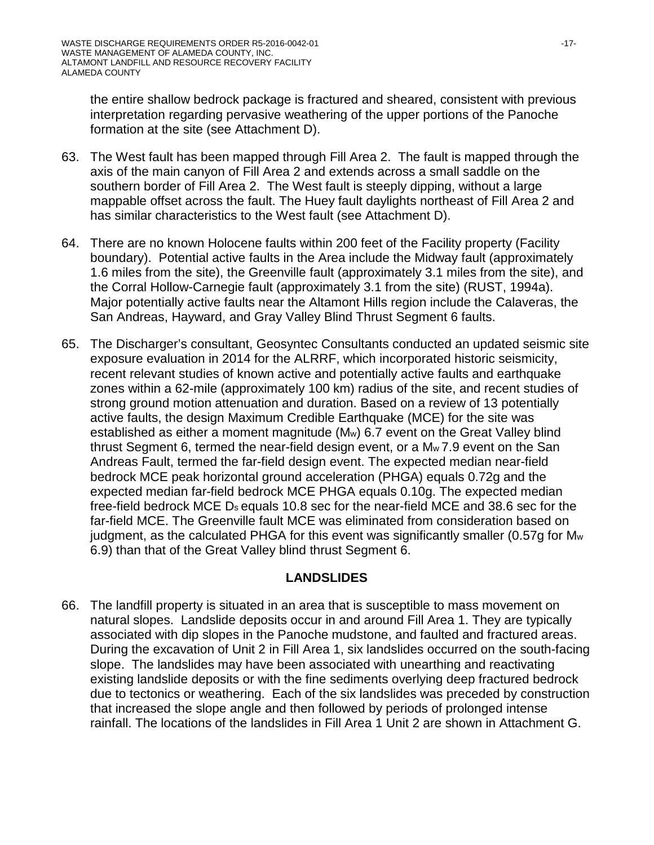the entire shallow bedrock package is fractured and sheared, consistent with previous interpretation regarding pervasive weathering of the upper portions of the Panoche formation at the site (see Attachment D).

- 63. The West fault has been mapped through Fill Area 2. The fault is mapped through the axis of the main canyon of Fill Area 2 and extends across a small saddle on the southern border of Fill Area 2. The West fault is steeply dipping, without a large mappable offset across the fault. The Huey fault daylights northeast of Fill Area 2 and has similar characteristics to the West fault (see Attachment D).
- 64. There are no known Holocene faults within 200 feet of the Facility property (Facility boundary). Potential active faults in the Area include the Midway fault (approximately 1.6 miles from the site), the Greenville fault (approximately 3.1 miles from the site), and the Corral Hollow-Carnegie fault (approximately 3.1 from the site) (RUST, 1994a). Major potentially active faults near the Altamont Hills region include the Calaveras, the San Andreas, Hayward, and Gray Valley Blind Thrust Segment 6 faults.
- 65. The Discharger's consultant, Geosyntec Consultants conducted an updated seismic site exposure evaluation in 2014 for the ALRRF, which incorporated historic seismicity, recent relevant studies of known active and potentially active faults and earthquake zones within a 62-mile (approximately 100 km) radius of the site, and recent studies of strong ground motion attenuation and duration. Based on a review of 13 potentially active faults, the design Maximum Credible Earthquake (MCE) for the site was established as either a moment magnitude (Mw) 6.7 event on the Great Valley blind thrust Segment 6, termed the near-field design event, or a Mw 7.9 event on the San Andreas Fault, termed the far-field design event. The expected median near-field bedrock MCE peak horizontal ground acceleration (PHGA) equals 0.72g and the expected median far-field bedrock MCE PHGA equals 0.10g. The expected median free-field bedrock MCE Ds equals 10.8 sec for the near-field MCE and 38.6 sec for the far-field MCE. The Greenville fault MCE was eliminated from consideration based on judgment, as the calculated PHGA for this event was significantly smaller (0.57g for M<sub>w</sub> 6.9) than that of the Great Valley blind thrust Segment 6.

# **LANDSLIDES**

66. The landfill property is situated in an area that is susceptible to mass movement on natural slopes. Landslide deposits occur in and around Fill Area 1. They are typically associated with dip slopes in the Panoche mudstone, and faulted and fractured areas. During the excavation of Unit 2 in Fill Area 1, six landslides occurred on the south-facing slope. The landslides may have been associated with unearthing and reactivating existing landslide deposits or with the fine sediments overlying deep fractured bedrock due to tectonics or weathering. Each of the six landslides was preceded by construction that increased the slope angle and then followed by periods of prolonged intense rainfall. The locations of the landslides in Fill Area 1 Unit 2 are shown in Attachment G.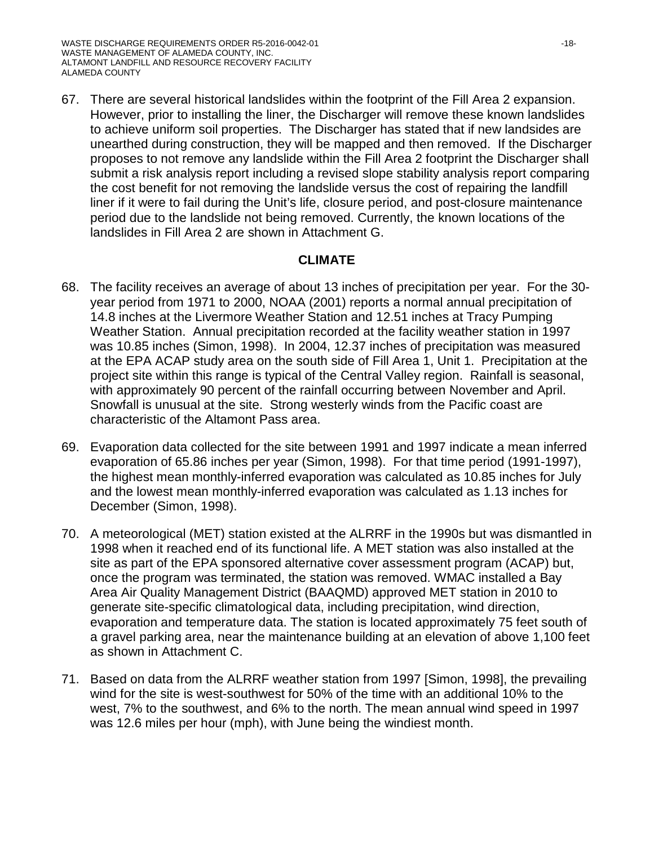67. There are several historical landslides within the footprint of the Fill Area 2 expansion. However, prior to installing the liner, the Discharger will remove these known landslides to achieve uniform soil properties. The Discharger has stated that if new landsides are unearthed during construction, they will be mapped and then removed. If the Discharger proposes to not remove any landslide within the Fill Area 2 footprint the Discharger shall submit a risk analysis report including a revised slope stability analysis report comparing the cost benefit for not removing the landslide versus the cost of repairing the landfill liner if it were to fail during the Unit's life, closure period, and post-closure maintenance period due to the landslide not being removed. Currently, the known locations of the landslides in Fill Area 2 are shown in Attachment G.

### **CLIMATE**

- 68. The facility receives an average of about 13 inches of precipitation per year. For the 30 year period from 1971 to 2000, NOAA (2001) reports a normal annual precipitation of 14.8 inches at the Livermore Weather Station and 12.51 inches at Tracy Pumping Weather Station. Annual precipitation recorded at the facility weather station in 1997 was 10.85 inches (Simon, 1998). In 2004, 12.37 inches of precipitation was measured at the EPA ACAP study area on the south side of Fill Area 1, Unit 1. Precipitation at the project site within this range is typical of the Central Valley region. Rainfall is seasonal, with approximately 90 percent of the rainfall occurring between November and April. Snowfall is unusual at the site. Strong westerly winds from the Pacific coast are characteristic of the Altamont Pass area.
- 69. Evaporation data collected for the site between 1991 and 1997 indicate a mean inferred evaporation of 65.86 inches per year (Simon, 1998). For that time period (1991-1997), the highest mean monthly-inferred evaporation was calculated as 10.85 inches for July and the lowest mean monthly-inferred evaporation was calculated as 1.13 inches for December (Simon, 1998).
- 70. A meteorological (MET) station existed at the ALRRF in the 1990s but was dismantled in 1998 when it reached end of its functional life. A MET station was also installed at the site as part of the EPA sponsored alternative cover assessment program (ACAP) but, once the program was terminated, the station was removed. WMAC installed a Bay Area Air Quality Management District (BAAQMD) approved MET station in 2010 to generate site-specific climatological data, including precipitation, wind direction, evaporation and temperature data. The station is located approximately 75 feet south of a gravel parking area, near the maintenance building at an elevation of above 1,100 feet as shown in Attachment C.
- 71. Based on data from the ALRRF weather station from 1997 [Simon, 1998], the prevailing wind for the site is west-southwest for 50% of the time with an additional 10% to the west, 7% to the southwest, and 6% to the north. The mean annual wind speed in 1997 was 12.6 miles per hour (mph), with June being the windiest month.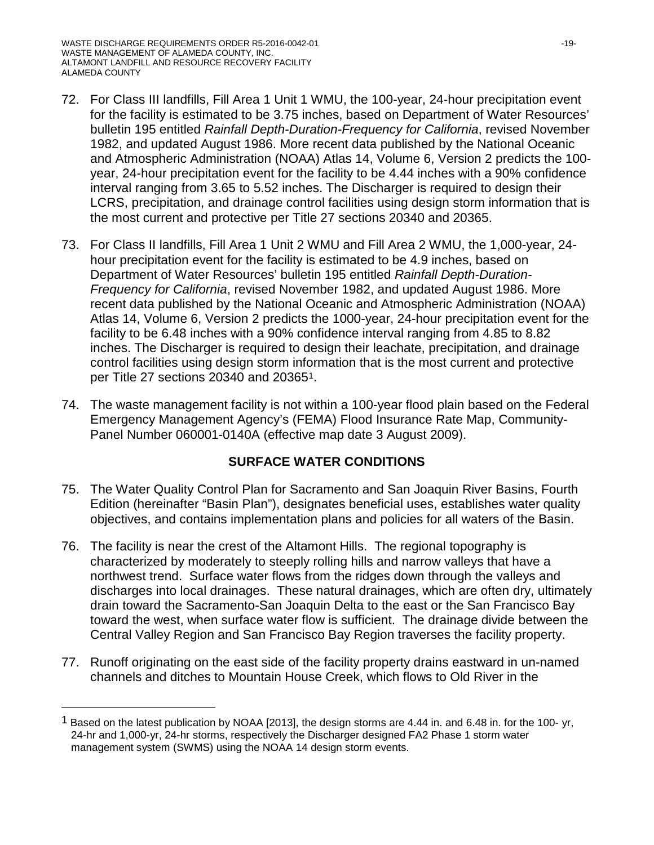$\overline{a}$ 

- 72. For Class III landfills, Fill Area 1 Unit 1 WMU, the 100-year, 24-hour precipitation event for the facility is estimated to be 3.75 inches, based on Department of Water Resources' bulletin 195 entitled *Rainfall Depth-Duration-Frequency for California*, revised November 1982, and updated August 1986. More recent data published by the National Oceanic and Atmospheric Administration (NOAA) Atlas 14, Volume 6, Version 2 predicts the 100 year, 24-hour precipitation event for the facility to be 4.44 inches with a 90% confidence interval ranging from 3.65 to 5.52 inches. The Discharger is required to design their LCRS, precipitation, and drainage control facilities using design storm information that is the most current and protective per Title 27 sections 20340 and 20365.
- 73. For Class II landfills, Fill Area 1 Unit 2 WMU and Fill Area 2 WMU, the 1,000-year, 24 hour precipitation event for the facility is estimated to be 4.9 inches, based on Department of Water Resources' bulletin 195 entitled *Rainfall Depth-Duration-Frequency for California*, revised November 1982, and updated August 1986. More recent data published by the National Oceanic and Atmospheric Administration (NOAA) Atlas 14, Volume 6, Version 2 predicts the 1000-year, 24-hour precipitation event for the facility to be 6.48 inches with a 90% confidence interval ranging from 4.85 to 8.82 inches. The Discharger is required to design their leachate, precipitation, and drainage control facilities using design storm information that is the most current and protective per Title 27 sections 20340 and 20365[1.](#page-18-0)
- 74. The waste management facility is not within a 100-year flood plain based on the Federal Emergency Management Agency's (FEMA) Flood Insurance Rate Map, Community-Panel Number 060001-0140A (effective map date 3 August 2009).

# **SURFACE WATER CONDITIONS**

- 75. The Water Quality Control Plan for Sacramento and San Joaquin River Basins, Fourth Edition (hereinafter "Basin Plan"), designates beneficial uses, establishes water quality objectives, and contains implementation plans and policies for all waters of the Basin.
- 76. The facility is near the crest of the Altamont Hills. The regional topography is characterized by moderately to steeply rolling hills and narrow valleys that have a northwest trend. Surface water flows from the ridges down through the valleys and discharges into local drainages. These natural drainages, which are often dry, ultimately drain toward the Sacramento-San Joaquin Delta to the east or the San Francisco Bay toward the west, when surface water flow is sufficient. The drainage divide between the Central Valley Region and San Francisco Bay Region traverses the facility property.
- 77. Runoff originating on the east side of the facility property drains eastward in un-named channels and ditches to Mountain House Creek, which flows to Old River in the

<span id="page-18-0"></span><sup>&</sup>lt;sup>1</sup> Based on the latest publication by NOAA [2013], the design storms are 4.44 in. and 6.48 in. for the 100- yr, 24-hr and 1,000-yr, 24-hr storms, respectively the Discharger designed FA2 Phase 1 storm water management system (SWMS) using the NOAA 14 design storm events.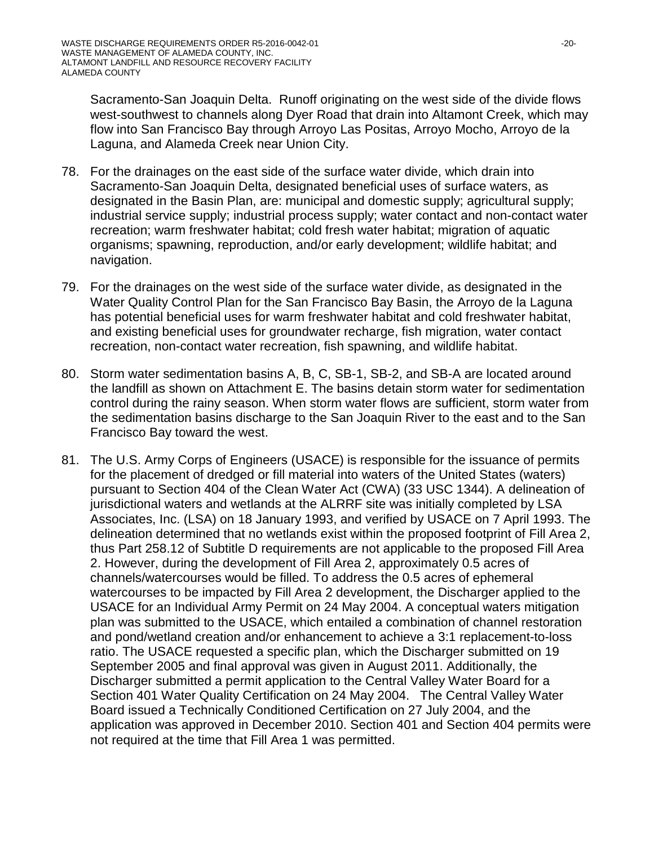Sacramento-San Joaquin Delta. Runoff originating on the west side of the divide flows west-southwest to channels along Dyer Road that drain into Altamont Creek, which may flow into San Francisco Bay through Arroyo Las Positas, Arroyo Mocho, Arroyo de la Laguna, and Alameda Creek near Union City.

- 78. For the drainages on the east side of the surface water divide, which drain into Sacramento-San Joaquin Delta, designated beneficial uses of surface waters, as designated in the Basin Plan, are: municipal and domestic supply; agricultural supply; industrial service supply; industrial process supply; water contact and non-contact water recreation; warm freshwater habitat; cold fresh water habitat; migration of aquatic organisms; spawning, reproduction, and/or early development; wildlife habitat; and navigation.
- 79. For the drainages on the west side of the surface water divide, as designated in the Water Quality Control Plan for the San Francisco Bay Basin, the Arroyo de la Laguna has potential beneficial uses for warm freshwater habitat and cold freshwater habitat, and existing beneficial uses for groundwater recharge, fish migration, water contact recreation, non-contact water recreation, fish spawning, and wildlife habitat.
- 80. Storm water sedimentation basins A, B, C, SB-1, SB-2, and SB-A are located around the landfill as shown on Attachment E. The basins detain storm water for sedimentation control during the rainy season. When storm water flows are sufficient, storm water from the sedimentation basins discharge to the San Joaquin River to the east and to the San Francisco Bay toward the west.
- 81. The U.S. Army Corps of Engineers (USACE) is responsible for the issuance of permits for the placement of dredged or fill material into waters of the United States (waters) pursuant to Section 404 of the Clean Water Act (CWA) (33 USC 1344). A delineation of jurisdictional waters and wetlands at the ALRRF site was initially completed by LSA Associates, Inc. (LSA) on 18 January 1993, and verified by USACE on 7 April 1993. The delineation determined that no wetlands exist within the proposed footprint of Fill Area 2, thus Part 258.12 of Subtitle D requirements are not applicable to the proposed Fill Area 2. However, during the development of Fill Area 2, approximately 0.5 acres of channels/watercourses would be filled. To address the 0.5 acres of ephemeral watercourses to be impacted by Fill Area 2 development, the Discharger applied to the USACE for an Individual Army Permit on 24 May 2004. A conceptual waters mitigation plan was submitted to the USACE, which entailed a combination of channel restoration and pond/wetland creation and/or enhancement to achieve a 3:1 replacement-to-loss ratio. The USACE requested a specific plan, which the Discharger submitted on 19 September 2005 and final approval was given in August 2011. Additionally, the Discharger submitted a permit application to the Central Valley Water Board for a Section 401 Water Quality Certification on 24 May 2004. The Central Valley Water Board issued a Technically Conditioned Certification on 27 July 2004, and the application was approved in December 2010. Section 401 and Section 404 permits were not required at the time that Fill Area 1 was permitted.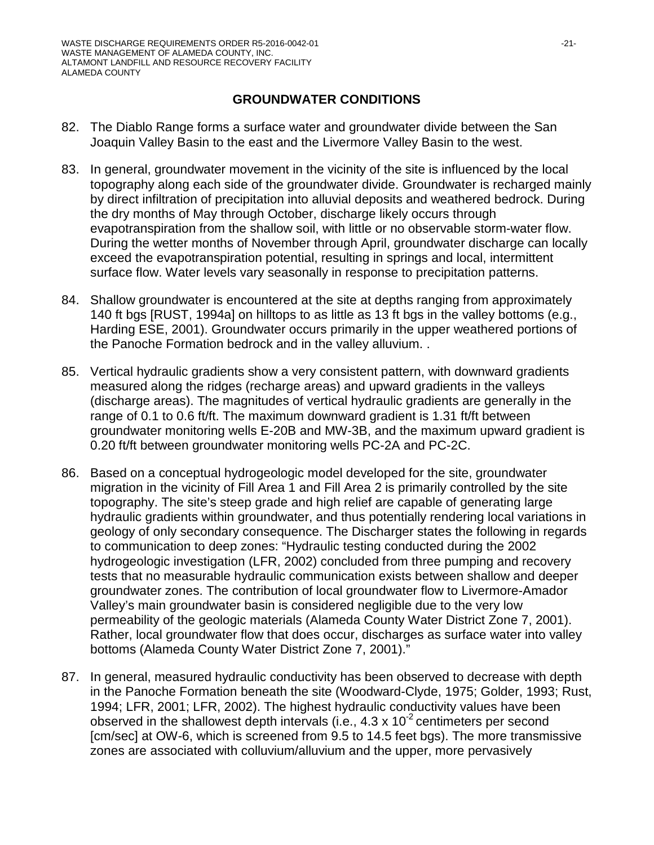# **GROUNDWATER CONDITIONS**

- 82. The Diablo Range forms a surface water and groundwater divide between the San Joaquin Valley Basin to the east and the Livermore Valley Basin to the west.
- 83. In general, groundwater movement in the vicinity of the site is influenced by the local topography along each side of the groundwater divide. Groundwater is recharged mainly by direct infiltration of precipitation into alluvial deposits and weathered bedrock. During the dry months of May through October, discharge likely occurs through evapotranspiration from the shallow soil, with little or no observable storm-water flow. During the wetter months of November through April, groundwater discharge can locally exceed the evapotranspiration potential, resulting in springs and local, intermittent surface flow. Water levels vary seasonally in response to precipitation patterns.
- 84. Shallow groundwater is encountered at the site at depths ranging from approximately 140 ft bgs [RUST, 1994a] on hilltops to as little as 13 ft bgs in the valley bottoms (e.g., Harding ESE, 2001). Groundwater occurs primarily in the upper weathered portions of the Panoche Formation bedrock and in the valley alluvium. .
- 85. Vertical hydraulic gradients show a very consistent pattern, with downward gradients measured along the ridges (recharge areas) and upward gradients in the valleys (discharge areas). The magnitudes of vertical hydraulic gradients are generally in the range of 0.1 to 0.6 ft/ft. The maximum downward gradient is 1.31 ft/ft between groundwater monitoring wells E-20B and MW-3B, and the maximum upward gradient is 0.20 ft/ft between groundwater monitoring wells PC-2A and PC-2C.
- 86. Based on a conceptual hydrogeologic model developed for the site, groundwater migration in the vicinity of Fill Area 1 and Fill Area 2 is primarily controlled by the site topography. The site's steep grade and high relief are capable of generating large hydraulic gradients within groundwater, and thus potentially rendering local variations in geology of only secondary consequence. The Discharger states the following in regards to communication to deep zones: "Hydraulic testing conducted during the 2002 hydrogeologic investigation (LFR, 2002) concluded from three pumping and recovery tests that no measurable hydraulic communication exists between shallow and deeper groundwater zones. The contribution of local groundwater flow to Livermore-Amador Valley's main groundwater basin is considered negligible due to the very low permeability of the geologic materials (Alameda County Water District Zone 7, 2001). Rather, local groundwater flow that does occur, discharges as surface water into valley bottoms (Alameda County Water District Zone 7, 2001)."
- 87. In general, measured hydraulic conductivity has been observed to decrease with depth in the Panoche Formation beneath the site (Woodward-Clyde, 1975; Golder, 1993; Rust, 1994; LFR, 2001; LFR, 2002). The highest hydraulic conductivity values have been observed in the shallowest depth intervals (i.e.,  $4.3 \times 10^{-2}$  centimeters per second [cm/sec] at OW-6, which is screened from 9.5 to 14.5 feet bgs). The more transmissive zones are associated with colluvium/alluvium and the upper, more pervasively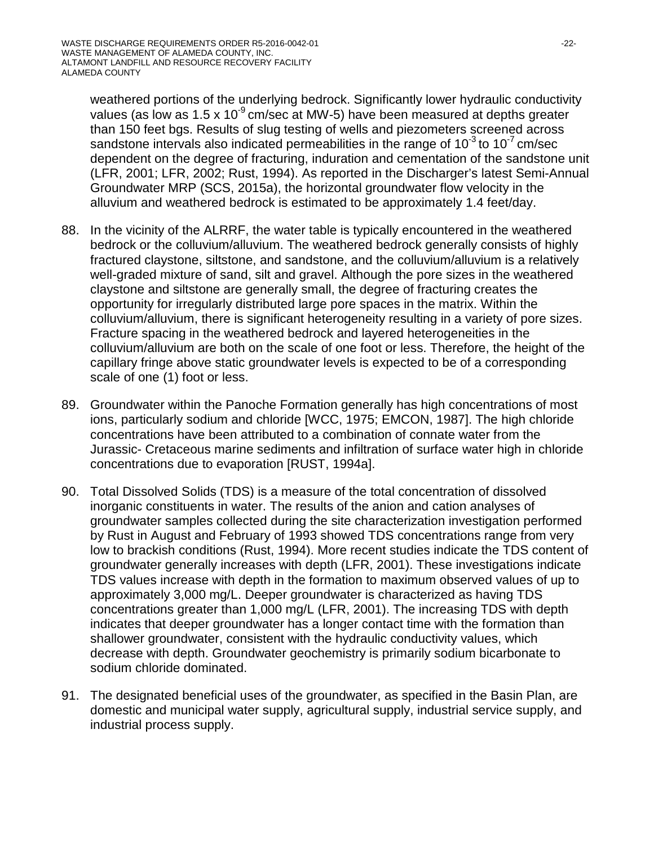weathered portions of the underlying bedrock. Significantly lower hydraulic conductivity values (as low as 1.5 x 10<sup>-9</sup> cm/sec at MW-5) have been measured at depths greater than 150 feet bgs. Results of slug testing of wells and piezometers screened across sandstone intervals also indicated permeabilities in the range of  $10^{-3}$  to  $10^{-7}$  cm/sec dependent on the degree of fracturing, induration and cementation of the sandstone unit (LFR, 2001; LFR, 2002; Rust, 1994). As reported in the Discharger's latest Semi-Annual Groundwater MRP (SCS, 2015a), the horizontal groundwater flow velocity in the alluvium and weathered bedrock is estimated to be approximately 1.4 feet/day.

- 88. In the vicinity of the ALRRF, the water table is typically encountered in the weathered bedrock or the colluvium/alluvium. The weathered bedrock generally consists of highly fractured claystone, siltstone, and sandstone, and the colluvium/alluvium is a relatively well-graded mixture of sand, silt and gravel. Although the pore sizes in the weathered claystone and siltstone are generally small, the degree of fracturing creates the opportunity for irregularly distributed large pore spaces in the matrix. Within the colluvium/alluvium, there is significant heterogeneity resulting in a variety of pore sizes. Fracture spacing in the weathered bedrock and layered heterogeneities in the colluvium/alluvium are both on the scale of one foot or less. Therefore, the height of the capillary fringe above static groundwater levels is expected to be of a corresponding scale of one (1) foot or less.
- 89. Groundwater within the Panoche Formation generally has high concentrations of most ions, particularly sodium and chloride [WCC, 1975; EMCON, 1987]. The high chloride concentrations have been attributed to a combination of connate water from the Jurassic- Cretaceous marine sediments and infiltration of surface water high in chloride concentrations due to evaporation [RUST, 1994a].
- 90. Total Dissolved Solids (TDS) is a measure of the total concentration of dissolved inorganic constituents in water. The results of the anion and cation analyses of groundwater samples collected during the site characterization investigation performed by Rust in August and February of 1993 showed TDS concentrations range from very low to brackish conditions (Rust, 1994). More recent studies indicate the TDS content of groundwater generally increases with depth (LFR, 2001). These investigations indicate TDS values increase with depth in the formation to maximum observed values of up to approximately 3,000 mg/L. Deeper groundwater is characterized as having TDS concentrations greater than 1,000 mg/L (LFR, 2001). The increasing TDS with depth indicates that deeper groundwater has a longer contact time with the formation than shallower groundwater, consistent with the hydraulic conductivity values, which decrease with depth. Groundwater geochemistry is primarily sodium bicarbonate to sodium chloride dominated.
- 91. The designated beneficial uses of the groundwater, as specified in the Basin Plan, are domestic and municipal water supply, agricultural supply, industrial service supply, and industrial process supply.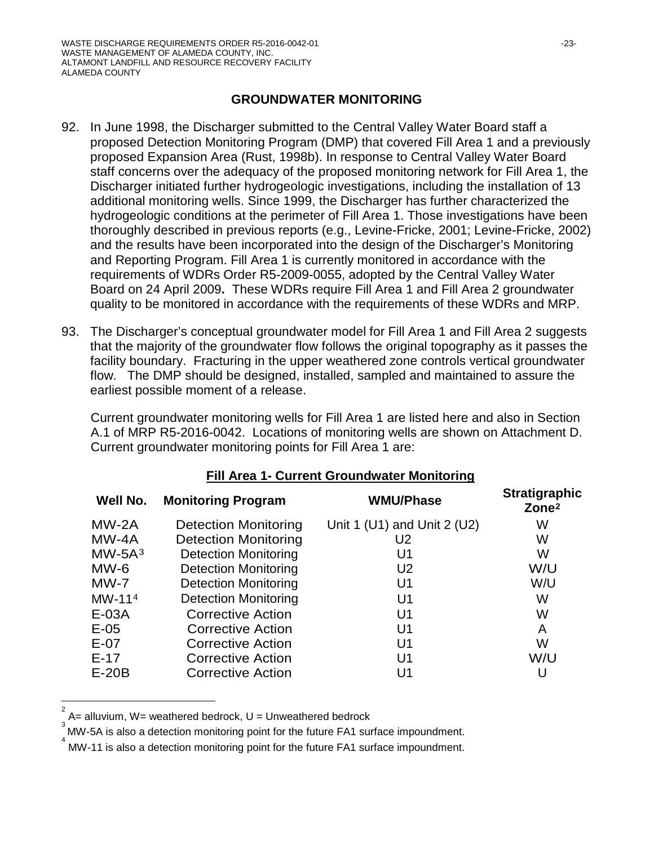#### **GROUNDWATER MONITORING**

- 92. In June 1998, the Discharger submitted to the Central Valley Water Board staff a proposed Detection Monitoring Program (DMP) that covered Fill Area 1 and a previously proposed Expansion Area (Rust, 1998b). In response to Central Valley Water Board staff concerns over the adequacy of the proposed monitoring network for Fill Area 1, the Discharger initiated further hydrogeologic investigations, including the installation of 13 additional monitoring wells. Since 1999, the Discharger has further characterized the hydrogeologic conditions at the perimeter of Fill Area 1. Those investigations have been thoroughly described in previous reports (e.g., Levine-Fricke, 2001; Levine-Fricke, 2002) and the results have been incorporated into the design of the Discharger's Monitoring and Reporting Program. Fill Area 1 is currently monitored in accordance with the requirements of WDRs Order R5-2009-0055, adopted by the Central Valley Water Board on 24 April 2009**.** These WDRs require Fill Area 1 and Fill Area 2 groundwater quality to be monitored in accordance with the requirements of these WDRs and MRP.
- 93. The Discharger's conceptual groundwater model for Fill Area 1 and Fill Area 2 suggests that the majority of the groundwater flow follows the original topography as it passes the facility boundary. Fracturing in the upper weathered zone controls vertical groundwater flow. The DMP should be designed, installed, sampled and maintained to assure the earliest possible moment of a release.

Current groundwater monitoring wells for Fill Area 1 are listed here and also in Section A.1 of MRP R5-2016-0042. Locations of monitoring wells are shown on Attachment D. Current groundwater monitoring points for Fill Area 1 are:

| Well No. | <b>Monitoring Program</b>   | <b>WMU/Phase</b>            | <b>Stratigraphic</b><br>Zone <sup>2</sup> |
|----------|-----------------------------|-----------------------------|-------------------------------------------|
| $MW-2A$  | <b>Detection Monitoring</b> | Unit 1 (U1) and Unit 2 (U2) | W                                         |
| $MW-4A$  | <b>Detection Monitoring</b> | U <sub>2</sub>              | W                                         |
| $MW-5A3$ | <b>Detection Monitoring</b> | U1                          | W                                         |
| $MW-6$   | <b>Detection Monitoring</b> | U <sub>2</sub>              | W/U                                       |
| $MW-7$   | <b>Detection Monitoring</b> | U <sub>1</sub>              | W/U                                       |
| $MW-114$ | <b>Detection Monitoring</b> | U <sub>1</sub>              | W                                         |
| $E-03A$  | Corrective Action           | U <sub>1</sub>              | W                                         |
| $E-05$   | <b>Corrective Action</b>    | U <sub>1</sub>              | A                                         |
| $E-07$   | <b>Corrective Action</b>    | U <sub>1</sub>              | W                                         |
| $E-17$   | Corrective Action           | U <sub>1</sub>              | W/U                                       |
| $E-20B$  | <b>Corrective Action</b>    | U1                          | U                                         |

#### **Fill Area 1- Current Groundwater Monitoring**

<span id="page-22-0"></span> $\frac{1}{2}$  $A=$  alluvium,  $W=$  weathered bedrock,  $U=$  Unweathered bedrock

<span id="page-22-1"></span><sup>3</sup> MW-5A is also a detection monitoring point for the future FA1 surface impoundment.

<span id="page-22-2"></span>MW-11 is also a detection monitoring point for the future FA1 surface impoundment.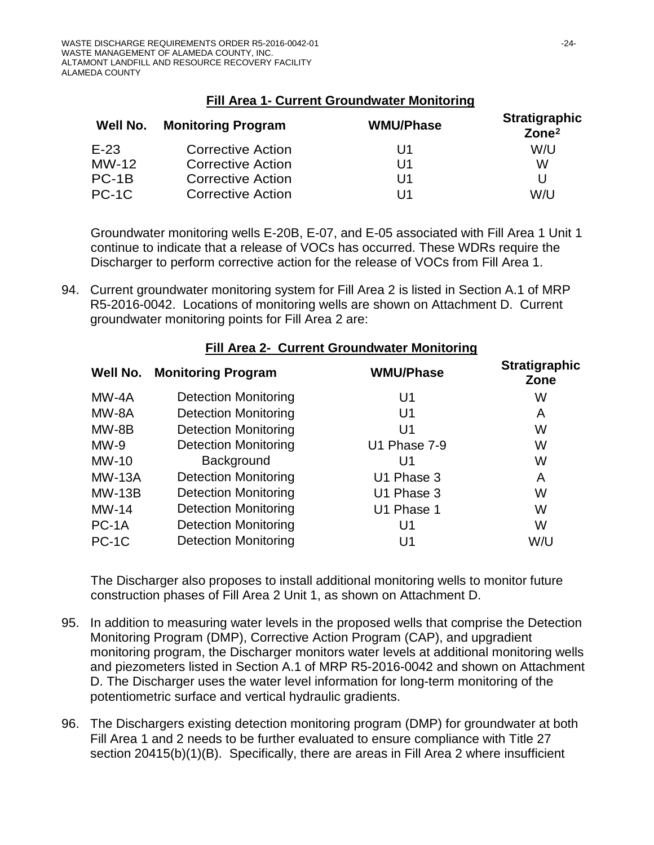|  | Fill Area 1- Current Groundwater Monitoring |  |
|--|---------------------------------------------|--|
|  |                                             |  |

| Well No. | <b>Monitoring Program</b> | <b>WMU/Phase</b> | <b>Stratigraphic</b><br>Zone <sup>2</sup> |
|----------|---------------------------|------------------|-------------------------------------------|
| $E-23$   | <b>Corrective Action</b>  | U1               | W/U                                       |
| $MW-12$  | <b>Corrective Action</b>  | U1               | W                                         |
| $PC-1B$  | <b>Corrective Action</b>  | U1               | U                                         |
| $PC-1C$  | <b>Corrective Action</b>  | U1               | W/U                                       |

Groundwater monitoring wells E-20B, E-07, and E-05 associated with Fill Area 1 Unit 1 continue to indicate that a release of VOCs has occurred. These WDRs require the Discharger to perform corrective action for the release of VOCs from Fill Area 1.

94. Current groundwater monitoring system for Fill Area 2 is listed in Section A.1 of MRP R5-2016-0042. Locations of monitoring wells are shown on Attachment D. Current groundwater monitoring points for Fill Area 2 are:

| Well No.      | <b>Monitoring Program</b>   | <b>WMU/Phase</b> | <b>Stratigraphic</b><br>Zone |
|---------------|-----------------------------|------------------|------------------------------|
| MW-4A         | <b>Detection Monitoring</b> | U <sub>1</sub>   | W                            |
| MW-8A         | <b>Detection Monitoring</b> | U <sub>1</sub>   | A                            |
| MW-8B         | <b>Detection Monitoring</b> | U <sub>1</sub>   | W                            |
| $MW-9$        | <b>Detection Monitoring</b> | U1 Phase 7-9     | W                            |
| MW-10         | Background                  | U1               | W                            |
| <b>MW-13A</b> | <b>Detection Monitoring</b> | U1 Phase 3       | Α                            |
| <b>MW-13B</b> | <b>Detection Monitoring</b> | U1 Phase 3       | W                            |
| $MW-14$       | <b>Detection Monitoring</b> | U1 Phase 1       | W                            |
| PC-1A         | <b>Detection Monitoring</b> | U <sub>1</sub>   | W                            |
| PC-1C         | <b>Detection Monitoring</b> | U1               | W/U                          |

#### **Fill Area 2- Current Groundwater Monitoring**

The Discharger also proposes to install additional monitoring wells to monitor future construction phases of Fill Area 2 Unit 1, as shown on Attachment D.

- 95. In addition to measuring water levels in the proposed wells that comprise the Detection Monitoring Program (DMP), Corrective Action Program (CAP), and upgradient monitoring program, the Discharger monitors water levels at additional monitoring wells and piezometers listed in Section A.1 of MRP R5-2016-0042 and shown on Attachment D. The Discharger uses the water level information for long-term monitoring of the potentiometric surface and vertical hydraulic gradients.
- 96. The Dischargers existing detection monitoring program (DMP) for groundwater at both Fill Area 1 and 2 needs to be further evaluated to ensure compliance with Title 27 section 20415(b)(1)(B). Specifically, there are areas in Fill Area 2 where insufficient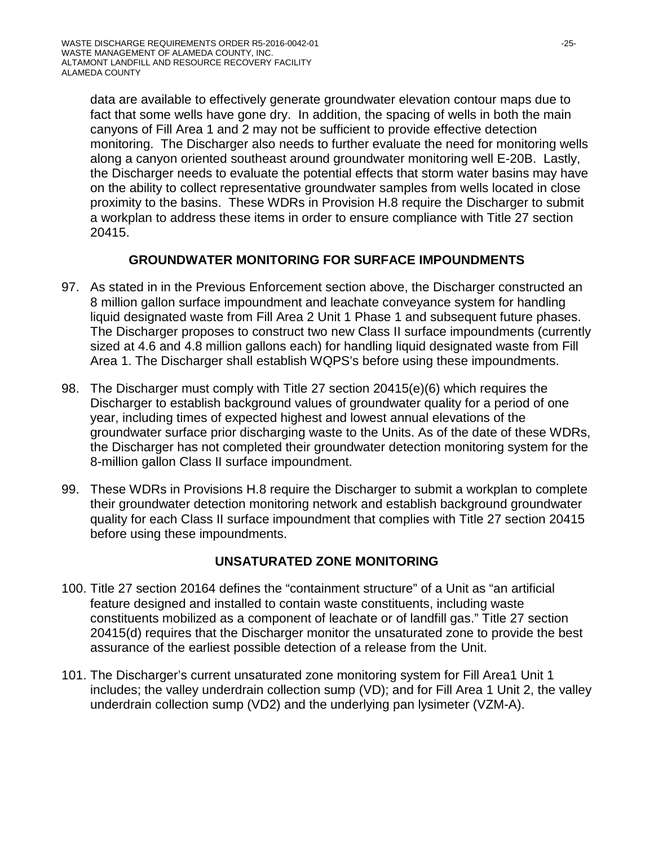data are available to effectively generate groundwater elevation contour maps due to fact that some wells have gone dry. In addition, the spacing of wells in both the main canyons of Fill Area 1 and 2 may not be sufficient to provide effective detection monitoring. The Discharger also needs to further evaluate the need for monitoring wells along a canyon oriented southeast around groundwater monitoring well E-20B. Lastly, the Discharger needs to evaluate the potential effects that storm water basins may have on the ability to collect representative groundwater samples from wells located in close proximity to the basins. These WDRs in Provision H.8 require the Discharger to submit a workplan to address these items in order to ensure compliance with Title 27 section 20415.

# **GROUNDWATER MONITORING FOR SURFACE IMPOUNDMENTS**

- 97. As stated in in the Previous Enforcement section above, the Discharger constructed an 8 million gallon surface impoundment and leachate conveyance system for handling liquid designated waste from Fill Area 2 Unit 1 Phase 1 and subsequent future phases. The Discharger proposes to construct two new Class II surface impoundments (currently sized at 4.6 and 4.8 million gallons each) for handling liquid designated waste from Fill Area 1. The Discharger shall establish WQPS's before using these impoundments.
- 98. The Discharger must comply with Title 27 section 20415(e)(6) which requires the Discharger to establish background values of groundwater quality for a period of one year, including times of expected highest and lowest annual elevations of the groundwater surface prior discharging waste to the Units. As of the date of these WDRs, the Discharger has not completed their groundwater detection monitoring system for the 8-million gallon Class II surface impoundment.
- 99. These WDRs in Provisions H.8 require the Discharger to submit a workplan to complete their groundwater detection monitoring network and establish background groundwater quality for each Class II surface impoundment that complies with Title 27 section 20415 before using these impoundments.

# **UNSATURATED ZONE MONITORING**

- 100. Title 27 section 20164 defines the "containment structure" of a Unit as "an artificial feature designed and installed to contain waste constituents, including waste constituents mobilized as a component of leachate or of landfill gas." Title 27 section 20415(d) requires that the Discharger monitor the unsaturated zone to provide the best assurance of the earliest possible detection of a release from the Unit.
- 101. The Discharger's current unsaturated zone monitoring system for Fill Area1 Unit 1 includes; the valley underdrain collection sump (VD); and for Fill Area 1 Unit 2, the valley underdrain collection sump (VD2) and the underlying pan lysimeter (VZM-A).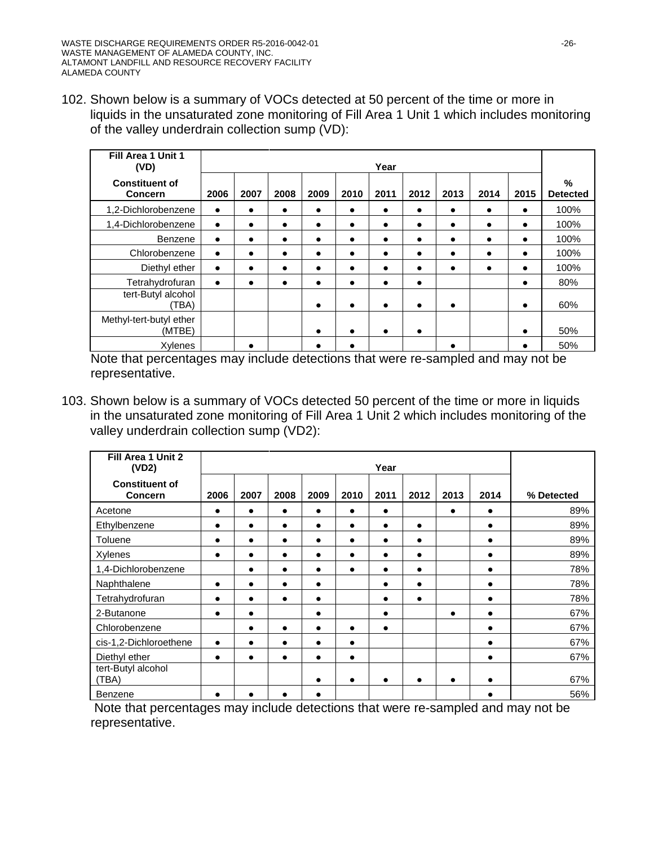102. Shown below is a summary of VOCs detected at 50 percent of the time or more in liquids in the unsaturated zone monitoring of Fill Area 1 Unit 1 which includes monitoring of the valley underdrain collection sump (VD):

| Fill Area 1 Unit 1<br>(VD)              |           |           |           |           |           | Year      |           |           |           |           |                      |
|-----------------------------------------|-----------|-----------|-----------|-----------|-----------|-----------|-----------|-----------|-----------|-----------|----------------------|
| <b>Constituent of</b><br><b>Concern</b> | 2006      | 2007      | 2008      | 2009      | 2010      | 2011      | 2012      | 2013      | 2014      | 2015      | %<br><b>Detected</b> |
| 1,2-Dichlorobenzene                     | $\bullet$ | $\bullet$ | $\bullet$ | $\bullet$ | $\bullet$ | $\bullet$ | $\bullet$ | $\bullet$ | $\bullet$ | ٠         | 100%                 |
| 1,4-Dichlorobenzene                     | $\bullet$ | $\bullet$ | $\bullet$ | $\bullet$ | $\bullet$ | $\bullet$ | $\bullet$ | $\bullet$ | $\bullet$ | ٠         | 100%                 |
| Benzene                                 | $\bullet$ | $\bullet$ | $\bullet$ | $\bullet$ | $\bullet$ | $\bullet$ | $\bullet$ | $\bullet$ | $\bullet$ | ٠         | 100%                 |
| Chlorobenzene                           | $\bullet$ | $\bullet$ | $\bullet$ | $\bullet$ | $\bullet$ | $\bullet$ | ٠         | $\bullet$ | $\bullet$ | ٠         | 100%                 |
| Diethyl ether                           | $\bullet$ | $\bullet$ | $\bullet$ | $\bullet$ | $\bullet$ | ٠         | ٠         | $\bullet$ | $\bullet$ |           | 100%                 |
| Tetrahydrofuran                         | $\bullet$ | $\bullet$ | $\bullet$ | $\bullet$ | $\bullet$ | $\bullet$ | $\bullet$ |           |           | ٠         | 80%                  |
| tert-Butyl alcohol<br>(TBA)             |           |           |           | $\bullet$ | $\bullet$ | $\bullet$ | $\bullet$ | $\bullet$ |           | $\bullet$ | 60%                  |
| Methyl-tert-butyl ether<br>(MTBE)       |           |           |           | $\bullet$ | $\bullet$ | $\bullet$ | $\bullet$ |           |           | ٠         | 50%                  |
| Xylenes                                 |           |           |           |           |           |           |           | ∙         |           |           | 50%                  |

Note that percentages may include detections that were re-sampled and may not be representative.

103. Shown below is a summary of VOCs detected 50 percent of the time or more in liquids in the unsaturated zone monitoring of Fill Area 1 Unit 2 which includes monitoring of the valley underdrain collection sump (VD2):

| Fill Area 1 Unit 2<br>(VD2)             |           |           |           |           |           | Year      |           |           |           |            |
|-----------------------------------------|-----------|-----------|-----------|-----------|-----------|-----------|-----------|-----------|-----------|------------|
| <b>Constituent of</b><br><b>Concern</b> | 2006      | 2007      | 2008      | 2009      | 2010      | 2011      | 2012      | 2013      | 2014      | % Detected |
| Acetone                                 | $\bullet$ | $\bullet$ | $\bullet$ | $\bullet$ | $\bullet$ | $\bullet$ |           | $\bullet$ | $\bullet$ | 89%        |
| Ethylbenzene                            | $\bullet$ | $\bullet$ | $\bullet$ | $\bullet$ | $\bullet$ | $\bullet$ | $\bullet$ |           | $\bullet$ | 89%        |
| Toluene                                 | $\bullet$ | $\bullet$ | $\bullet$ | $\bullet$ | $\bullet$ | $\bullet$ | $\bullet$ |           | $\bullet$ | 89%        |
| Xylenes                                 | $\bullet$ |           |           |           |           | $\bullet$ | $\bullet$ |           | $\bullet$ | 89%        |
| 1,4-Dichlorobenzene                     |           |           | $\bullet$ |           | $\bullet$ | $\bullet$ | $\bullet$ |           | $\bullet$ | 78%        |
| Naphthalene                             | $\bullet$ | $\bullet$ | $\bullet$ |           |           | $\bullet$ | $\bullet$ |           | $\bullet$ | 78%        |
| Tetrahydrofuran                         |           |           |           |           |           |           | $\bullet$ |           | $\bullet$ | 78%        |
| 2-Butanone                              | $\bullet$ |           |           | $\bullet$ |           |           |           |           | $\bullet$ | 67%        |
| Chlorobenzene                           |           | $\bullet$ | $\bullet$ |           | $\bullet$ | $\bullet$ |           |           | $\bullet$ | 67%        |
| cis-1,2-Dichloroethene                  | $\bullet$ | $\bullet$ | $\bullet$ |           | $\bullet$ |           |           |           | $\bullet$ | 67%        |
| Diethyl ether                           | $\bullet$ | $\bullet$ | $\bullet$ | $\bullet$ | $\bullet$ |           |           |           | $\bullet$ | 67%        |
| tert-Butyl alcohol<br>(TBA)             |           |           |           |           |           |           | ٠         |           |           | 67%        |
| Benzene                                 | ٠         |           | ٠         |           |           |           |           |           |           | 56%        |

Note that percentages may include detections that were re-sampled and may not be representative.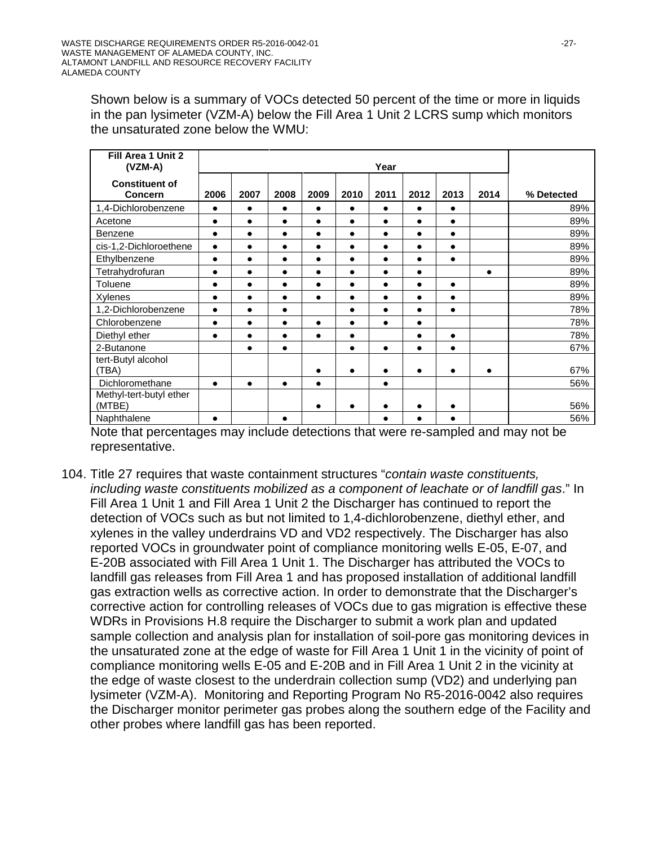Shown below is a summary of VOCs detected 50 percent of the time or more in liquids in the pan lysimeter (VZM-A) below the Fill Area 1 Unit 2 LCRS sump which monitors the unsaturated zone below the WMU:

| Fill Area 1 Unit 2<br>$(VZM-A)$         |           |           |           |           |           | Year      |           |           |           |            |  |  |  |  |  |
|-----------------------------------------|-----------|-----------|-----------|-----------|-----------|-----------|-----------|-----------|-----------|------------|--|--|--|--|--|
| <b>Constituent of</b><br><b>Concern</b> | 2006      | 2007      | 2008      | 2009      | 2010      | 2011      | 2012      | 2013      | 2014      | % Detected |  |  |  |  |  |
| 1,4-Dichlorobenzene                     | $\bullet$ | $\bullet$ | $\bullet$ | $\bullet$ | $\bullet$ | $\bullet$ | $\bullet$ | ٠         |           | 89%        |  |  |  |  |  |
| Acetone                                 | $\bullet$ | $\bullet$ | $\bullet$ | $\bullet$ | $\bullet$ | $\bullet$ |           | $\bullet$ |           | 89%        |  |  |  |  |  |
| Benzene                                 | $\bullet$ | $\bullet$ |           |           |           |           |           |           |           | 89%        |  |  |  |  |  |
| cis-1,2-Dichloroethene                  | $\bullet$ | $\bullet$ | $\bullet$ | $\bullet$ | $\bullet$ | $\bullet$ | $\bullet$ | $\bullet$ |           | 89%        |  |  |  |  |  |
| Ethylbenzene                            | $\bullet$ | $\bullet$ |           | $\bullet$ |           | $\bullet$ |           | $\bullet$ |           | 89%        |  |  |  |  |  |
| Tetrahydrofuran                         | $\bullet$ | $\bullet$ |           | $\bullet$ |           |           |           |           | $\bullet$ | 89%        |  |  |  |  |  |
| Toluene                                 | $\bullet$ | $\bullet$ | $\bullet$ | $\bullet$ | $\bullet$ | $\bullet$ |           | $\bullet$ |           | 89%        |  |  |  |  |  |
| Xylenes                                 | $\bullet$ | $\bullet$ | $\bullet$ | $\bullet$ | $\bullet$ | $\bullet$ | $\bullet$ | $\bullet$ |           | 89%        |  |  |  |  |  |
| 1,2-Dichlorobenzene                     | $\bullet$ | $\bullet$ | $\bullet$ |           |           | $\bullet$ |           | $\bullet$ |           | 78%        |  |  |  |  |  |
| Chlorobenzene                           | $\bullet$ | $\bullet$ |           |           |           |           |           |           |           | 78%        |  |  |  |  |  |
| Diethyl ether                           | $\bullet$ | $\bullet$ | $\bullet$ | $\bullet$ | $\bullet$ |           |           | $\bullet$ |           | 78%        |  |  |  |  |  |
| 2-Butanone                              |           | $\bullet$ | $\bullet$ |           | $\bullet$ | $\bullet$ |           | $\bullet$ |           | 67%        |  |  |  |  |  |
| tert-Butyl alcohol<br>(TBA)             |           |           |           |           |           |           |           |           |           | 67%        |  |  |  |  |  |
| Dichloromethane                         | $\bullet$ | $\bullet$ | $\bullet$ | $\bullet$ |           | $\bullet$ |           |           |           | 56%        |  |  |  |  |  |
| Methyl-tert-butyl ether<br>(MTBE)       |           |           |           |           |           |           |           |           |           | 56%        |  |  |  |  |  |
| Naphthalene                             | $\bullet$ |           | $\bullet$ |           |           | $\bullet$ |           |           |           | 56%        |  |  |  |  |  |

Note that percentages may include detections that were re-sampled and may not be representative.

104. Title 27 requires that waste containment structures "*contain waste constituents, including waste constituents mobilized as a component of leachate or of landfill gas*." In Fill Area 1 Unit 1 and Fill Area 1 Unit 2 the Discharger has continued to report the detection of VOCs such as but not limited to 1,4-dichlorobenzene, diethyl ether, and xylenes in the valley underdrains VD and VD2 respectively. The Discharger has also reported VOCs in groundwater point of compliance monitoring wells E-05, E-07, and E-20B associated with Fill Area 1 Unit 1. The Discharger has attributed the VOCs to landfill gas releases from Fill Area 1 and has proposed installation of additional landfill gas extraction wells as corrective action. In order to demonstrate that the Discharger's corrective action for controlling releases of VOCs due to gas migration is effective these WDRs in Provisions H.8 require the Discharger to submit a work plan and updated sample collection and analysis plan for installation of soil-pore gas monitoring devices in the unsaturated zone at the edge of waste for Fill Area 1 Unit 1 in the vicinity of point of compliance monitoring wells E-05 and E-20B and in Fill Area 1 Unit 2 in the vicinity at the edge of waste closest to the underdrain collection sump (VD2) and underlying pan lysimeter (VZM-A). Monitoring and Reporting Program No R5-2016-0042 also requires the Discharger monitor perimeter gas probes along the southern edge of the Facility and other probes where landfill gas has been reported.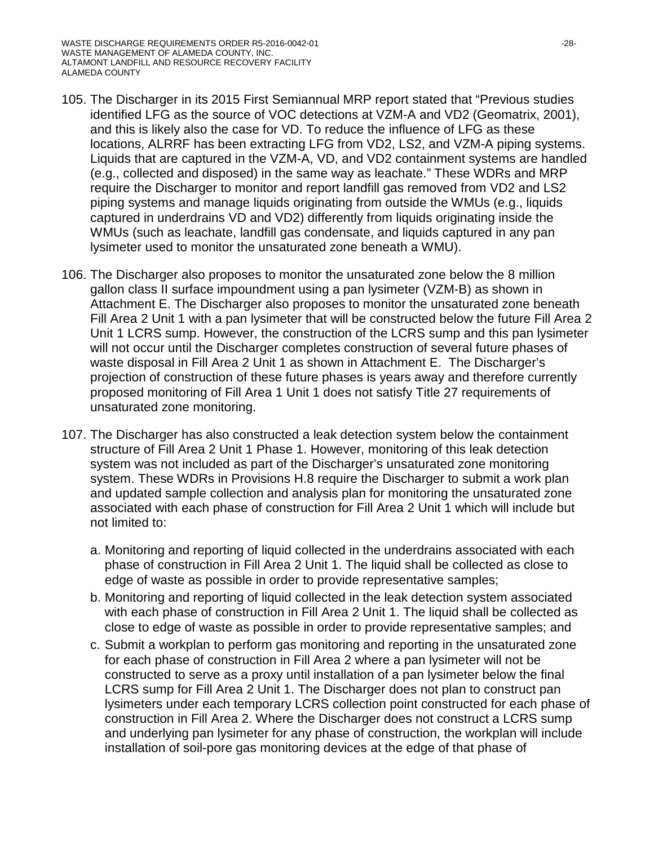- 105. The Discharger in its 2015 First Semiannual MRP report stated that "Previous studies identified LFG as the source of VOC detections at VZM-A and VD2 (Geomatrix, 2001), and this is likely also the case for VD. To reduce the influence of LFG as these locations, ALRRF has been extracting LFG from VD2, LS2, and VZM-A piping systems. Liquids that are captured in the VZM-A, VD, and VD2 containment systems are handled (e.g., collected and disposed) in the same way as leachate." These WDRs and MRP require the Discharger to monitor and report landfill gas removed from VD2 and LS2 piping systems and manage liquids originating from outside the WMUs (e.g., liquids captured in underdrains VD and VD2) differently from liquids originating inside the WMUs (such as leachate, landfill gas condensate, and liquids captured in any pan lysimeter used to monitor the unsaturated zone beneath a WMU).
- 106. The Discharger also proposes to monitor the unsaturated zone below the 8 million gallon class II surface impoundment using a pan lysimeter (VZM-B) as shown in Attachment E. The Discharger also proposes to monitor the unsaturated zone beneath Fill Area 2 Unit 1 with a pan lysimeter that will be constructed below the future Fill Area 2 Unit 1 LCRS sump. However, the construction of the LCRS sump and this pan lysimeter will not occur until the Discharger completes construction of several future phases of waste disposal in Fill Area 2 Unit 1 as shown in Attachment E. The Discharger's projection of construction of these future phases is years away and therefore currently proposed monitoring of Fill Area 1 Unit 1 does not satisfy Title 27 requirements of unsaturated zone monitoring.
- 107. The Discharger has also constructed a leak detection system below the containment structure of Fill Area 2 Unit 1 Phase 1. However, monitoring of this leak detection system was not included as part of the Discharger's unsaturated zone monitoring system. These WDRs in Provisions H.8 require the Discharger to submit a work plan and updated sample collection and analysis plan for monitoring the unsaturated zone associated with each phase of construction for Fill Area 2 Unit 1 which will include but not limited to:
	- a. Monitoring and reporting of liquid collected in the underdrains associated with each phase of construction in Fill Area 2 Unit 1. The liquid shall be collected as close to edge of waste as possible in order to provide representative samples;
	- b. Monitoring and reporting of liquid collected in the leak detection system associated with each phase of construction in Fill Area 2 Unit 1. The liquid shall be collected as close to edge of waste as possible in order to provide representative samples; and
	- c. Submit a workplan to perform gas monitoring and reporting in the unsaturated zone for each phase of construction in Fill Area 2 where a pan lysimeter will not be constructed to serve as a proxy until installation of a pan lysimeter below the final LCRS sump for Fill Area 2 Unit 1. The Discharger does not plan to construct pan lysimeters under each temporary LCRS collection point constructed for each phase of construction in Fill Area 2. Where the Discharger does not construct a LCRS sump and underlying pan lysimeter for any phase of construction, the workplan will include installation of soil-pore gas monitoring devices at the edge of that phase of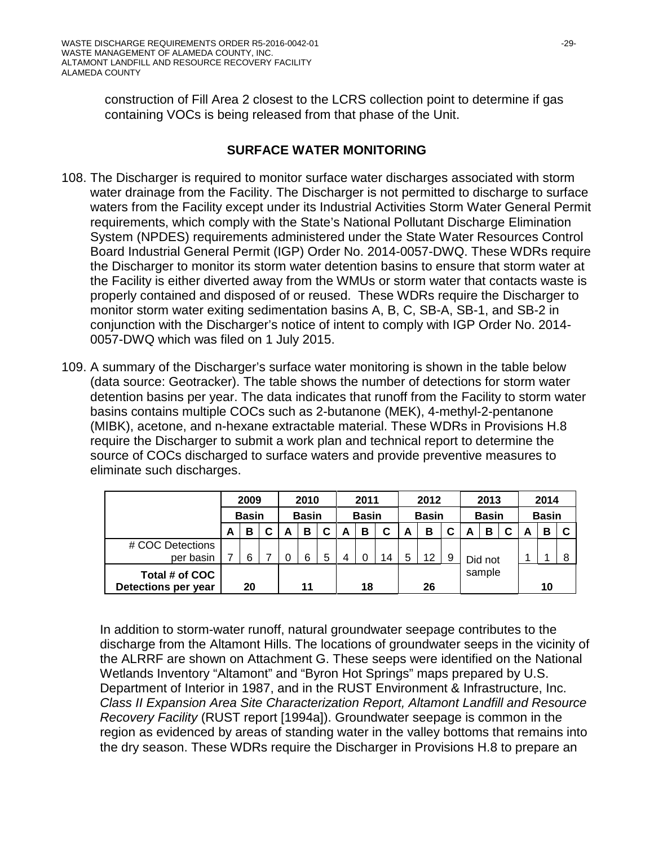construction of Fill Area 2 closest to the LCRS collection point to determine if gas containing VOCs is being released from that phase of the Unit.

## **SURFACE WATER MONITORING**

- 108. The Discharger is required to monitor surface water discharges associated with storm water drainage from the Facility. The Discharger is not permitted to discharge to surface waters from the Facility except under its Industrial Activities Storm Water General Permit requirements, which comply with the State's National Pollutant Discharge Elimination System (NPDES) requirements administered under the State Water Resources Control Board Industrial General Permit (IGP) Order No. 2014-0057-DWQ. These WDRs require the Discharger to monitor its storm water detention basins to ensure that storm water at the Facility is either diverted away from the WMUs or storm water that contacts waste is properly contained and disposed of or reused. These WDRs require the Discharger to monitor storm water exiting sedimentation basins A, B, C, SB-A, SB-1, and SB-2 in conjunction with the Discharger's notice of intent to comply with IGP Order No. 2014- 0057-DWQ which was filed on 1 July 2015.
- 109. A summary of the Discharger's surface water monitoring is shown in the table below (data source: Geotracker). The table shows the number of detections for storm water detention basins per year. The data indicates that runoff from the Facility to storm water basins contains multiple COCs such as 2-butanone (MEK), 4-methyl-2-pentanone (MIBK), acetone, and n-hexane extractable material. These WDRs in Provisions H.8 require the Discharger to submit a work plan and technical report to determine the source of COCs discharged to surface waters and provide preventive measures to eliminate such discharges.

|                                       |              | 2009   |    |              | 2010   |    |              | 2011 |              |              | 2012    |        |   | 2013         |  |              | 2014 |  |  |
|---------------------------------------|--------------|--------|----|--------------|--------|----|--------------|------|--------------|--------------|---------|--------|---|--------------|--|--------------|------|--|--|
|                                       | <b>Basin</b> |        |    | <b>Basin</b> |        |    | <b>Basin</b> |      |              | <b>Basin</b> |         |        |   | <b>Basin</b> |  | <b>Basin</b> |      |  |  |
|                                       | A            | в<br>C |    | A            | в      |    | А            | в    | C            | A            | в       | C      | А | в            |  | A            | в    |  |  |
| # COC Detections                      |              |        |    |              |        |    |              |      |              |              |         |        |   |              |  |              |      |  |  |
| per basin                             |              | 6      |    |              | 5<br>6 |    | 14           |      | 12<br>5<br>9 |              | Did not |        |   |              |  |              |      |  |  |
| Total # of COC<br>Detections per year | 20           |        | 11 |              |        | 18 |              |      | 26           |              |         | sample |   |              |  | 10           |      |  |  |

In addition to storm-water runoff, natural groundwater seepage contributes to the discharge from the Altamont Hills. The locations of groundwater seeps in the vicinity of the ALRRF are shown on Attachment G. These seeps were identified on the National Wetlands Inventory "Altamont" and "Byron Hot Springs" maps prepared by U.S. Department of Interior in 1987, and in the RUST Environment & Infrastructure, Inc. *Class II Expansion Area Site Characterization Report, Altamont Landfill and Resource Recovery Facility* (RUST report [1994a]). Groundwater seepage is common in the region as evidenced by areas of standing water in the valley bottoms that remains into the dry season. These WDRs require the Discharger in Provisions H.8 to prepare an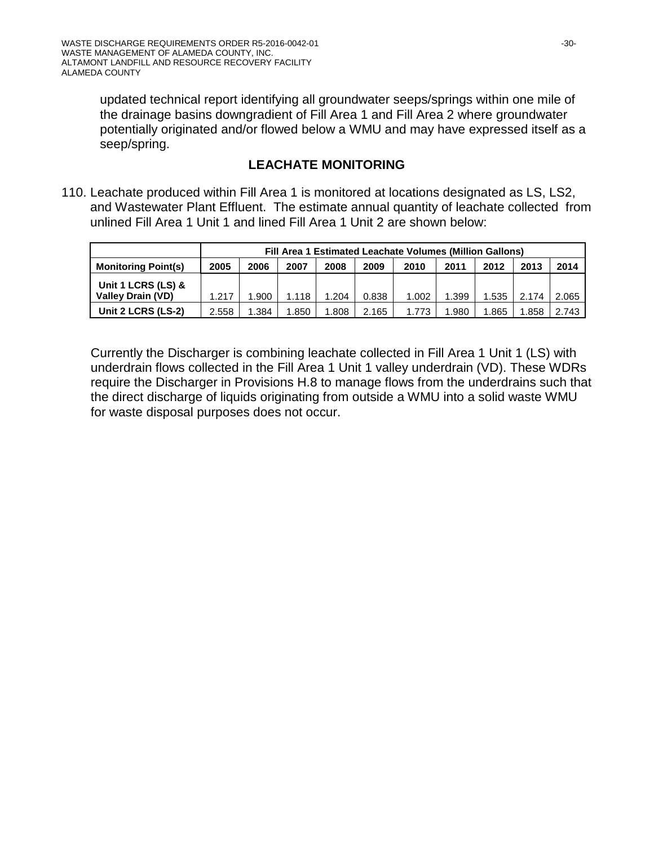updated technical report identifying all groundwater seeps/springs within one mile of the drainage basins downgradient of Fill Area 1 and Fill Area 2 where groundwater potentially originated and/or flowed below a WMU and may have expressed itself as a seep/spring.

## **LEACHATE MONITORING**

110. Leachate produced within Fill Area 1 is monitored at locations designated as LS, LS2, and Wastewater Plant Effluent. The estimate annual quantity of leachate collected from unlined Fill Area 1 Unit 1 and lined Fill Area 1 Unit 2 are shown below:

|                            |       |                                                                          |       |       |       | Fill Area 1 Estimated Leachate Volumes (Million Gallons) |       |       |       |       |  |  |  |  |  |
|----------------------------|-------|--------------------------------------------------------------------------|-------|-------|-------|----------------------------------------------------------|-------|-------|-------|-------|--|--|--|--|--|
| <b>Monitoring Point(s)</b> | 2005  | 2014<br>2006<br>2007<br>2011<br>2013<br>2008<br>2009<br>2012<br>2010     |       |       |       |                                                          |       |       |       |       |  |  |  |  |  |
| Unit 1 LCRS (LS) &         |       |                                                                          |       |       |       |                                                          |       |       |       |       |  |  |  |  |  |
| <b>Valley Drain (VD)</b>   | 1.217 | 1.900                                                                    | 1.118 | 1.204 | 0.838 | 1.002                                                    | 1.399 | 1.535 | 2.174 | 2.065 |  |  |  |  |  |
| Unit 2 LCRS (LS-2)         | 2.558 | .384<br>1.808<br>2.165<br>.865<br>.850<br>.980<br>2.743<br>1.773<br>.858 |       |       |       |                                                          |       |       |       |       |  |  |  |  |  |

Currently the Discharger is combining leachate collected in Fill Area 1 Unit 1 (LS) with underdrain flows collected in the Fill Area 1 Unit 1 valley underdrain (VD). These WDRs require the Discharger in Provisions H.8 to manage flows from the underdrains such that the direct discharge of liquids originating from outside a WMU into a solid waste WMU for waste disposal purposes does not occur.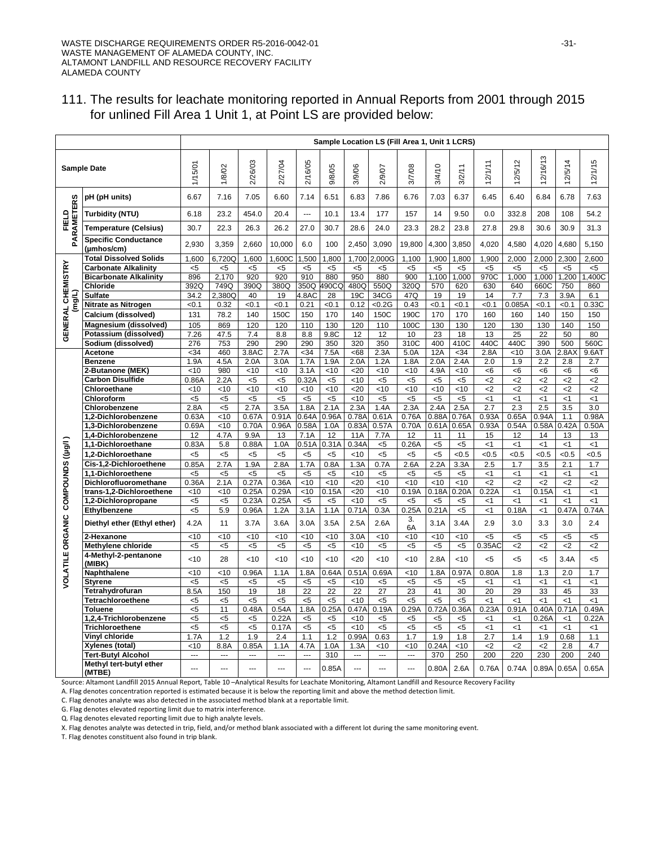|                         |                                           |                 |                   |                  |                 |                |                |               |                | Sample Location LS (Fill Area 1, Unit 1 LCRS) |                |                |                      |                |                      |              |                       |
|-------------------------|-------------------------------------------|-----------------|-------------------|------------------|-----------------|----------------|----------------|---------------|----------------|-----------------------------------------------|----------------|----------------|----------------------|----------------|----------------------|--------------|-----------------------|
|                         | <b>Sample Date</b>                        | 1/15/01         | 1/8/02            | 2/26/03          | 2/27/04         | 2/16/05        | 9/8/05         | 3/9/06        | 2/9/07         | 3/7/08                                        | 3/4/10         | 3/2/11         | 12/1/11              | 12/5/12        | 12/16/13             | 12/5/14      | 12/1/15               |
| ဖာ                      | pH (pH units)                             | 6.67            | 7.16              | 7.05             | 6.60            | 7.14           | 6.51           | 6.83          | 7.86           | 6.76                                          | 7.03           | 6.37           | 6.45                 | 6.40           | 6.84                 | 6.78         | 7.63                  |
| PARAMETER               | Turbidity (NTU)                           | 6.18            | 23.2              | 454.0            | 20.4            | ---            | 10.1           | 13.4          | 177            | 157                                           | 14             | 9.50           | 0.0                  | 332.8          | 208                  | 108          | 54.2                  |
| FIELD                   | Temperature (Celsius)                     | 30.7            | 22.3              | 26.3             | 26.2            | 27.0           | 30.7           | 28.6          | 24.0           | 23.3                                          | 28.2           | 23.8           | 27.8                 | 29.8           | 30.6                 | 30.9         | 31.3                  |
|                         | <b>Specific Conductance</b><br>(umhos/cm) | 2,930           | 3,359             | 2,660            | 10,000          | 6.0            | 100            | 2,450         | 3,090          | 19,800                                        | 4,300          | 3,850          | 4,020                | 4,580          | 4,020                | 4,680        | 5,150                 |
|                         | <b>Total Dissolved Solids</b>             | 1,600           | 6,720Q            | 1,600            | 1,600C          | 1,500          | 1,800          | 1,700         | 2,000G         | 1,100                                         | 1,900          | 1,800          | 1,900                | 2,000          | 2,000                | 2,300        | 2,600                 |
| GENERAL CHEMISTRY       | <b>Carbonate Alkalinity</b>               | $5$             | $5$               | $< 5$            | $<$ 5           | < 5            | $<$ 5          | $5$           | $5$            | $5$                                           | $< 5$          | $<$ 5          | $5$                  | $5$            | $5$                  | $5$          | $5$                   |
|                         | <b>Bicarbonate Alkalinity</b>             | 896             | 2,170             | 920              | 920             | 910            | 880            | 950           | 880            | 900                                           | 1,100          | 1.000          | 970C                 | 1.000          | 1.000                | 1.200        | ,400C                 |
|                         | Chloride                                  | 392Q            | 749Q              | 390Q             | 380Q            | 350Q           | 490CQ          | 480Q          | 550Q           | 320Q                                          | 570            | 620            | 630                  | 640            | 660C                 | 750          | 860                   |
| ट्ठ                     | Sulfate                                   | 34.2            | 2,380Q            | 40               | 19              | 4.8AC          | 28             | 19C           | 34CG           | 47Q                                           | 19             | 19             | 14                   | 7.7            | 7.3                  | 3.9A         | 6.1                   |
|                         | Nitrate as Nitrogen                       | < 0.1           | 0.32              | < 0.1            | < 0.1           | 0.21           | < 0.1          | 0.12          | < 0.2G         | 0.43                                          | < 0.1          | < 0.1          | < 0.1                | 0.085A         | < 0.1                | < 0.1        | 0.33C                 |
|                         | Calcium (dissolved)                       | 131             | 78.2              | 140              | 150C            | 150            | 170            | 140           | 150C           | 190C                                          | 170            | 170            | 160                  | 160            | 140                  | 150          | 150                   |
|                         | Magnesium (dissolved)                     | 105             | 869               | 120              | 120             | 110            | 130            | 120           | 110            | 100C                                          | 130            | 130            | 120                  | 130            | 130                  | 140          | 150                   |
|                         | Potassium (dissolved)                     | 7.26            | 47.5              | 7.4              | 8.8             | 8.8            | 9.8C           | 12            | 12             | 10                                            | 23             | 18             | 13                   | 25             | 22                   | 50           | 80                    |
|                         | Sodium (dissolved)                        | 276             | 753               | 290              | 290             | 290            | 350            | 320           | 350            | 310C                                          | 400            | 410C           | 440C                 | 440C           | 390                  | 500          | 560C                  |
|                         | Acetone                                   | $34$            | 460               | 3.8AC            | 2.7A            | $34$           | 7.5A           | <68           | 2.3A           | 5.0A                                          | 12A            | < 34           | 2.8A                 | <10            | 3.0A                 | 2.8A         | 9.6AT                 |
|                         | Benzene<br>2-Butanone (MEK)               | 1.9A<br><10     | 4.5A<br>980       | 2.0A<br>$<$ 10   | 3.0A<br>< 10    | 1.7A<br>3.1A   | 1.9A<br>$<$ 10 | 2.0A<br>$20$  | 1.2A<br><10    | 1.8A<br><10                                   | 2.0A<br>4.9A   | 2.4A<br><10    | 2.0                  | 1.9            | 2.2                  | 2.8          | 2.7                   |
|                         | <b>Carbon Disulfide</b>                   | 0.86A           | 2.2A              | $<$ 5            | $< 5$           | 0.32A          | $<$ 5          | <10           | $< 5$          | $5$                                           | $5$            | $<$ 5          | -6<br>$\overline{c}$ | <6<br>$2$      | <6<br>$\overline{2}$ | <6<br>$2$    | < 6<br>$\overline{2}$ |
|                         | Chloroethane                              | <10             | < 10              | <10              | <10             | <10            | <10            | <20           | <10            | <10                                           | <10            | <10            | $\epsilon$           | $2$            | $\epsilon$           | $2$          | $2$                   |
|                         | Chloroform                                | $5$             | $5$               | < 5              | $< 5$           | < 5            | $< 5$          | <10           | $5$            | < 5                                           | < 5            | $5$            | $\leq$ 1             | < 1            | < 1                  | < 1          | < 1                   |
|                         | Chlorobenzene                             | 2.8A            | $5$               | 2.7A             | 3.5A            | 1.8A           | 2.1A           | 2.3A          | 1.4A           | 2.3A                                          | 2.4A           | 2.5A           | 2.7                  | 2.3            | 2.5                  | 3.5          | 3.0                   |
|                         | 1,2-Dichlorobenzene                       | 0.63A           | <10               | 0.67A            | 0.91A           | 0.64A          | 0.96A          | 0.78A         | 0.61A          | 0.76A                                         | 0.88A          | 0.76A          | 0.93A                | 0.65A          | 0.94A                | 1.1          | 0.98A                 |
|                         | 1,3-Dichlorobenzene                       | 0.69A           | < 10              | 0.70A            | 0.96A           | 0.58A          | 1.0A           | 0.83A         | 0.57A          | 0.70A                                         | 0.61A          | 0.65A          | 0.93A                | 0.54A          | 0.58A                | 0.42A        | 0.50A                 |
|                         | 1,4-Dichlorobenzene                       | 12              | 4.7A              | 9.9A             | 13              | 7.1A           | 12             | 11A           | 7.7A           | 12                                            | 11             | 11             | 15                   | 12             | 14                   | 13           | 13                    |
|                         | 1,1-Dichloroethane                        | 0.83A           | 5.8               | 0.88A            | 1.0A            | 0.51A          | 0.31A          | 0.34A         | $5$            | 0.26A                                         | $<$ 5          | $5$            | $<$ 1                | < 1            | < 1                  | < 1          | < 1                   |
| COMPOUNDS ((µg/l        | 1.2-Dichloroethane                        | < 5             | $5$               | $5$              | < 5             | $<$ 5          | $5$            | <10           | < 5            | $5$                                           | $<$ 5          | <0.5           | < 0.5                | <0.5           | <0.5                 | < 0.5        | <0.5                  |
|                         | Cis-1,2-Dichloroethene                    | 0.85A           | 2.7A              | 1.9A             | 2.8A            | 1.7A           | 0.8A           | 1.3A          | 0.7A           | 2.6A                                          | 2.2A           | 3.3A           | 2.5                  | 1.7            | 3.5                  | 2.1          | 1.7                   |
|                         | 1,1-Dichloroethene                        | $5$             | $5$               | $5$              | $5$             | < 5            | < 5            | < 10          | $5$            | $5$                                           | < 5            | $<$ 5          | < 1                  | < 1            | < 1                  | $<$ 1        | $<$ 1                 |
|                         | Dichlorofluoromethane                     | 0.36A           | $2.1\overline{A}$ | 0.27A            | 0.36A           | <10            | <10            | 20            | < 10           | <10                                           | < 10           | <10            | $\mathsf{c}2$        | <2             | $2$                  | $2$          | $2$                   |
|                         | trans-1,2-Dichloroethene                  | <10             | <10               | 0.25A            | 0.29A           | <10            | 0.15A          | 20            | < 10           | 0.19A                                         | 0.18A          | 0.20A          | 0.22A                | $\leq$ 1       | 0.15A                | $\leq$ 1     | $\leq$ 1              |
|                         | 1,2-Dichloropropane                       | $5$             | $5$               | 0.23A            | 0.25A           | $<$ 5          | $<$ 5          | <10           | <5             | $5$                                           | $5$            | <5             | <1                   | $\leq$ 1       | $\leq$ 1             | $\leq$ 1     | < 1                   |
|                         | Ethylbenzene                              | $5$             | 5.9               | 0.96A            | 1.2A            | 3.1A           | 1.1A           | 0.71A         | 0.3A           | 0.25A                                         | 0.21A          | $<$ 5          | < 1                  | 0.18A          | < 1                  | 0.47A        | 0.74A                 |
| <b>VOLATILE ORGANIC</b> | Diethyl ether (Ethyl ether)               | 4.2A            | 11                | 3.7A             | 3.6A            | 3.0A           | 3.5A           | 2.5A          | 2.6A           | 3.<br>6A                                      | 3.1A           | 3.4A           | 2.9                  | 3.0            | 3.3                  | 3.0          | 2.4                   |
|                         | 2-Hexanone                                | $\overline{40}$ | $\overline{5}$    | $\overline{.10}$ | $\overline{40}$ | $\overline{5}$ | $\overline{5}$ | 3.0A          | $\overline{5}$ | $\overline{5}$                                | $\overline{5}$ | $\overline{5}$ | $5$                  | $5$            | $<$ 5                | $5$          | $5$                   |
|                         | Methylene chloride                        | $5$             | $5$               | $<$ 5            | $< 5$           | $< 5$          | $< 5$          | $<$ 10        | $<$ 5          | $<$ 5                                         | $< 5$          | $<$ 5          | 0.35AC               | $<$ 2          | <2                   | $<$ 2        | $<$ 2                 |
|                         | 4-Methyl-2-pentanone<br>(MIBK)            | 10              | 28                | <10              | <10             | < 10           | < 10           | 20            | <10            | <10                                           | 2.8A           | < 10           | <5                   | $5$            | $<$ 5                | 3.4A         | $5$                   |
|                         | Naphthalene                               | <10             | < 10              | 0.96A            | 1.1A            | 1.8A           | 0.64A          | 0.51A         | 0.69A          | <10                                           | 1.8A           | 0.97A          | 0.80A                | 1.8            | 1.3                  | 2.0          | 1.7                   |
|                         | Styrene                                   | $< 5$           | $5$               | $<$ 5            | $< 5$           | $5$            | <5             | < 10          | $<$ 5          | $5$                                           | $< 5$          | $<$ 5          | $<$ 1                | < 1            | < 1                  | $<$ 1        | < 1                   |
|                         | Tetrahydrofuran                           | 8.5A            | 150               | 19               | 18              | 22             | 22             | 22            | 27             | 23                                            | 41             | 30             | 20                   | 29             | 33                   | 45           | 33                    |
|                         | Tetrachloroethene<br>Toluene              | $5$             | $5$               | $5$              | $5$             | $< 5$          | $<$ 5          | < 10          | $5$            | $5$                                           | $< 5$          | $<$ 5          | $<$ 1                | < 1            | < 1                  | $<$ 1        | $<$ 1                 |
|                         | 1,2,4-Trichlorobenzene                    | <5<br>$5$       | 11<br>$5$         | 0.48A<br>$5$     | 0.54A<br>0.22A  | 1.8A<br>$<$ 5  | 0.25A<br>$<$ 5 | 0.47A<br>< 10 | 0.19A<br>$5$   | 0.29A<br>$5$                                  | 0.72A<br>$5$   | 0.36A<br>$5$   | 0.23A<br><1          | 0.91A<br>$<$ 1 | 0.40A<br>0.26A       | 0.71A<br>< 1 | 0.49A<br>0.22A        |
|                         | Trichloroethene                           | $5$             | $5$               | $5$              | 0.17A           | < 5            | $<$ 5          | <10           | $5$            | $5$                                           | $< 5$          | $5$            | <1                   | $<$ 1          | < 1                  | $<$ 1        | $<$ 1                 |
|                         | Vinyl chloride                            | 1.7A            | 1.2               | 1.9              | 2.4             | 1.1            | 1.2            | 0.99A         | 0.63           | 1.7                                           | 1.9            | 1.8            | 2.7                  | 1.4            | 1.9                  | 0.68         | 1.1                   |
|                         | Xylenes (total)                           | <10             | 8.8A              | 0.85A            | 1.1A            | 4.7A           | 1.0A           | 1.3A          | <10            | <10                                           | 0.24A          | 10             | $\mathbf{<}2$        | $2$            | $2$                  | 2.8          | 4.7                   |
|                         | <b>Tert-Butyl Alcohol</b>                 | ---             | ---               | ---              | ---             |                | 310            | ---           | ---            |                                               | 370            | 250            | 200                  | 220            | 230                  | 200          | 240                   |
|                         | Methyl tert-butyl ether<br>(MTBE)         | ---             |                   |                  |                 |                | 0.85A          |               |                |                                               | 0.80A          | 2.6A           | 0.76A                | 0.74A          | 0.89A                | 0.65A        | 0.65A                 |

#### 111. The results for leachate monitoring reported in Annual Reports from 2001 through 2015 for unlined Fill Area 1 Unit 1, at Point LS are provided below:

Source: Altamont Landfill 2015 Annual Report, Table 10 –Analytical Results for Leachate Monitoring, Altamont Landfill and Resource Recovery Facility

A. Flag denotes concentration reported is estimated because it is below the reporting limit and above the method detection limit.

C. Flag denotes analyte was also detected in the associated method blank at a reportable limit.

G. Flag denotes elevated reporting limit due to matrix interference.

Q. Flag denotes elevated reporting limit due to high analyte levels.

X. Flag denotes analyte was detected in trip, field, and/or method blank associated with a different lot during the same monitoring event.

T. Flag denotes constituent also found in trip blank.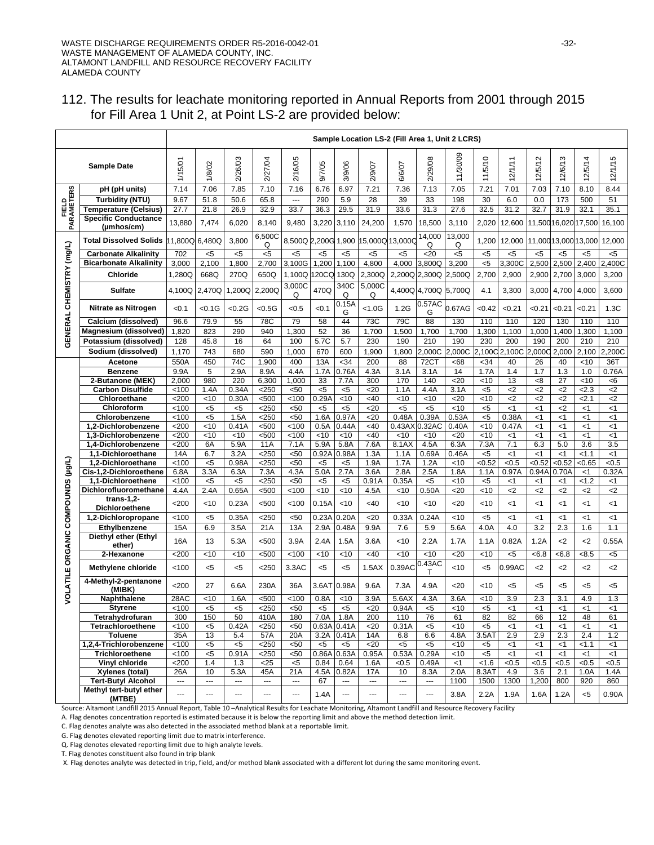# 112. The results for leachate monitoring reported in Annual Reports from 2001 through 2015 for Fill Area 1 Unit 2, at Point LS-2 are provided below:

|                         |                                                        | Sample Location LS-2 (Fill Area 1, Unit 2 LCRS) |                          |                          |                          |                |                |                |                          |                 |                 |                |                |                        |               |                    |                      |                |
|-------------------------|--------------------------------------------------------|-------------------------------------------------|--------------------------|--------------------------|--------------------------|----------------|----------------|----------------|--------------------------|-----------------|-----------------|----------------|----------------|------------------------|---------------|--------------------|----------------------|----------------|
|                         | <b>Sample Date</b>                                     | 1/15/01                                         | 1/8/02                   | 2/26/03                  | 2/27/04                  | 2/16/05        | 9/7/05         | 3/9/06         | 2/9/07                   | 6/6/07          | 2/29/08         | 11/30/09       | 11/5/10        | 12/1/11                | 12/5/12       | 12/6/13            | 12/5/14              | ю<br>12/1/1    |
|                         | pH (pH units)                                          | 7.14                                            | 7.06                     | 7.85                     | 7.10                     | 7.16           | 6.76           | 6.97           | 7.21                     | 7.36            | 7.13            | 7.05           | 7.21           | 7.01                   | 7.03          | 7.10               | 8.10                 | 8.44           |
|                         | <b>Turbidity (NTU)</b>                                 | 9.67                                            | 51.8                     | 50.6                     | 65.8                     | $\overline{a}$ | 290            | 5.9            | 28                       | 39              | 33              | 198            | 30             | 6.0                    | 0.0           | 173                | 500                  | 51             |
| FIELD                   | <b>Temperature (Celsius)</b>                           | 27.7                                            | 21.8                     | 26.9                     | 32.9                     | 33.7           | 36.3           | 29.5           | 31.9                     | 33.6            | 31.3            | 27.6           | 32.5           | 31.2                   | 32.7          | 31.9               | 32.1                 | 35.1           |
| <b>PARAMETERS</b>       | <b>Specific Conductance</b><br>$(\mu m \text{hos/cm})$ | 13,880                                          | 7,474                    | 6,020                    | 8,140                    | 9,480          | 3,220          | 3,110          | 24,200                   | 1,570           | 18,500          | 3,110          | 2,020          | 12,600                 |               |                    | 11,500 16,020 17,500 | 16,100         |
|                         | <b>Total Dissolved Solids</b>                          | 11,800Q                                         | 6,480Q                   | 3,800                    | 6,500C<br>Q              | 8,500Q 2,200G  |                | 1,900          | 15.000Q 13.000C          |                 | 14,000<br>Q     | 13,000<br>Q    | 1,200          | 12,000                 |               |                    | 11,00013,00013,000   | 12,000         |
|                         | <b>Carbonate Alkalinity</b>                            | 702                                             | $5$                      | $<$ 5                    | $5$                      | $<$ 5          | $<$ 5          | <5             | <5                       | <5              | 20              | $5$            | <5             | <5                     | <5            | <5                 | <5                   | $<$ 5          |
|                         | <b>Bicarbonate Alkalinity</b>                          | 3,000                                           | 2,100                    | 1,800                    | 2,700                    | 3,100G         | 1,200          | 1,100          | 4,800                    | 4,000           | 3,800Q          | 3,200          | $\overline{5}$ | 3,300C                 | 2,500         | 2,500              | 2,400                | 2,400C         |
|                         | Chloride                                               | 1,280Q                                          | 668Q                     | 270Q                     | 650Q                     | 1.100Q         | 120CQ          | 130Q           | 2,300Q                   | 2,200Q          | 2,300Q          | 2,500Q         | 2,700          | 2,900                  | 2,900         | 2,700              | 3,000                | 3,200          |
| CHEMISTRY (mg/L)        | <b>Sulfate</b>                                         | 4,100Q                                          | 2,470Q                   | 1,200Q                   | 2,200Q                   | 3,000C<br>Q    | 470Q           | 340C<br>Q      | 5,000C<br>Q              |                 | 4,400Q 4,700Q   | 5,700Q         | 4.1            | 3,300                  | 3,000         | 4,700              | 4,000                | 3,600          |
|                         | Nitrate as Nitrogen                                    | < 0.1                                           | < 0.1 G                  | < 0.2G                   | < 0.5G                   | < 0.5          | < 0.1          | 0.15A<br>G     | < 1.0G                   | 1.2G            | 0.57AC<br>G     | 0.67AG         | < 0.42         | < 0.21                 | < 0.21        | <0.21              | <0.21                | 1.3C           |
|                         | Calcium (dissolved)                                    | 96.6                                            | 79.9                     | 55                       | 78C                      | 79             | 58             | 44             | 73C                      | 79C             | 88              | 130            | 110            | 110                    | 120           | 130                | 110                  | 110            |
| ENERAL                  | Magnesium (dissolved)                                  | 1,820                                           | 823                      | 290                      | 940                      | 1,300          | 52             | 36             | 1,700                    | 1,500           | 1,700           | 1,700          | 1,300          | 1,100                  | 1,000         | 1,400              | 1,300                | 1,100          |
|                         | Potassium (dissolved)                                  | 128                                             | 45.8                     | 16                       | 64                       | 100            | 5.7C           | 5.7            | 230                      | 190             | 210             | 190            | 230            | 200                    | 190           | 200                | 210                  | 210            |
| ᢆ                       | Sodium (dissolved)                                     | 1,170                                           | 743                      | 680                      | 590                      | 1,000          | 670            | 600            | 1,900                    | 1,800           | 2,000C          | 2,000C         | 2,100C         | 2,100C                 | 2,000C        | 2,000              | 2,100                | 2,200C         |
|                         |                                                        | 550A                                            | 450                      | 74C                      | 1,900                    | 400            | 13A            | $34$           | 200                      | 88              | 72CT            | <68            | $34$           | 40                     | 26            | 40                 | < 10                 | 36T            |
|                         | Acetone<br><b>Benzene</b>                              | 9.9A                                            | 5                        | 2.9A                     | 8.9A                     | 4.4A           | 1.7A           | 0.76A          | 4.3A                     | 3.1A            | 3.1A            | 14             | 1.7A           | 1.4                    | 1.7           |                    | 1.0                  | 0.76A          |
|                         |                                                        | 2,000                                           | 980                      | 220                      | 6,300                    | 1,000          | 33             | 7.7A           | 300                      | 170             | 140             | $20$           | $<$ 10         | 13                     | <8            | 1.3<br>27          | <10                  |                |
|                         | 2-Butanone (MEK)<br><b>Carbon Disulfide</b>            | < 100                                           | 1.4A                     |                          |                          |                |                |                |                          | 1.1A            | 4.4A            | 3.1A           |                |                        | $\mathbf{<}2$ |                    | 2.3                  | < 6            |
|                         |                                                        |                                                 | <10                      | 0.34A                    | $<$ 250                  | <50<br>100     | $5$<br>0.29A   | $<$ 5          | <20<br><40               | < 10            |                 |                | $5$<br><10     | $\mathbf{<}2$          | $2$           | $<$ 2              | 2.1                  | $<$ 2          |
|                         | Chloroethane                                           | 200                                             |                          | 0.30A                    | $500$                    |                |                | < 10           |                          |                 | $<$ 10          | $20$           |                | $\mathbf{<}2$          |               | $<$ 2              |                      | <2             |
|                         | Chloroform                                             | < 100                                           | $5$                      | $<$ 5                    | $<$ 250                  | $50$           | $<$ 5          | $5$            | $20$                     | $5$             | $<$ 5           | < 10           | $5$            | $<$ 1                  | <1            | $<$ 2              | <1                   | $<$ 1          |
|                         | Chlorobenzene                                          | < 100<br>200                                    | $5$<br><10               | 1.5A<br>0.41A            | $<$ 250<br>$500$         | $50$<br>100    | 1.6A<br>0.5A   | 0.97A<br>0.44A | 20<br>$<$ 40             | 0.48A<br>0.43A  | 0.39A<br>0.32AC | 0.53A<br>0.40A | $5$<br><10     | 0.38A                  | <1<br>$<$ 1   | $\leq$ 1           | <1                   | $<$ 1          |
|                         | 1,2-Dichlorobenzene<br>1.3-Dichlorobenzene             | 200                                             | <10                      | < 10                     | $500$                    | 100            | < 10           | < 10           | <40                      | <10             |                 | $20$           | $<$ 10         | 0.47A                  | $<$ 1         | <1<br>$\leq$ 1     | <1                   | <1             |
|                         |                                                        |                                                 |                          |                          |                          |                |                |                | 7.6A                     |                 | $<$ 10          |                |                | $<$ 1                  | 6.3           | 5.0                | <1<br>3.6            | $<$ 1<br>3.5   |
|                         | 1,4-Dichlorobenzene<br>1,1-Dichloroethane              | 200                                             | 6A                       | 5.9A                     | 11A                      | 7.1A           | 5.9A           | 5.8A           |                          | 8.1AX           | 4.5A            | 6.3A           | 7.3A           | 7.1                    | < 1           |                    |                      |                |
|                         | 1,2-Dichloroethane                                     | 14A<br>< 100                                    | 6.7                      | 3.2A<br>0.98A            | $250$<br>$250$           | $50$<br>$50$   | 0.92A          | 0.98A          | 1.3A<br>1.9A             | 1.1A<br>1.7A    | 0.69A           | 0.46A<br><10   | $5$<br>< 0.52  | < 1<br>< 0.5           | < 0.52        | $\leq$ 1<br>< 0.52 | 1.1<br>< 0.65        | $<$ 1<br>< 0.5 |
|                         | Cis-1,2-Dichloroethene                                 | 6.8A                                            | $5$<br>3.3A              | 6.3A                     | 7.3A                     | 4.3A           | $<$ 5<br>5.0A  | $<$ 5<br>2.7A  | 3.6A                     | 2.8A            | 1.2A<br>2.5A    | 1.8A           | 1.1A           | 0.97A                  | 0.94A         | 0.70A              | $<$ 1                | 0.32A          |
|                         | 1,1-Dichloroethene                                     | < 100                                           | $5$                      | $5$                      | 250                      | $50$           | $5$            | $5$            | 0.91A                    | 0.35A           | $5$             | < 10           | $<$ 5          |                        |               |                    | < 1.2                |                |
|                         | Dichlorofluoromethane                                  | 4.4A                                            | 2.4A                     | 0.65A                    | $500$                    | 100            | 10             | < 10           | 4.5A                     | <10             | 0.50A           | $20$           | <10            | $<$ 1<br>$\mathbf{<}2$ | <1<br>$2$     | <1<br>$<$ 2        | $2$                  | <1<br>$2$      |
|                         | $trans-1,2$ -                                          |                                                 |                          |                          |                          |                |                |                |                          |                 |                 |                |                |                        |               |                    |                      |                |
| <b>COMPOUNDS (µg/L)</b> | Dichloroethene<br>1,2-Dichloropropane                  | 200<br>< 100                                    | $<$ 10<br>$5$            | 0.23A<br>0.35A           | < 500<br>$<$ 250         | 100<br>$50$    | 0.15A<br>0.23A | < 10<br>0.20A  | <40<br>$20$              | $<$ 10<br>0.33A | $<$ 10<br>0.24A | $20$<br>< 10   | $<$ 10         | $<$ 1                  | <1            | <1                 | $<$ 1<br>$<$ 1       | $<$ 1          |
|                         |                                                        |                                                 |                          |                          |                          |                |                |                |                          |                 |                 |                | $5$            | $<$ 1                  | $<$ 1         | <1                 |                      | $<$ 1          |
|                         | Ethylbenzene                                           | 15A                                             | 6.9                      | 3.5A                     | 21A                      | 13A            | 2.9A           | 0.48A          | 9.9A                     | 7.6             | 5.9             | 5.6A           | 4.0A           | 4.0                    | 3.2           | 2.3                | 1.6                  | 1.1            |
| ORGANIC                 | Diethyl ether (Ethyl<br>ether)                         | 16A                                             | 13                       | 5.3A                     | $500$                    | 3.9A           | 2.4A           | 1.5A           | 3.6A                     | $<$ 10          | 2.2A            | 1.7A           | 1.1A           | 0.82A                  | 1.2A          | $<$ 2              | $\mathbf{<}2$        | 0.55A          |
|                         | 2-Hexanone                                             | 200                                             | < 10                     | < 10                     | $500$                    | 100            | < 10           | < 10           | <40                      | < 10            | 10              | $20$           | <10            | $5$                    | <6.8          | <6.8               | < 8.5                | $<$ 5          |
|                         | Methylene chloride                                     | < 100                                           | $5$                      | $5$                      | $<$ 250                  | 3.3AC          | $5$            | $5$            | 1.5AX                    | 0.39AC          | 0.43AC<br>т     | $<$ 10         | $5$            | 0.99AC                 | $<$ 2         | $<$ 2              | $<$ 2                | <2             |
| VOLATILE                | 4-Methyl-2-pentanone<br>(MIBK)                         | 200                                             | 27                       | 6.6A                     | 230A                     | 36A            | 3.6AT          | 0.98A          | 9.6A                     | 7.3A            | 4.9A            | $20$           | $<$ 10         | $5$                    | $5$           | $5$                | $<$ 5                | $<$ 5          |
|                         | Naphthalene                                            | 28AC                                            | <10                      | 1.6A                     | $500$                    | 100            | 0.8A           | < 10           | 3.9A                     | 5.6AX           | 4.3A            | 3.6A           | <10            | 3.9                    | 2.3           | 3.1                | 4.9                  | 1.3            |
|                         | Styrene                                                | 100                                             | $<$ 5                    | $<$ 5                    | <250                     | <50            | $5$            | $<$ 5          | <20                      | 0.94A           | <5              | ~10            | <5             | $<$ 1                  | <1            | <1                 | $<$ 1                | $<$ 1          |
|                         | Tetrahydrofuran                                        | 300                                             | 150                      | 50                       | 410A                     | 180            | 7.0A           | 1.8A           | 200                      | 110             | 76              | 61             | 82             | 82                     | 66            | 12                 | 48                   | 61             |
|                         | Tetrachloroethene                                      | < 100                                           | $5$                      | 0.42A                    | $<$ 250                  | $50$           |                | 0.63A 0.41A    | $<$ 20                   | 0.31A           | $<$ 5           | < 10           | $5$            | $<$ 1                  | $<$ 1         | <1                 | $<$ 1                | $<$ 1          |
|                         | <b>Toluene</b>                                         | 35A                                             | 13                       | 5.4                      | 57A                      | 20A            | 3.2A           | 0.41A          | 14A                      | 6.8             | 6.6             | 4.8A           | 3.5AT          | 2.9                    | 2.9           | 2.3                | 2.4                  | 1.2            |
|                         | 1,2,4-Trichlorobenzene                                 | < 100                                           | $5$                      | $5$                      | $<$ 250                  | $50$           | $<$ 5          | $<$ 5          | $20$                     | $<$ 5           | <5              | < 10           | $<$ 5          | $<$ 1                  | $<$ 1         | $<$ 1              | 1.1                  | $<$ 1          |
|                         | Trichloroethene                                        | < 100                                           | $<$ 5                    | 0.91A                    | $<$ 250                  | $50$           | 0.86A          | 0.63A          | 0.95A                    | 0.53A           | 0.29A           | < 10           | $<$ 5          | $<$ 1                  | $<$ 1         | $<$ 1              | $<$ 1                | $<$ 1          |
|                         | Vinyl chloride                                         | $200$                                           | 1.4                      | 1.3                      | $<$ 25                   | $5$            | 0.84           | 0.64           | 1.6A                     | < 0.5           | 0.49A           | $<$ 1          | 1.6            | < 0.5                  | < 0.5         | < 0.5              | < 0.5                | < 0.5          |
|                         | Xylenes (total)                                        | 26A                                             | 10                       | 5.3A                     | 45A                      | 21A            | 4.5A           | 0.82A          | 17A                      | 10              | 8.3A            | 2.0A           | 8.3AT          | 4.9                    | 3.6           | 2.1                | 1.0A                 | 1.4A           |
|                         | <b>Tert-Butyl Alcohol</b>                              | $\sim$ $\sim$                                   | $\overline{\phantom{a}}$ | $\overline{\phantom{a}}$ | $\overline{\phantom{a}}$ | ---            | 67             | $\sim$         | $\overline{\phantom{a}}$ | ---             | $\sim$ $\sim$   | 1100           | 1500           | 1300                   | 1,200         | 800                | 920                  | 860            |
|                         | Methyl tert-butyl ether<br>(MTBE)                      | ---                                             | ---                      | ---                      | ---                      | ---            | 1.4A           | ---            | $\overline{\phantom{a}}$ | ---             | ---             | 3.8A           | 2.2A           | 1.9A                   | 1.6A          | 1.2A               | $<$ 5                | 0.90A          |

Source: Altamont Landfill 2015 Annual Report, Table 10 –Analytical Results for Leachate Monitoring, Altamont Landfill and Resource Recovery Facility

A. Flag denotes concentration reported is estimated because it is below the reporting limit and above the method detection limit.

C. Flag denotes analyte was also detected in the associated method blank at a reportable limit.

G. Flag denotes elevated reporting limit due to matrix interference.

Q. Flag denotes elevated reporting limit due to high analyte levels.

T. Flag denotes constituent also found in trip blank

X. Flag denotes analyte was detected in trip, field, and/or method blank associated with a different lot during the same monitoring event.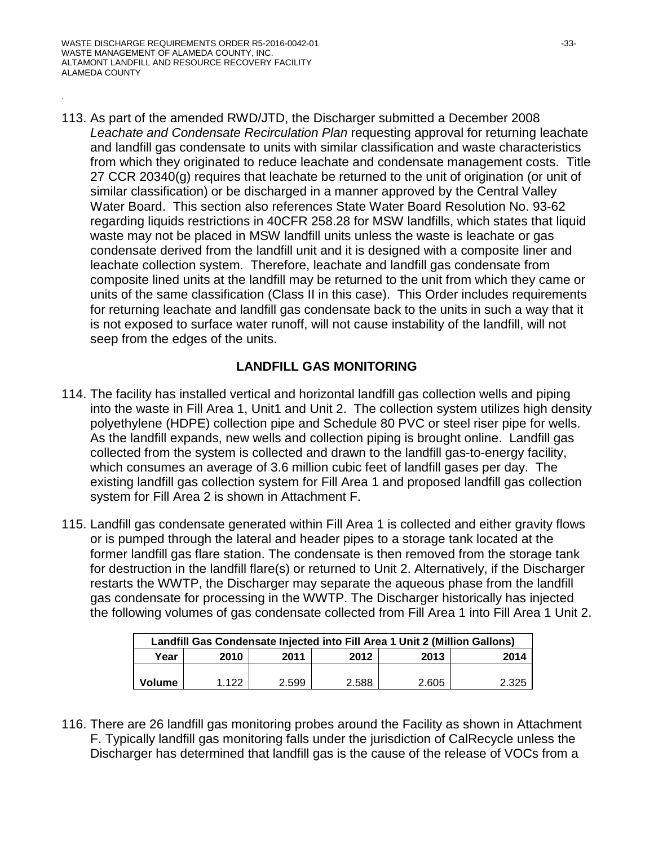.

113. As part of the amended RWD/JTD, the Discharger submitted a December 2008 *Leachate and Condensate Recirculation Plan* requesting approval for returning leachate and landfill gas condensate to units with similar classification and waste characteristics from which they originated to reduce leachate and condensate management costs. Title 27 CCR 20340(g) requires that leachate be returned to the unit of origination (or unit of similar classification) or be discharged in a manner approved by the Central Valley Water Board. This section also references State Water Board Resolution No. 93-62 regarding liquids restrictions in 40CFR 258.28 for MSW landfills, which states that liquid waste may not be placed in MSW landfill units unless the waste is leachate or gas condensate derived from the landfill unit and it is designed with a composite liner and leachate collection system. Therefore, leachate and landfill gas condensate from composite lined units at the landfill may be returned to the unit from which they came or units of the same classification (Class II in this case). This Order includes requirements for returning leachate and landfill gas condensate back to the units in such a way that it is not exposed to surface water runoff, will not cause instability of the landfill, will not seep from the edges of the units.

### **LANDFILL GAS MONITORING**

- 114. The facility has installed vertical and horizontal landfill gas collection wells and piping into the waste in Fill Area 1, Unit1 and Unit 2. The collection system utilizes high density polyethylene (HDPE) collection pipe and Schedule 80 PVC or steel riser pipe for wells. As the landfill expands, new wells and collection piping is brought online. Landfill gas collected from the system is collected and drawn to the landfill gas-to-energy facility, which consumes an average of 3.6 million cubic feet of landfill gases per day. The existing landfill gas collection system for Fill Area 1 and proposed landfill gas collection system for Fill Area 2 is shown in Attachment F.
- 115. Landfill gas condensate generated within Fill Area 1 is collected and either gravity flows or is pumped through the lateral and header pipes to a storage tank located at the former landfill gas flare station. The condensate is then removed from the storage tank for destruction in the landfill flare(s) or returned to Unit 2. Alternatively, if the Discharger restarts the WWTP, the Discharger may separate the aqueous phase from the landfill gas condensate for processing in the WWTP. The Discharger historically has injected the following volumes of gas condensate collected from Fill Area 1 into Fill Area 1 Unit 2.

| Landfill Gas Condensate Injected into Fill Area 1 Unit 2 (Million Gallons) |         |       |       |       |       |  |  |
|----------------------------------------------------------------------------|---------|-------|-------|-------|-------|--|--|
| Year                                                                       | 2010    | 2011  | 2012  | 2013  | 2014  |  |  |
|                                                                            |         |       |       |       |       |  |  |
| Volume                                                                     | 1 1 2 2 | 2.599 | 2.588 | 2.605 | 2.325 |  |  |

116. There are 26 landfill gas monitoring probes around the Facility as shown in Attachment F. Typically landfill gas monitoring falls under the jurisdiction of CalRecycle unless the Discharger has determined that landfill gas is the cause of the release of VOCs from a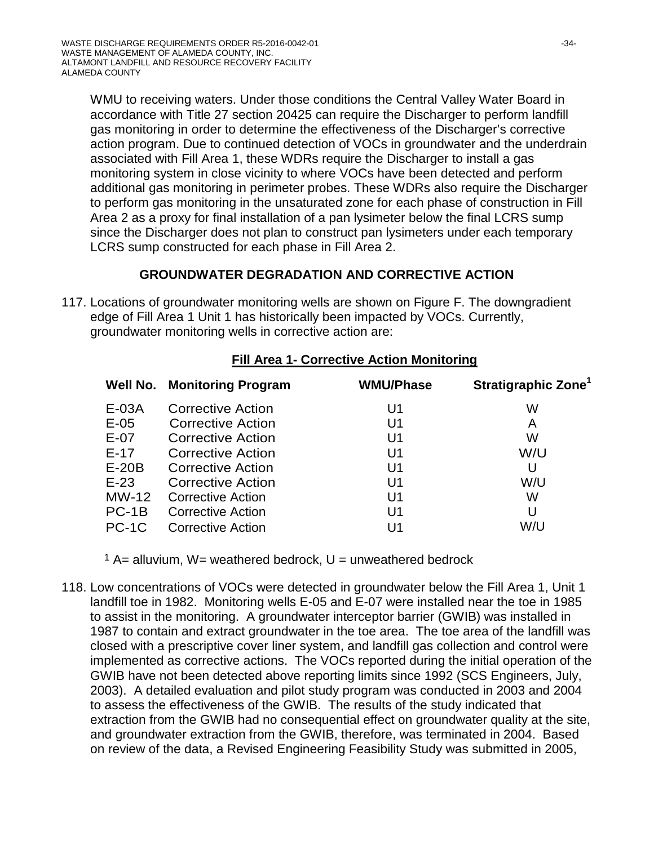WMU to receiving waters. Under those conditions the Central Valley Water Board in accordance with Title 27 section 20425 can require the Discharger to perform landfill gas monitoring in order to determine the effectiveness of the Discharger's corrective action program. Due to continued detection of VOCs in groundwater and the underdrain associated with Fill Area 1, these WDRs require the Discharger to install a gas monitoring system in close vicinity to where VOCs have been detected and perform additional gas monitoring in perimeter probes. These WDRs also require the Discharger to perform gas monitoring in the unsaturated zone for each phase of construction in Fill Area 2 as a proxy for final installation of a pan lysimeter below the final LCRS sump since the Discharger does not plan to construct pan lysimeters under each temporary LCRS sump constructed for each phase in Fill Area 2.

# **GROUNDWATER DEGRADATION AND CORRECTIVE ACTION**

117. Locations of groundwater monitoring wells are shown on Figure F. The downgradient edge of Fill Area 1 Unit 1 has historically been impacted by VOCs. Currently, groundwater monitoring wells in corrective action are:

| Well No. | <b>Monitoring Program</b> | <b>WMU/Phase</b> | Stratigraphic Zone <sup>1</sup> |
|----------|---------------------------|------------------|---------------------------------|
| E-03A    | <b>Corrective Action</b>  | U1               | W                               |
| $E-05$   | Corrective Action         | U <sub>1</sub>   | A                               |
| $E-07$   | Corrective Action         | U1               | W                               |
| $E-17$   | <b>Corrective Action</b>  | U <sub>1</sub>   | W/U                             |
| $E-20B$  | Corrective Action         | U <sub>1</sub>   | U                               |
| $E-23$   | Corrective Action         | U <sub>1</sub>   | W/U                             |
| $MW-12$  | <b>Corrective Action</b>  | U <sub>1</sub>   | W                               |
| $PC-1B$  | <b>Corrective Action</b>  | U <sub>1</sub>   | U                               |
| PC-1C    | <b>Corrective Action</b>  | U1               | W/U                             |

### **Fill Area 1- Corrective Action Monitoring**

 $1$  A= alluvium, W= weathered bedrock, U = unweathered bedrock

118. Low concentrations of VOCs were detected in groundwater below the Fill Area 1, Unit 1 landfill toe in 1982. Monitoring wells E-05 and E-07 were installed near the toe in 1985 to assist in the monitoring. A groundwater interceptor barrier (GWIB) was installed in 1987 to contain and extract groundwater in the toe area. The toe area of the landfill was closed with a prescriptive cover liner system, and landfill gas collection and control were implemented as corrective actions. The VOCs reported during the initial operation of the GWIB have not been detected above reporting limits since 1992 (SCS Engineers, July, 2003). A detailed evaluation and pilot study program was conducted in 2003 and 2004 to assess the effectiveness of the GWIB. The results of the study indicated that extraction from the GWIB had no consequential effect on groundwater quality at the site, and groundwater extraction from the GWIB, therefore, was terminated in 2004. Based on review of the data, a Revised Engineering Feasibility Study was submitted in 2005,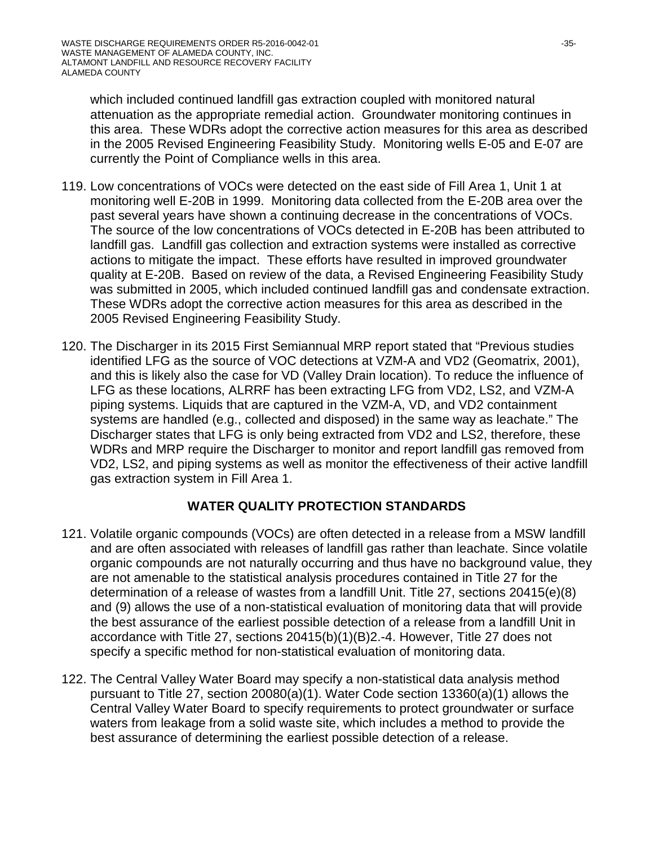which included continued landfill gas extraction coupled with monitored natural attenuation as the appropriate remedial action. Groundwater monitoring continues in this area. These WDRs adopt the corrective action measures for this area as described in the 2005 Revised Engineering Feasibility Study. Monitoring wells E-05 and E-07 are currently the Point of Compliance wells in this area.

- 119. Low concentrations of VOCs were detected on the east side of Fill Area 1, Unit 1 at monitoring well E-20B in 1999. Monitoring data collected from the E-20B area over the past several years have shown a continuing decrease in the concentrations of VOCs. The source of the low concentrations of VOCs detected in E-20B has been attributed to landfill gas. Landfill gas collection and extraction systems were installed as corrective actions to mitigate the impact. These efforts have resulted in improved groundwater quality at E-20B. Based on review of the data, a Revised Engineering Feasibility Study was submitted in 2005, which included continued landfill gas and condensate extraction. These WDRs adopt the corrective action measures for this area as described in the 2005 Revised Engineering Feasibility Study.
- 120. The Discharger in its 2015 First Semiannual MRP report stated that "Previous studies identified LFG as the source of VOC detections at VZM-A and VD2 (Geomatrix, 2001), and this is likely also the case for VD (Valley Drain location). To reduce the influence of LFG as these locations, ALRRF has been extracting LFG from VD2, LS2, and VZM-A piping systems. Liquids that are captured in the VZM-A, VD, and VD2 containment systems are handled (e.g., collected and disposed) in the same way as leachate." The Discharger states that LFG is only being extracted from VD2 and LS2, therefore, these WDRs and MRP require the Discharger to monitor and report landfill gas removed from VD2, LS2, and piping systems as well as monitor the effectiveness of their active landfill gas extraction system in Fill Area 1.

# **WATER QUALITY PROTECTION STANDARDS**

- 121. Volatile organic compounds (VOCs) are often detected in a release from a MSW landfill and are often associated with releases of landfill gas rather than leachate. Since volatile organic compounds are not naturally occurring and thus have no background value, they are not amenable to the statistical analysis procedures contained in Title 27 for the determination of a release of wastes from a landfill Unit. Title 27, sections 20415(e)(8) and (9) allows the use of a non-statistical evaluation of monitoring data that will provide the best assurance of the earliest possible detection of a release from a landfill Unit in accordance with Title 27, sections 20415(b)(1)(B)2.-4. However, Title 27 does not specify a specific method for non-statistical evaluation of monitoring data.
- 122. The Central Valley Water Board may specify a non-statistical data analysis method pursuant to Title 27, section 20080(a)(1). Water Code section 13360(a)(1) allows the Central Valley Water Board to specify requirements to protect groundwater or surface waters from leakage from a solid waste site, which includes a method to provide the best assurance of determining the earliest possible detection of a release.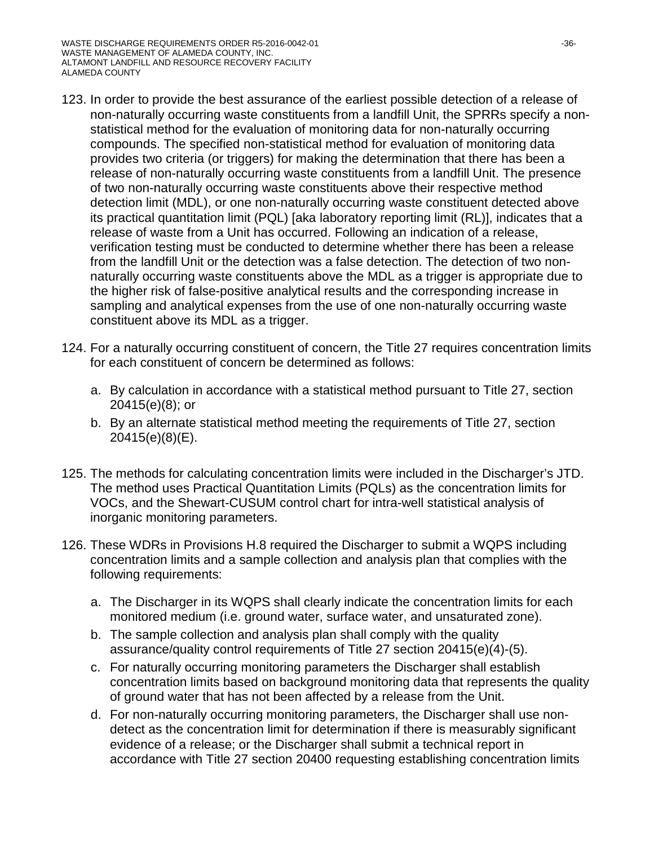- 123. In order to provide the best assurance of the earliest possible detection of a release of non-naturally occurring waste constituents from a landfill Unit, the SPRRs specify a nonstatistical method for the evaluation of monitoring data for non-naturally occurring compounds. The specified non-statistical method for evaluation of monitoring data provides two criteria (or triggers) for making the determination that there has been a release of non-naturally occurring waste constituents from a landfill Unit. The presence of two non-naturally occurring waste constituents above their respective method detection limit (MDL), or one non-naturally occurring waste constituent detected above its practical quantitation limit (PQL) [aka laboratory reporting limit (RL)], indicates that a release of waste from a Unit has occurred. Following an indication of a release, verification testing must be conducted to determine whether there has been a release from the landfill Unit or the detection was a false detection. The detection of two nonnaturally occurring waste constituents above the MDL as a trigger is appropriate due to the higher risk of false-positive analytical results and the corresponding increase in sampling and analytical expenses from the use of one non-naturally occurring waste constituent above its MDL as a trigger.
- 124. For a naturally occurring constituent of concern, the Title 27 requires concentration limits for each constituent of concern be determined as follows:
	- a. By calculation in accordance with a statistical method pursuant to Title 27, section 20415(e)(8); or
	- b. By an alternate statistical method meeting the requirements of Title 27, section 20415(e)(8)(E).
- 125. The methods for calculating concentration limits were included in the Discharger's JTD. The method uses Practical Quantitation Limits (PQLs) as the concentration limits for VOCs, and the Shewart-CUSUM control chart for intra-well statistical analysis of inorganic monitoring parameters.
- 126. These WDRs in Provisions H.8 required the Discharger to submit a WQPS including concentration limits and a sample collection and analysis plan that complies with the following requirements:
	- a. The Discharger in its WQPS shall clearly indicate the concentration limits for each monitored medium (i.e. ground water, surface water, and unsaturated zone).
	- b. The sample collection and analysis plan shall comply with the quality assurance/quality control requirements of Title 27 section 20415(e)(4)-(5).
	- c. For naturally occurring monitoring parameters the Discharger shall establish concentration limits based on background monitoring data that represents the quality of ground water that has not been affected by a release from the Unit.
	- d. For non-naturally occurring monitoring parameters, the Discharger shall use nondetect as the concentration limit for determination if there is measurably significant evidence of a release; or the Discharger shall submit a technical report in accordance with Title 27 section 20400 requesting establishing concentration limits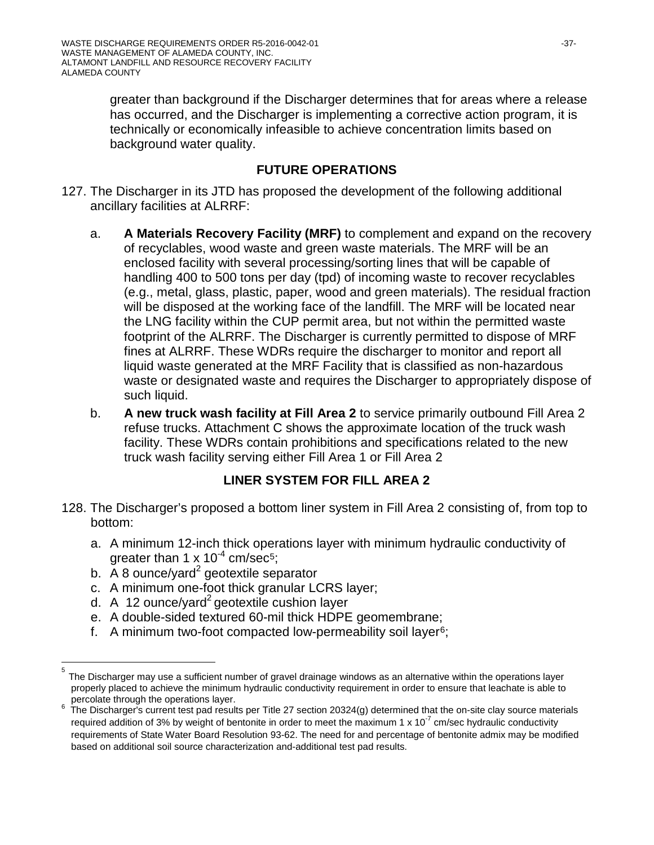greater than background if the Discharger determines that for areas where a release has occurred, and the Discharger is implementing a corrective action program, it is technically or economically infeasible to achieve concentration limits based on background water quality.

## **FUTURE OPERATIONS**

- 127. The Discharger in its JTD has proposed the development of the following additional ancillary facilities at ALRRF:
	- a. **A Materials Recovery Facility (MRF)** to complement and expand on the recovery of recyclables, wood waste and green waste materials. The MRF will be an enclosed facility with several processing/sorting lines that will be capable of handling 400 to 500 tons per day (tpd) of incoming waste to recover recyclables (e.g., metal, glass, plastic, paper, wood and green materials). The residual fraction will be disposed at the working face of the landfill. The MRF will be located near the LNG facility within the CUP permit area, but not within the permitted waste footprint of the ALRRF. The Discharger is currently permitted to dispose of MRF fines at ALRRF. These WDRs require the discharger to monitor and report all liquid waste generated at the MRF Facility that is classified as non-hazardous waste or designated waste and requires the Discharger to appropriately dispose of such liquid.
	- b. **A new truck wash facility at Fill Area 2** to service primarily outbound Fill Area 2 refuse trucks. Attachment C shows the approximate location of the truck wash facility. These WDRs contain prohibitions and specifications related to the new truck wash facility serving either Fill Area 1 or Fill Area 2

## **LINER SYSTEM FOR FILL AREA 2**

- 128. The Discharger's proposed a bottom liner system in Fill Area 2 consisting of, from top to bottom:
	- a. A minimum 12-inch thick operations layer with minimum hydraulic conductivity of greater than 1 x  $10^{-4}$  cm/sec<sup>[5](#page-36-0)</sup>;
	- b.  $\overline{A}$  8 ounce/yard<sup>2</sup> geotextile separator
	- c. A minimum one-foot thick granular LCRS layer;
	- d. A 12 ounce/yard<sup>2</sup> geotextile cushion layer
	- e. A double-sided textured 60-mil thick HDPE geomembrane;
	- f. A minimum two-foot compacted low-permeability soil layer[6;](#page-36-1)

<span id="page-36-0"></span>5 The Discharger may use a sufficient number of gravel drainage windows as an alternative within the operations layer properly placed to achieve the minimum hydraulic conductivity requirement in order to ensure that leachate is able to<br>percolate through the operations layer.

<span id="page-36-1"></span><sup>&</sup>lt;sup>6</sup> The Discharger's current test pad results per Title 27 section 20324(g) determined that the on-site clay source materials required addition of 3% by weight of bentonite in order to meet the maximum 1 x 10<sup>-7</sup> cm/sec hydraulic conductivity requirements of State Water Board Resolution 93-62. The need for and percentage of bentonite admix may be modified based on additional soil source characterization and-additional test pad results.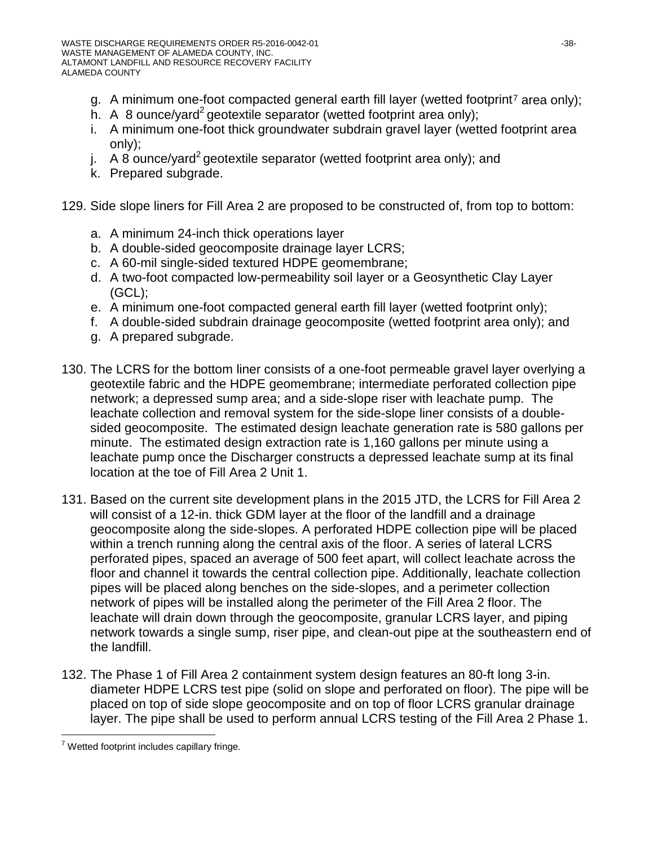- g. A minimum one-foot compacted general earth fill layer (wetted footprint<sup>[7](#page-37-0)</sup> area only);
- h. A 8 ounce/yard<sup>2</sup> geotextile separator (wetted footprint area only);
- i. A minimum one-foot thick groundwater subdrain gravel layer (wetted footprint area only);
- j. A 8 ounce/yard<sup>2</sup> geotextile separator (wetted footprint area only); and
- k. Prepared subgrade.

129. Side slope liners for Fill Area 2 are proposed to be constructed of, from top to bottom:

- a. A minimum 24-inch thick operations layer
- b. A double-sided geocomposite drainage layer LCRS;
- c. A 60-mil single-sided textured HDPE geomembrane;
- d. A two-foot compacted low-permeability soil layer or a Geosynthetic Clay Layer (GCL);
- e. A minimum one-foot compacted general earth fill layer (wetted footprint only);
- f. A double-sided subdrain drainage geocomposite (wetted footprint area only); and
- g. A prepared subgrade.
- 130. The LCRS for the bottom liner consists of a one-foot permeable gravel layer overlying a geotextile fabric and the HDPE geomembrane; intermediate perforated collection pipe network; a depressed sump area; and a side-slope riser with leachate pump. The leachate collection and removal system for the side-slope liner consists of a doublesided geocomposite. The estimated design leachate generation rate is 580 gallons per minute. The estimated design extraction rate is 1,160 gallons per minute using a leachate pump once the Discharger constructs a depressed leachate sump at its final location at the toe of Fill Area 2 Unit 1.
- 131. Based on the current site development plans in the 2015 JTD, the LCRS for Fill Area 2 will consist of a 12-in. thick GDM layer at the floor of the landfill and a drainage geocomposite along the side-slopes. A perforated HDPE collection pipe will be placed within a trench running along the central axis of the floor. A series of lateral LCRS perforated pipes, spaced an average of 500 feet apart, will collect leachate across the floor and channel it towards the central collection pipe. Additionally, leachate collection pipes will be placed along benches on the side-slopes, and a perimeter collection network of pipes will be installed along the perimeter of the Fill Area 2 floor. The leachate will drain down through the geocomposite, granular LCRS layer, and piping network towards a single sump, riser pipe, and clean-out pipe at the southeastern end of the landfill.
- 132. The Phase 1 of Fill Area 2 containment system design features an 80-ft long 3-in. diameter HDPE LCRS test pipe (solid on slope and perforated on floor). The pipe will be placed on top of side slope geocomposite and on top of floor LCRS granular drainage layer. The pipe shall be used to perform annual LCRS testing of the Fill Area 2 Phase 1.

<span id="page-37-0"></span> $7$  Wetted footprint includes capillary fringe.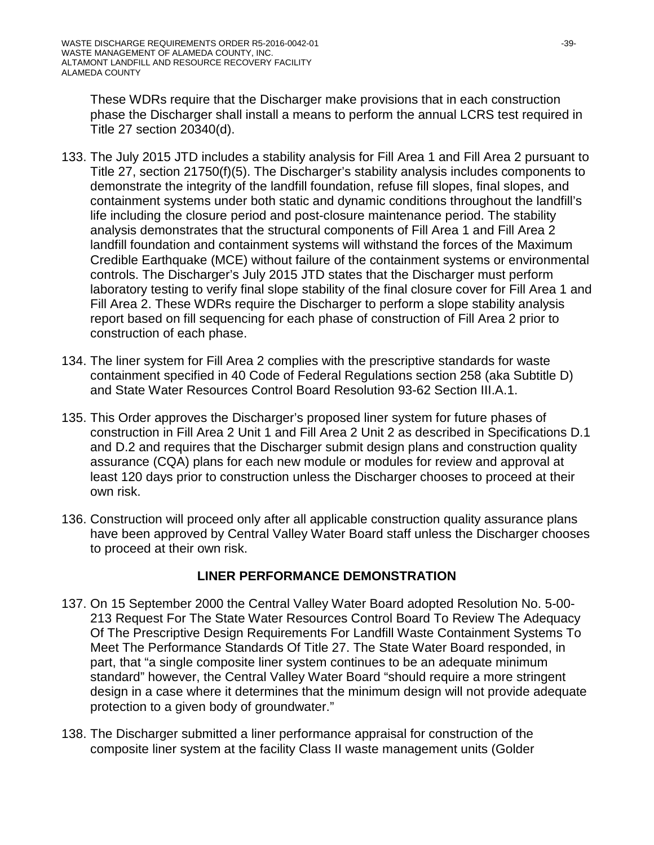These WDRs require that the Discharger make provisions that in each construction phase the Discharger shall install a means to perform the annual LCRS test required in Title 27 section 20340(d).

- 133. The July 2015 JTD includes a stability analysis for Fill Area 1 and Fill Area 2 pursuant to Title 27, section 21750(f)(5). The Discharger's stability analysis includes components to demonstrate the integrity of the landfill foundation, refuse fill slopes, final slopes, and containment systems under both static and dynamic conditions throughout the landfill's life including the closure period and post-closure maintenance period. The stability analysis demonstrates that the structural components of Fill Area 1 and Fill Area 2 landfill foundation and containment systems will withstand the forces of the Maximum Credible Earthquake (MCE) without failure of the containment systems or environmental controls. The Discharger's July 2015 JTD states that the Discharger must perform laboratory testing to verify final slope stability of the final closure cover for Fill Area 1 and Fill Area 2. These WDRs require the Discharger to perform a slope stability analysis report based on fill sequencing for each phase of construction of Fill Area 2 prior to construction of each phase.
- 134. The liner system for Fill Area 2 complies with the prescriptive standards for waste containment specified in 40 Code of Federal Regulations section 258 (aka Subtitle D) and State Water Resources Control Board Resolution 93-62 Section III.A.1.
- 135. This Order approves the Discharger's proposed liner system for future phases of construction in Fill Area 2 Unit 1 and Fill Area 2 Unit 2 as described in Specifications D.1 and D.2 and requires that the Discharger submit design plans and construction quality assurance (CQA) plans for each new module or modules for review and approval at least 120 days prior to construction unless the Discharger chooses to proceed at their own risk.
- 136. Construction will proceed only after all applicable construction quality assurance plans have been approved by Central Valley Water Board staff unless the Discharger chooses to proceed at their own risk.

## **LINER PERFORMANCE DEMONSTRATION**

- 137. On 15 September 2000 the Central Valley Water Board adopted Resolution No. 5-00- 213 Request For The State Water Resources Control Board To Review The Adequacy Of The Prescriptive Design Requirements For Landfill Waste Containment Systems To Meet The Performance Standards Of Title 27. The State Water Board responded, in part, that "a single composite liner system continues to be an adequate minimum standard" however, the Central Valley Water Board "should require a more stringent design in a case where it determines that the minimum design will not provide adequate protection to a given body of groundwater."
- 138. The Discharger submitted a liner performance appraisal for construction of the composite liner system at the facility Class II waste management units (Golder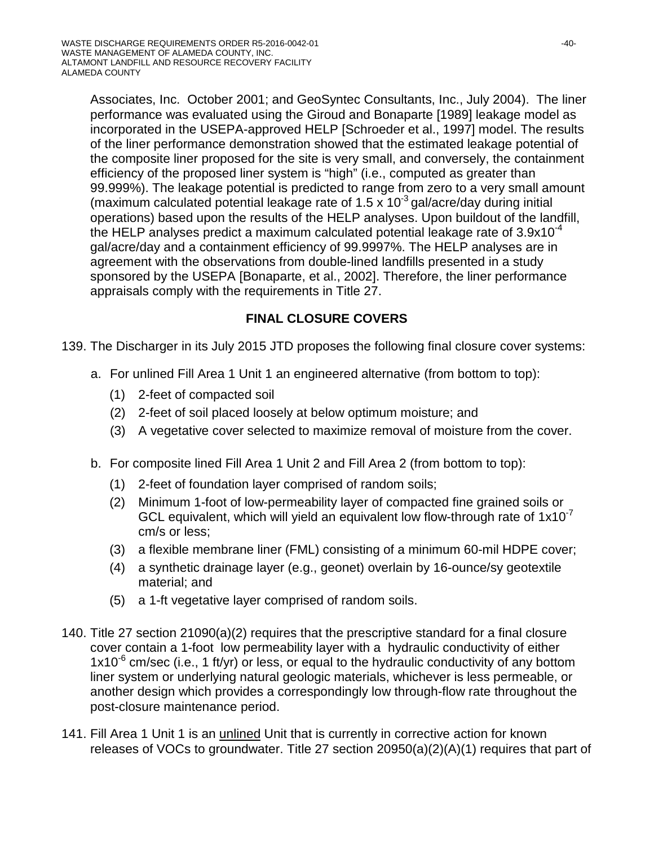Associates, Inc. October 2001; and GeoSyntec Consultants, Inc., July 2004). The liner performance was evaluated using the Giroud and Bonaparte [1989] leakage model as incorporated in the USEPA-approved HELP [Schroeder et al., 1997] model. The results of the liner performance demonstration showed that the estimated leakage potential of the composite liner proposed for the site is very small, and conversely, the containment efficiency of the proposed liner system is "high" (i.e., computed as greater than 99.999%). The leakage potential is predicted to range from zero to a very small amount (maximum calculated potential leakage rate of  $1.5 \times 10^{-3}$  gal/acre/day during initial operations) based upon the results of the HELP analyses. Upon buildout of the landfill, the HELP analyses predict a maximum calculated potential leakage rate of  $3.9x10^{-4}$ gal/acre/day and a containment efficiency of 99.9997%. The HELP analyses are in agreement with the observations from double-lined landfills presented in a study sponsored by the USEPA [Bonaparte, et al., 2002]. Therefore, the liner performance appraisals comply with the requirements in Title 27.

## **FINAL CLOSURE COVERS**

- 139. The Discharger in its July 2015 JTD proposes the following final closure cover systems:
	- a. For unlined Fill Area 1 Unit 1 an engineered alternative (from bottom to top):
		- (1) 2-feet of compacted soil
		- (2) 2-feet of soil placed loosely at below optimum moisture; and
		- (3) A vegetative cover selected to maximize removal of moisture from the cover.
	- b. For composite lined Fill Area 1 Unit 2 and Fill Area 2 (from bottom to top):
		- (1) 2-feet of foundation layer comprised of random soils;
		- (2) Minimum 1-foot of low-permeability layer of compacted fine grained soils or GCL equivalent, which will yield an equivalent low flow-through rate of  $1x10^{-7}$ cm/s or less;
		- (3) a flexible membrane liner (FML) consisting of a minimum 60-mil HDPE cover;
		- (4) a synthetic drainage layer (e.g., geonet) overlain by 16-ounce/sy geotextile material; and
		- (5) a 1-ft vegetative layer comprised of random soils.
- 140. Title 27 section 21090(a)(2) requires that the prescriptive standard for a final closure cover contain a 1-foot low permeability layer with a hydraulic conductivity of either  $1x10^{-6}$  cm/sec (i.e., 1 ft/yr) or less, or equal to the hydraulic conductivity of any bottom liner system or underlying natural geologic materials, whichever is less permeable, or another design which provides a correspondingly low through-flow rate throughout the post-closure maintenance period.
- 141. Fill Area 1 Unit 1 is an unlined Unit that is currently in corrective action for known releases of VOCs to groundwater. Title 27 section 20950(a)(2)(A)(1) requires that part of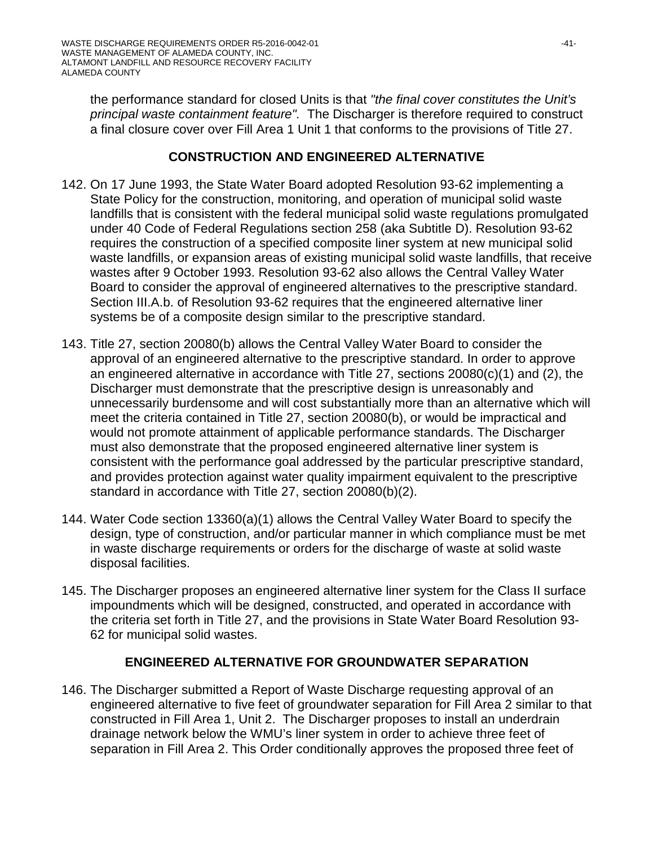the performance standard for closed Units is that *"the final cover constitutes the Unit's principal waste containment feature".* The Discharger is therefore required to construct a final closure cover over Fill Area 1 Unit 1 that conforms to the provisions of Title 27.

#### **CONSTRUCTION AND ENGINEERED ALTERNATIVE**

- 142. On 17 June 1993, the State Water Board adopted Resolution 93-62 implementing a State Policy for the construction, monitoring, and operation of municipal solid waste landfills that is consistent with the federal municipal solid waste regulations promulgated under 40 Code of Federal Regulations section 258 (aka Subtitle D). Resolution 93-62 requires the construction of a specified composite liner system at new municipal solid waste landfills, or expansion areas of existing municipal solid waste landfills, that receive wastes after 9 October 1993. Resolution 93-62 also allows the Central Valley Water Board to consider the approval of engineered alternatives to the prescriptive standard. Section III.A.b. of Resolution 93-62 requires that the engineered alternative liner systems be of a composite design similar to the prescriptive standard.
- 143. Title 27, section 20080(b) allows the Central Valley Water Board to consider the approval of an engineered alternative to the prescriptive standard. In order to approve an engineered alternative in accordance with Title 27, sections 20080(c)(1) and (2), the Discharger must demonstrate that the prescriptive design is unreasonably and unnecessarily burdensome and will cost substantially more than an alternative which will meet the criteria contained in Title 27, section 20080(b), or would be impractical and would not promote attainment of applicable performance standards. The Discharger must also demonstrate that the proposed engineered alternative liner system is consistent with the performance goal addressed by the particular prescriptive standard, and provides protection against water quality impairment equivalent to the prescriptive standard in accordance with Title 27, section 20080(b)(2).
- 144. Water Code section 13360(a)(1) allows the Central Valley Water Board to specify the design, type of construction, and/or particular manner in which compliance must be met in waste discharge requirements or orders for the discharge of waste at solid waste disposal facilities.
- 145. The Discharger proposes an engineered alternative liner system for the Class II surface impoundments which will be designed, constructed, and operated in accordance with the criteria set forth in Title 27, and the provisions in State Water Board Resolution 93- 62 for municipal solid wastes.

## **ENGINEERED ALTERNATIVE FOR GROUNDWATER SEPARATION**

146. The Discharger submitted a Report of Waste Discharge requesting approval of an engineered alternative to five feet of groundwater separation for Fill Area 2 similar to that constructed in Fill Area 1, Unit 2. The Discharger proposes to install an underdrain drainage network below the WMU's liner system in order to achieve three feet of separation in Fill Area 2. This Order conditionally approves the proposed three feet of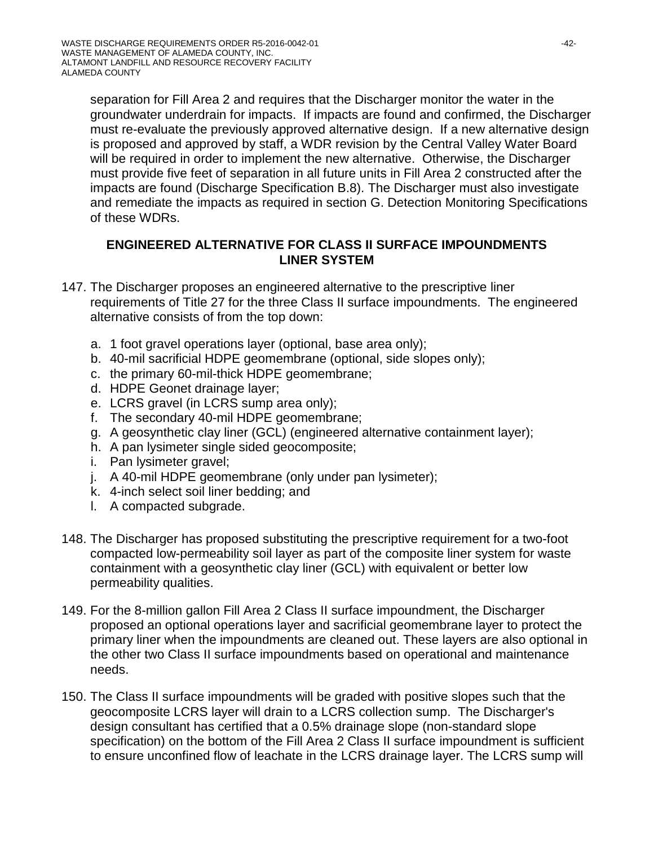separation for Fill Area 2 and requires that the Discharger monitor the water in the groundwater underdrain for impacts. If impacts are found and confirmed, the Discharger must re-evaluate the previously approved alternative design. If a new alternative design is proposed and approved by staff, a WDR revision by the Central Valley Water Board will be required in order to implement the new alternative. Otherwise, the Discharger must provide five feet of separation in all future units in Fill Area 2 constructed after the impacts are found (Discharge Specification B.8). The Discharger must also investigate and remediate the impacts as required in section G. Detection Monitoring Specifications of these WDRs.

#### **ENGINEERED ALTERNATIVE FOR CLASS II SURFACE IMPOUNDMENTS LINER SYSTEM**

- 147. The Discharger proposes an engineered alternative to the prescriptive liner requirements of Title 27 for the three Class II surface impoundments. The engineered alternative consists of from the top down:
	- a. 1 foot gravel operations layer (optional, base area only);
	- b. 40-mil sacrificial HDPE geomembrane (optional, side slopes only);
	- c. the primary 60-mil-thick HDPE geomembrane;
	- d. HDPE Geonet drainage layer;
	- e. LCRS gravel (in LCRS sump area only);
	- f. The secondary 40-mil HDPE geomembrane;
	- g. A geosynthetic clay liner (GCL) (engineered alternative containment layer);
	- h. A pan lysimeter single sided geocomposite;
	- i. Pan lysimeter gravel;
	- j. A 40-mil HDPE geomembrane (only under pan lysimeter);
	- k. 4-inch select soil liner bedding; and
	- l. A compacted subgrade.
- 148. The Discharger has proposed substituting the prescriptive requirement for a two-foot compacted low-permeability soil layer as part of the composite liner system for waste containment with a geosynthetic clay liner (GCL) with equivalent or better low permeability qualities.
- 149. For the 8-million gallon Fill Area 2 Class II surface impoundment, the Discharger proposed an optional operations layer and sacrificial geomembrane layer to protect the primary liner when the impoundments are cleaned out. These layers are also optional in the other two Class II surface impoundments based on operational and maintenance needs.
- 150. The Class II surface impoundments will be graded with positive slopes such that the geocomposite LCRS layer will drain to a LCRS collection sump. The Discharger's design consultant has certified that a 0.5% drainage slope (non-standard slope specification) on the bottom of the Fill Area 2 Class II surface impoundment is sufficient to ensure unconfined flow of leachate in the LCRS drainage layer. The LCRS sump will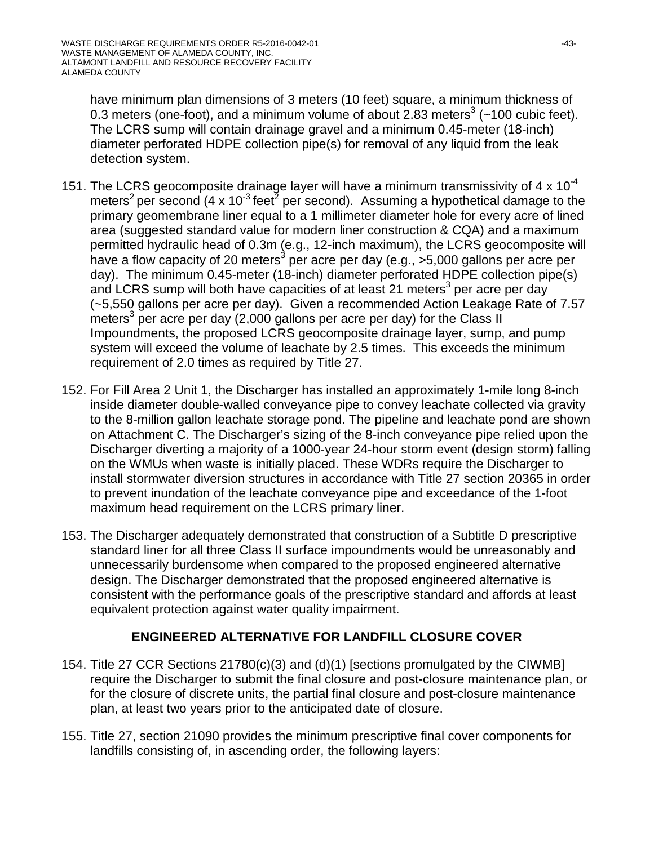have minimum plan dimensions of 3 meters (10 feet) square, a minimum thickness of 0.3 meters (one-foot), and a minimum volume of about 2.83 meters<sup>3</sup> ( $\sim$ 100 cubic feet). The LCRS sump will contain drainage gravel and a minimum 0.45-meter (18-inch) diameter perforated HDPE collection pipe(s) for removal of any liquid from the leak detection system.

- 151. The LCRS geocomposite drainage layer will have a minimum transmissivity of 4 x 10<sup>-4</sup> meters<sup>2</sup> per second (4 x 10<sup>-3</sup> feet<sup>2</sup> per second). Assuming a hypothetical damage to the primary geomembrane liner equal to a 1 millimeter diameter hole for every acre of lined area (suggested standard value for modern liner construction & CQA) and a maximum permitted hydraulic head of 0.3m (e.g., 12-inch maximum), the LCRS geocomposite will have a flow capacity of 20 meters<sup>3</sup> per acre per day (e.g.,  $>5,000$  gallons per acre per day). The minimum 0.45-meter (18-inch) diameter perforated HDPE collection pipe(s) and LCRS sump will both have capacities of at least 21 meters<sup>3</sup> per acre per day (~5,550 gallons per acre per day). Given a recommended Action Leakage Rate of 7.57 meters<sup>3</sup> per acre per day (2,000 gallons per acre per day) for the Class II Impoundments, the proposed LCRS geocomposite drainage layer, sump, and pump system will exceed the volume of leachate by 2.5 times. This exceeds the minimum requirement of 2.0 times as required by Title 27.
- 152. For Fill Area 2 Unit 1, the Discharger has installed an approximately 1-mile long 8-inch inside diameter double-walled conveyance pipe to convey leachate collected via gravity to the 8-million gallon leachate storage pond. The pipeline and leachate pond are shown on Attachment C. The Discharger's sizing of the 8-inch conveyance pipe relied upon the Discharger diverting a majority of a 1000-year 24-hour storm event (design storm) falling on the WMUs when waste is initially placed. These WDRs require the Discharger to install stormwater diversion structures in accordance with Title 27 section 20365 in order to prevent inundation of the leachate conveyance pipe and exceedance of the 1-foot maximum head requirement on the LCRS primary liner.
- 153. The Discharger adequately demonstrated that construction of a Subtitle D prescriptive standard liner for all three Class II surface impoundments would be unreasonably and unnecessarily burdensome when compared to the proposed engineered alternative design. The Discharger demonstrated that the proposed engineered alternative is consistent with the performance goals of the prescriptive standard and affords at least equivalent protection against water quality impairment.

## **ENGINEERED ALTERNATIVE FOR LANDFILL CLOSURE COVER**

- 154. Title 27 CCR Sections 21780(c)(3) and (d)(1) [sections promulgated by the CIWMB] require the Discharger to submit the final closure and post-closure maintenance plan, or for the closure of discrete units, the partial final closure and post-closure maintenance plan, at least two years prior to the anticipated date of closure.
- 155. Title 27, section 21090 provides the minimum prescriptive final cover components for landfills consisting of, in ascending order, the following layers: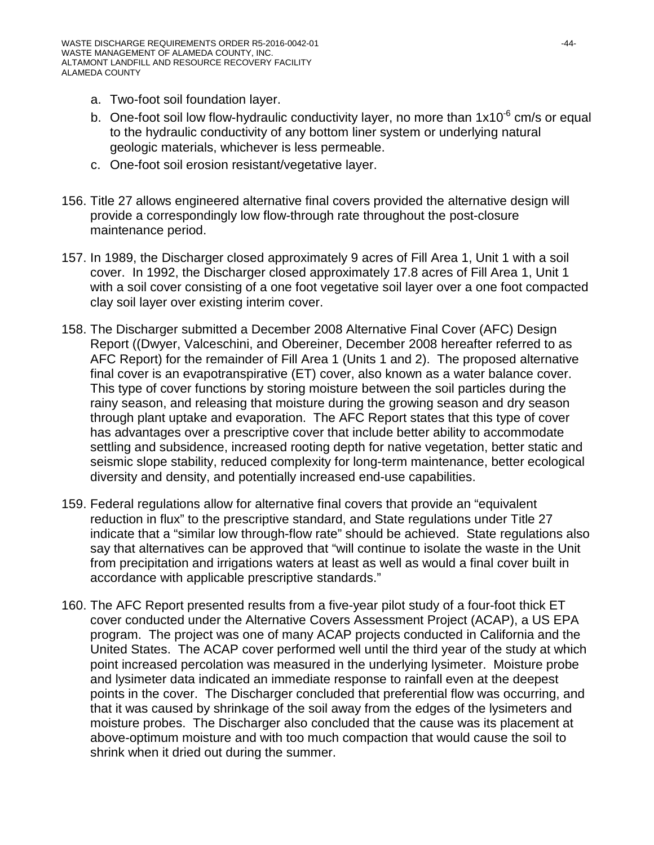- a. Two-foot soil foundation layer.
- b. One-foot soil low flow-hydraulic conductivity layer, no more than  $1x10^{-6}$  cm/s or equal to the hydraulic conductivity of any bottom liner system or underlying natural geologic materials, whichever is less permeable.
- c. One-foot soil erosion resistant/vegetative layer.
- 156. Title 27 allows engineered alternative final covers provided the alternative design will provide a correspondingly low flow-through rate throughout the post-closure maintenance period.
- 157. In 1989, the Discharger closed approximately 9 acres of Fill Area 1, Unit 1 with a soil cover. In 1992, the Discharger closed approximately 17.8 acres of Fill Area 1, Unit 1 with a soil cover consisting of a one foot vegetative soil layer over a one foot compacted clay soil layer over existing interim cover.
- 158. The Discharger submitted a December 2008 Alternative Final Cover (AFC) Design Report ((Dwyer, Valceschini, and Obereiner, December 2008 hereafter referred to as AFC Report) for the remainder of Fill Area 1 (Units 1 and 2). The proposed alternative final cover is an evapotranspirative (ET) cover, also known as a water balance cover. This type of cover functions by storing moisture between the soil particles during the rainy season, and releasing that moisture during the growing season and dry season through plant uptake and evaporation. The AFC Report states that this type of cover has advantages over a prescriptive cover that include better ability to accommodate settling and subsidence, increased rooting depth for native vegetation, better static and seismic slope stability, reduced complexity for long-term maintenance, better ecological diversity and density, and potentially increased end-use capabilities.
- 159. Federal regulations allow for alternative final covers that provide an "equivalent reduction in flux" to the prescriptive standard, and State regulations under Title 27 indicate that a "similar low through-flow rate" should be achieved. State regulations also say that alternatives can be approved that "will continue to isolate the waste in the Unit from precipitation and irrigations waters at least as well as would a final cover built in accordance with applicable prescriptive standards."
- 160. The AFC Report presented results from a five-year pilot study of a four-foot thick ET cover conducted under the Alternative Covers Assessment Project (ACAP), a US EPA program. The project was one of many ACAP projects conducted in California and the United States. The ACAP cover performed well until the third year of the study at which point increased percolation was measured in the underlying lysimeter. Moisture probe and lysimeter data indicated an immediate response to rainfall even at the deepest points in the cover. The Discharger concluded that preferential flow was occurring, and that it was caused by shrinkage of the soil away from the edges of the lysimeters and moisture probes. The Discharger also concluded that the cause was its placement at above-optimum moisture and with too much compaction that would cause the soil to shrink when it dried out during the summer.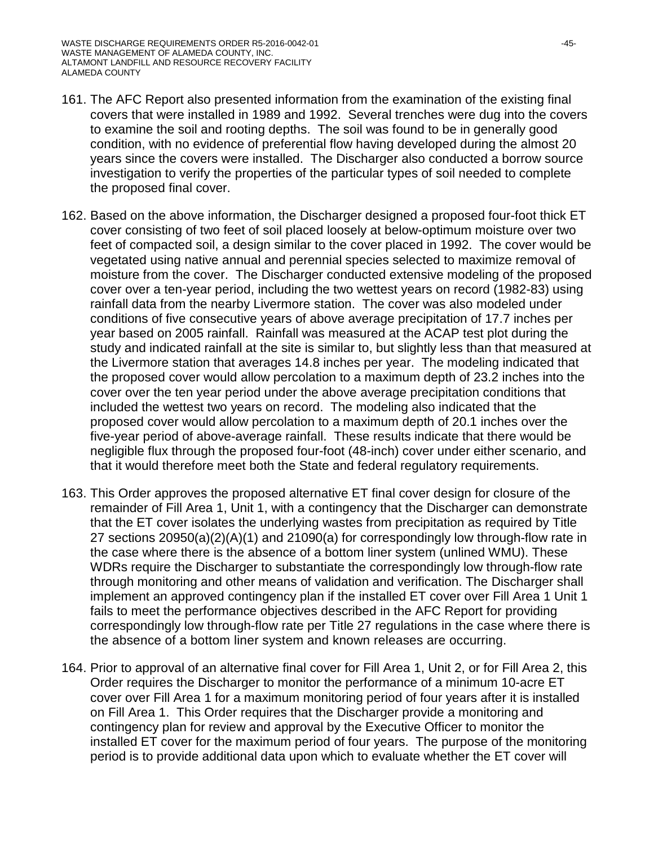- 161. The AFC Report also presented information from the examination of the existing final covers that were installed in 1989 and 1992. Several trenches were dug into the covers to examine the soil and rooting depths. The soil was found to be in generally good condition, with no evidence of preferential flow having developed during the almost 20 years since the covers were installed. The Discharger also conducted a borrow source investigation to verify the properties of the particular types of soil needed to complete the proposed final cover.
- 162. Based on the above information, the Discharger designed a proposed four-foot thick ET cover consisting of two feet of soil placed loosely at below-optimum moisture over two feet of compacted soil, a design similar to the cover placed in 1992. The cover would be vegetated using native annual and perennial species selected to maximize removal of moisture from the cover. The Discharger conducted extensive modeling of the proposed cover over a ten-year period, including the two wettest years on record (1982-83) using rainfall data from the nearby Livermore station. The cover was also modeled under conditions of five consecutive years of above average precipitation of 17.7 inches per year based on 2005 rainfall. Rainfall was measured at the ACAP test plot during the study and indicated rainfall at the site is similar to, but slightly less than that measured at the Livermore station that averages 14.8 inches per year. The modeling indicated that the proposed cover would allow percolation to a maximum depth of 23.2 inches into the cover over the ten year period under the above average precipitation conditions that included the wettest two years on record. The modeling also indicated that the proposed cover would allow percolation to a maximum depth of 20.1 inches over the five-year period of above-average rainfall. These results indicate that there would be negligible flux through the proposed four-foot (48-inch) cover under either scenario, and that it would therefore meet both the State and federal regulatory requirements.
- 163. This Order approves the proposed alternative ET final cover design for closure of the remainder of Fill Area 1, Unit 1, with a contingency that the Discharger can demonstrate that the ET cover isolates the underlying wastes from precipitation as required by Title 27 sections 20950(a)(2)(A)(1) and 21090(a) for correspondingly low through-flow rate in the case where there is the absence of a bottom liner system (unlined WMU). These WDRs require the Discharger to substantiate the correspondingly low through-flow rate through monitoring and other means of validation and verification. The Discharger shall implement an approved contingency plan if the installed ET cover over Fill Area 1 Unit 1 fails to meet the performance objectives described in the AFC Report for providing correspondingly low through-flow rate per Title 27 regulations in the case where there is the absence of a bottom liner system and known releases are occurring.
- 164. Prior to approval of an alternative final cover for Fill Area 1, Unit 2, or for Fill Area 2, this Order requires the Discharger to monitor the performance of a minimum 10-acre ET cover over Fill Area 1 for a maximum monitoring period of four years after it is installed on Fill Area 1. This Order requires that the Discharger provide a monitoring and contingency plan for review and approval by the Executive Officer to monitor the installed ET cover for the maximum period of four years. The purpose of the monitoring period is to provide additional data upon which to evaluate whether the ET cover will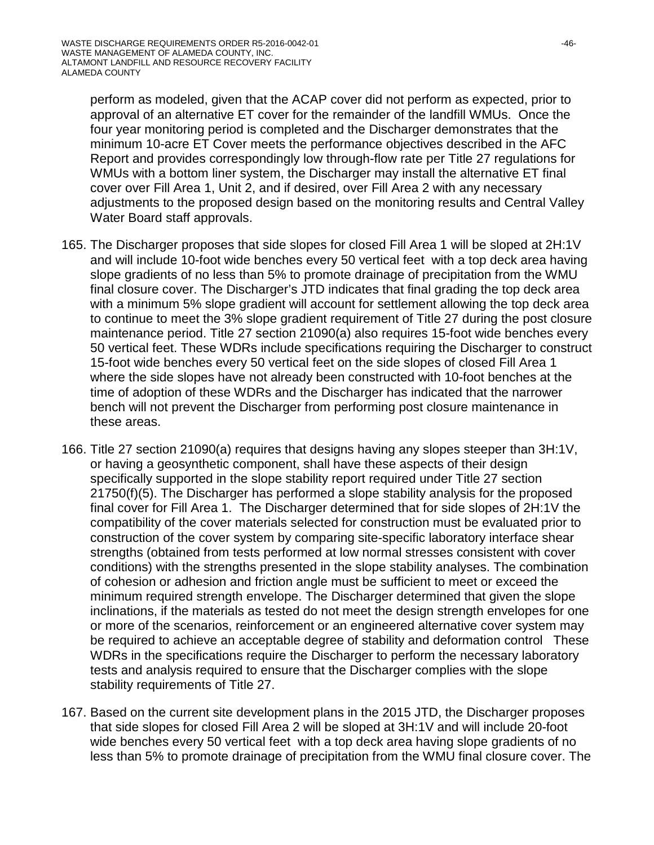perform as modeled, given that the ACAP cover did not perform as expected, prior to approval of an alternative ET cover for the remainder of the landfill WMUs. Once the four year monitoring period is completed and the Discharger demonstrates that the minimum 10-acre ET Cover meets the performance objectives described in the AFC Report and provides correspondingly low through-flow rate per Title 27 regulations for WMUs with a bottom liner system, the Discharger may install the alternative ET final cover over Fill Area 1, Unit 2, and if desired, over Fill Area 2 with any necessary adjustments to the proposed design based on the monitoring results and Central Valley Water Board staff approvals.

- 165. The Discharger proposes that side slopes for closed Fill Area 1 will be sloped at 2H:1V and will include 10-foot wide benches every 50 vertical feet with a top deck area having slope gradients of no less than 5% to promote drainage of precipitation from the WMU final closure cover. The Discharger's JTD indicates that final grading the top deck area with a minimum 5% slope gradient will account for settlement allowing the top deck area to continue to meet the 3% slope gradient requirement of Title 27 during the post closure maintenance period. Title 27 section 21090(a) also requires 15-foot wide benches every 50 vertical feet. These WDRs include specifications requiring the Discharger to construct 15-foot wide benches every 50 vertical feet on the side slopes of closed Fill Area 1 where the side slopes have not already been constructed with 10-foot benches at the time of adoption of these WDRs and the Discharger has indicated that the narrower bench will not prevent the Discharger from performing post closure maintenance in these areas.
- 166. Title 27 section 21090(a) requires that designs having any slopes steeper than 3H:1V, or having a geosynthetic component, shall have these aspects of their design specifically supported in the slope stability report required under Title 27 section 21750(f)(5). The Discharger has performed a slope stability analysis for the proposed final cover for Fill Area 1. The Discharger determined that for side slopes of 2H:1V the compatibility of the cover materials selected for construction must be evaluated prior to construction of the cover system by comparing site-specific laboratory interface shear strengths (obtained from tests performed at low normal stresses consistent with cover conditions) with the strengths presented in the slope stability analyses. The combination of cohesion or adhesion and friction angle must be sufficient to meet or exceed the minimum required strength envelope. The Discharger determined that given the slope inclinations, if the materials as tested do not meet the design strength envelopes for one or more of the scenarios, reinforcement or an engineered alternative cover system may be required to achieve an acceptable degree of stability and deformation control These WDRs in the specifications require the Discharger to perform the necessary laboratory tests and analysis required to ensure that the Discharger complies with the slope stability requirements of Title 27.
- 167. Based on the current site development plans in the 2015 JTD, the Discharger proposes that side slopes for closed Fill Area 2 will be sloped at 3H:1V and will include 20-foot wide benches every 50 vertical feet with a top deck area having slope gradients of no less than 5% to promote drainage of precipitation from the WMU final closure cover. The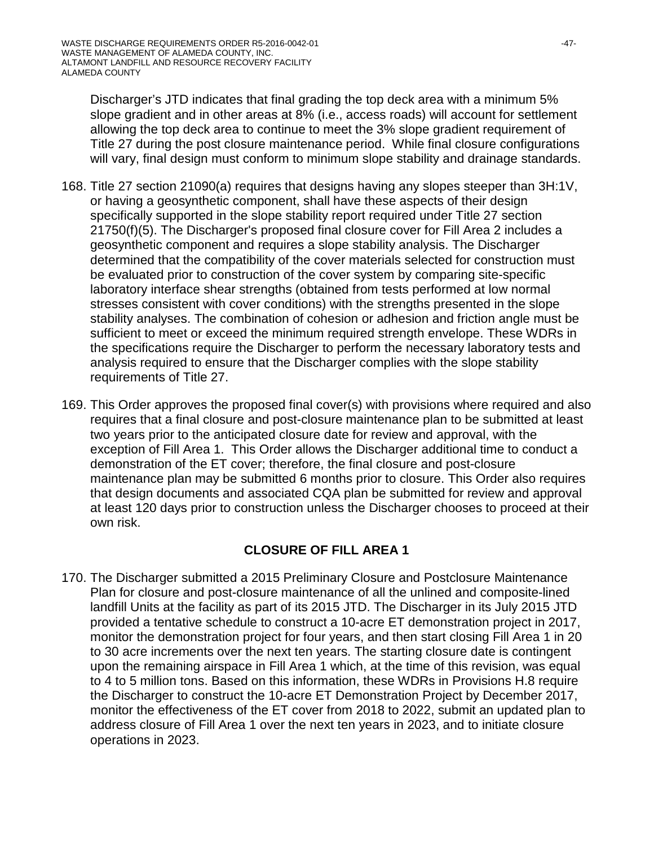Discharger's JTD indicates that final grading the top deck area with a minimum 5% slope gradient and in other areas at 8% (i.e., access roads) will account for settlement allowing the top deck area to continue to meet the 3% slope gradient requirement of Title 27 during the post closure maintenance period. While final closure configurations will vary, final design must conform to minimum slope stability and drainage standards.

- 168. Title 27 section 21090(a) requires that designs having any slopes steeper than 3H:1V, or having a geosynthetic component, shall have these aspects of their design specifically supported in the slope stability report required under Title 27 section 21750(f)(5). The Discharger's proposed final closure cover for Fill Area 2 includes a geosynthetic component and requires a slope stability analysis. The Discharger determined that the compatibility of the cover materials selected for construction must be evaluated prior to construction of the cover system by comparing site-specific laboratory interface shear strengths (obtained from tests performed at low normal stresses consistent with cover conditions) with the strengths presented in the slope stability analyses. The combination of cohesion or adhesion and friction angle must be sufficient to meet or exceed the minimum required strength envelope. These WDRs in the specifications require the Discharger to perform the necessary laboratory tests and analysis required to ensure that the Discharger complies with the slope stability requirements of Title 27.
- 169. This Order approves the proposed final cover(s) with provisions where required and also requires that a final closure and post-closure maintenance plan to be submitted at least two years prior to the anticipated closure date for review and approval, with the exception of Fill Area 1. This Order allows the Discharger additional time to conduct a demonstration of the ET cover; therefore, the final closure and post-closure maintenance plan may be submitted 6 months prior to closure. This Order also requires that design documents and associated CQA plan be submitted for review and approval at least 120 days prior to construction unless the Discharger chooses to proceed at their own risk.

## **CLOSURE OF FILL AREA 1**

170. The Discharger submitted a 2015 Preliminary Closure and Postclosure Maintenance Plan for closure and post-closure maintenance of all the unlined and composite-lined landfill Units at the facility as part of its 2015 JTD. The Discharger in its July 2015 JTD provided a tentative schedule to construct a 10-acre ET demonstration project in 2017, monitor the demonstration project for four years, and then start closing Fill Area 1 in 20 to 30 acre increments over the next ten years. The starting closure date is contingent upon the remaining airspace in Fill Area 1 which, at the time of this revision, was equal to 4 to 5 million tons. Based on this information, these WDRs in Provisions H.8 require the Discharger to construct the 10-acre ET Demonstration Project by December 2017, monitor the effectiveness of the ET cover from 2018 to 2022, submit an updated plan to address closure of Fill Area 1 over the next ten years in 2023, and to initiate closure operations in 2023.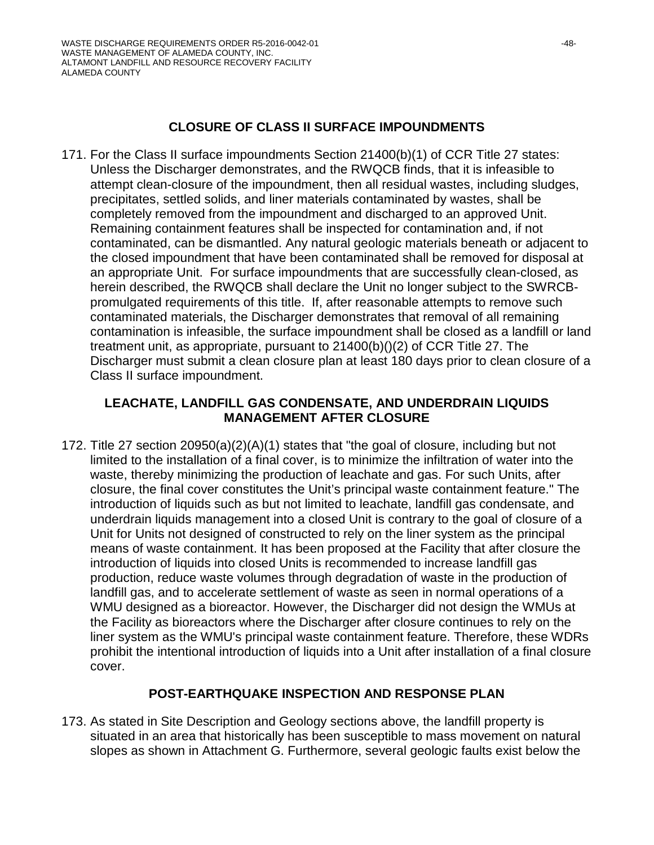## **CLOSURE OF CLASS II SURFACE IMPOUNDMENTS**

171. For the Class II surface impoundments Section 21400(b)(1) of CCR Title 27 states: Unless the Discharger demonstrates, and the RWQCB finds, that it is infeasible to attempt clean-closure of the impoundment, then all residual wastes, including sludges, precipitates, settled solids, and liner materials contaminated by wastes, shall be completely removed from the impoundment and discharged to an approved Unit. Remaining containment features shall be inspected for contamination and, if not contaminated, can be dismantled. Any natural geologic materials beneath or adjacent to the closed impoundment that have been contaminated shall be removed for disposal at an appropriate Unit. For surface impoundments that are successfully clean-closed, as herein described, the RWQCB shall declare the Unit no longer subject to the SWRCBpromulgated requirements of this title. If, after reasonable attempts to remove such contaminated materials, the Discharger demonstrates that removal of all remaining contamination is infeasible, the surface impoundment shall be closed as a landfill or land treatment unit, as appropriate, pursuant to 21400(b)()(2) of CCR Title 27. The Discharger must submit a clean closure plan at least 180 days prior to clean closure of a Class II surface impoundment.

## **LEACHATE, LANDFILL GAS CONDENSATE, AND UNDERDRAIN LIQUIDS MANAGEMENT AFTER CLOSURE**

172. Title 27 section 20950(a)(2)(A)(1) states that "the goal of closure, including but not limited to the installation of a final cover, is to minimize the infiltration of water into the waste, thereby minimizing the production of leachate and gas. For such Units, after closure, the final cover constitutes the Unit's principal waste containment feature." The introduction of liquids such as but not limited to leachate, landfill gas condensate, and underdrain liquids management into a closed Unit is contrary to the goal of closure of a Unit for Units not designed of constructed to rely on the liner system as the principal means of waste containment. It has been proposed at the Facility that after closure the introduction of liquids into closed Units is recommended to increase landfill gas production, reduce waste volumes through degradation of waste in the production of landfill gas, and to accelerate settlement of waste as seen in normal operations of a WMU designed as a bioreactor. However, the Discharger did not design the WMUs at the Facility as bioreactors where the Discharger after closure continues to rely on the liner system as the WMU's principal waste containment feature. Therefore, these WDRs prohibit the intentional introduction of liquids into a Unit after installation of a final closure cover.

#### **POST-EARTHQUAKE INSPECTION AND RESPONSE PLAN**

173. As stated in Site Description and Geology sections above, the landfill property is situated in an area that historically has been susceptible to mass movement on natural slopes as shown in Attachment G. Furthermore, several geologic faults exist below the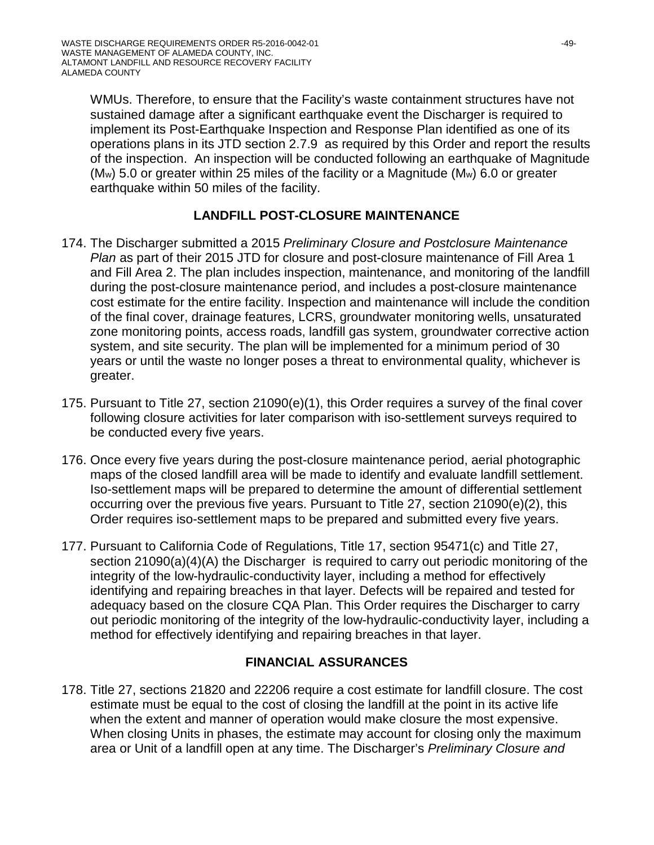WMUs. Therefore, to ensure that the Facility's waste containment structures have not sustained damage after a significant earthquake event the Discharger is required to implement its Post-Earthquake Inspection and Response Plan identified as one of its operations plans in its JTD section 2.7.9 as required by this Order and report the results of the inspection. An inspection will be conducted following an earthquake of Magnitude ( $M_w$ ) 5.0 or greater within 25 miles of the facility or a Magnitude ( $M_w$ ) 6.0 or greater earthquake within 50 miles of the facility.

## **LANDFILL POST-CLOSURE MAINTENANCE**

- 174. The Discharger submitted a 2015 *Preliminary Closure and Postclosure Maintenance Plan* as part of their 2015 JTD for closure and post-closure maintenance of Fill Area 1 and Fill Area 2. The plan includes inspection, maintenance, and monitoring of the landfill during the post-closure maintenance period, and includes a post-closure maintenance cost estimate for the entire facility. Inspection and maintenance will include the condition of the final cover, drainage features, LCRS, groundwater monitoring wells, unsaturated zone monitoring points, access roads, landfill gas system, groundwater corrective action system, and site security. The plan will be implemented for a minimum period of 30 years or until the waste no longer poses a threat to environmental quality, whichever is greater.
- 175. Pursuant to Title 27, section 21090(e)(1), this Order requires a survey of the final cover following closure activities for later comparison with iso-settlement surveys required to be conducted every five years.
- 176. Once every five years during the post-closure maintenance period, aerial photographic maps of the closed landfill area will be made to identify and evaluate landfill settlement. Iso-settlement maps will be prepared to determine the amount of differential settlement occurring over the previous five years. Pursuant to Title 27, section 21090(e)(2), this Order requires iso-settlement maps to be prepared and submitted every five years.
- 177. Pursuant to California Code of Regulations, Title 17, section 95471(c) and Title 27, section 21090(a)(4)(A) the Discharger is required to carry out periodic monitoring of the integrity of the low-hydraulic-conductivity layer, including a method for effectively identifying and repairing breaches in that layer. Defects will be repaired and tested for adequacy based on the closure CQA Plan. This Order requires the Discharger to carry out periodic monitoring of the integrity of the low-hydraulic-conductivity layer, including a method for effectively identifying and repairing breaches in that layer.

## **FINANCIAL ASSURANCES**

178. Title 27, sections 21820 and 22206 require a cost estimate for landfill closure. The cost estimate must be equal to the cost of closing the landfill at the point in its active life when the extent and manner of operation would make closure the most expensive. When closing Units in phases, the estimate may account for closing only the maximum area or Unit of a landfill open at any time. The Discharger's *Preliminary Closure and*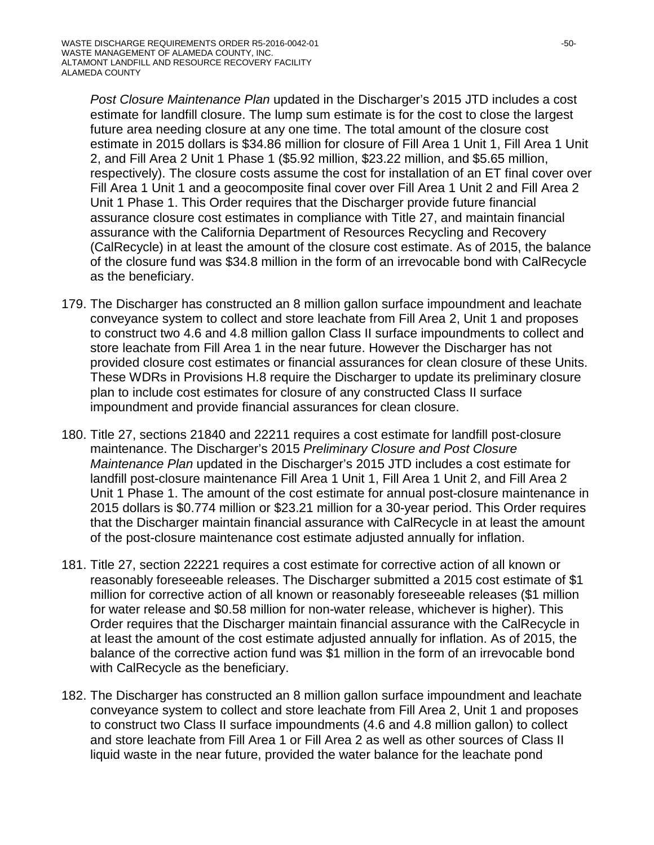*Post Closure Maintenance Plan* updated in the Discharger's 2015 JTD includes a cost estimate for landfill closure. The lump sum estimate is for the cost to close the largest future area needing closure at any one time. The total amount of the closure cost estimate in 2015 dollars is \$34.86 million for closure of Fill Area 1 Unit 1, Fill Area 1 Unit 2, and Fill Area 2 Unit 1 Phase 1 (\$5.92 million, \$23.22 million, and \$5.65 million, respectively). The closure costs assume the cost for installation of an ET final cover over Fill Area 1 Unit 1 and a geocomposite final cover over Fill Area 1 Unit 2 and Fill Area 2 Unit 1 Phase 1. This Order requires that the Discharger provide future financial assurance closure cost estimates in compliance with Title 27, and maintain financial assurance with the California Department of Resources Recycling and Recovery (CalRecycle) in at least the amount of the closure cost estimate. As of 2015, the balance of the closure fund was \$34.8 million in the form of an irrevocable bond with CalRecycle as the beneficiary.

- 179. The Discharger has constructed an 8 million gallon surface impoundment and leachate conveyance system to collect and store leachate from Fill Area 2, Unit 1 and proposes to construct two 4.6 and 4.8 million gallon Class II surface impoundments to collect and store leachate from Fill Area 1 in the near future. However the Discharger has not provided closure cost estimates or financial assurances for clean closure of these Units. These WDRs in Provisions H.8 require the Discharger to update its preliminary closure plan to include cost estimates for closure of any constructed Class II surface impoundment and provide financial assurances for clean closure.
- 180. Title 27, sections 21840 and 22211 requires a cost estimate for landfill post-closure maintenance. The Discharger's 2015 *Preliminary Closure and Post Closure Maintenance Plan* updated in the Discharger's 2015 JTD includes a cost estimate for landfill post-closure maintenance Fill Area 1 Unit 1, Fill Area 1 Unit 2, and Fill Area 2 Unit 1 Phase 1. The amount of the cost estimate for annual post-closure maintenance in 2015 dollars is \$0.774 million or \$23.21 million for a 30-year period. This Order requires that the Discharger maintain financial assurance with CalRecycle in at least the amount of the post-closure maintenance cost estimate adjusted annually for inflation.
- 181. Title 27, section 22221 requires a cost estimate for corrective action of all known or reasonably foreseeable releases. The Discharger submitted a 2015 cost estimate of \$1 million for corrective action of all known or reasonably foreseeable releases (\$1 million for water release and \$0.58 million for non-water release, whichever is higher). This Order requires that the Discharger maintain financial assurance with the CalRecycle in at least the amount of the cost estimate adjusted annually for inflation. As of 2015, the balance of the corrective action fund was \$1 million in the form of an irrevocable bond with CalRecycle as the beneficiary.
- 182. The Discharger has constructed an 8 million gallon surface impoundment and leachate conveyance system to collect and store leachate from Fill Area 2, Unit 1 and proposes to construct two Class II surface impoundments (4.6 and 4.8 million gallon) to collect and store leachate from Fill Area 1 or Fill Area 2 as well as other sources of Class II liquid waste in the near future, provided the water balance for the leachate pond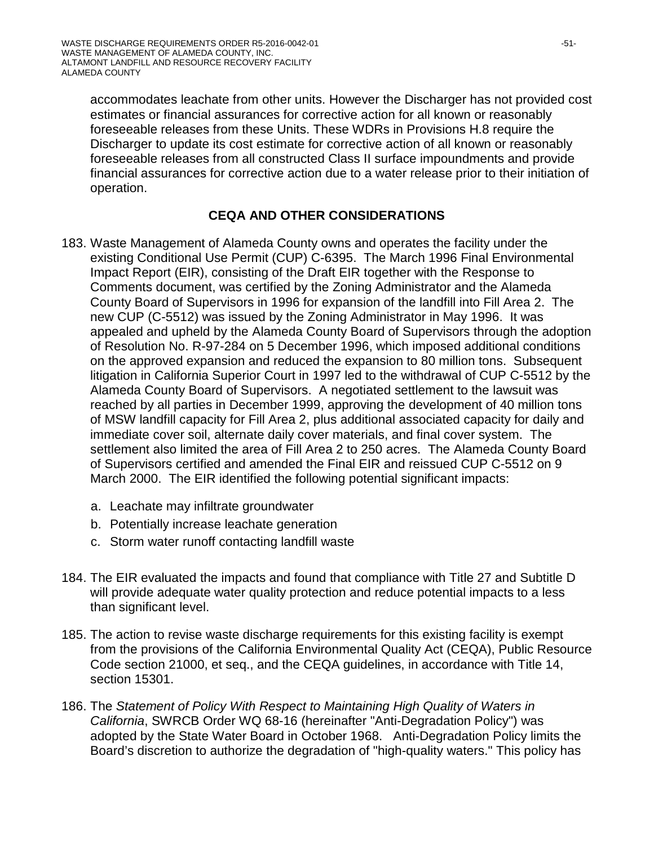accommodates leachate from other units. However the Discharger has not provided cost estimates or financial assurances for corrective action for all known or reasonably foreseeable releases from these Units. These WDRs in Provisions H.8 require the Discharger to update its cost estimate for corrective action of all known or reasonably foreseeable releases from all constructed Class II surface impoundments and provide financial assurances for corrective action due to a water release prior to their initiation of operation.

## **CEQA AND OTHER CONSIDERATIONS**

- 183. Waste Management of Alameda County owns and operates the facility under the existing Conditional Use Permit (CUP) C-6395. The March 1996 Final Environmental Impact Report (EIR), consisting of the Draft EIR together with the Response to Comments document, was certified by the Zoning Administrator and the Alameda County Board of Supervisors in 1996 for expansion of the landfill into Fill Area 2. The new CUP (C-5512) was issued by the Zoning Administrator in May 1996. It was appealed and upheld by the Alameda County Board of Supervisors through the adoption of Resolution No. R-97-284 on 5 December 1996, which imposed additional conditions on the approved expansion and reduced the expansion to 80 million tons. Subsequent litigation in California Superior Court in 1997 led to the withdrawal of CUP C-5512 by the Alameda County Board of Supervisors. A negotiated settlement to the lawsuit was reached by all parties in December 1999, approving the development of 40 million tons of MSW landfill capacity for Fill Area 2, plus additional associated capacity for daily and immediate cover soil, alternate daily cover materials, and final cover system. The settlement also limited the area of Fill Area 2 to 250 acres. The Alameda County Board of Supervisors certified and amended the Final EIR and reissued CUP C-5512 on 9 March 2000. The EIR identified the following potential significant impacts:
	- a. Leachate may infiltrate groundwater
	- b. Potentially increase leachate generation
	- c. Storm water runoff contacting landfill waste
- 184. The EIR evaluated the impacts and found that compliance with Title 27 and Subtitle D will provide adequate water quality protection and reduce potential impacts to a less than significant level.
- 185. The action to revise waste discharge requirements for this existing facility is exempt from the provisions of the California Environmental Quality Act (CEQA), Public Resource Code section 21000, et seq., and the CEQA guidelines, in accordance with Title 14, section 15301.
- 186. The *Statement of Policy With Respect to Maintaining High Quality of Waters in California*, SWRCB Order WQ 68-16 (hereinafter "Anti-Degradation Policy") was adopted by the State Water Board in October 1968. Anti-Degradation Policy limits the Board's discretion to authorize the degradation of "high-quality waters." This policy has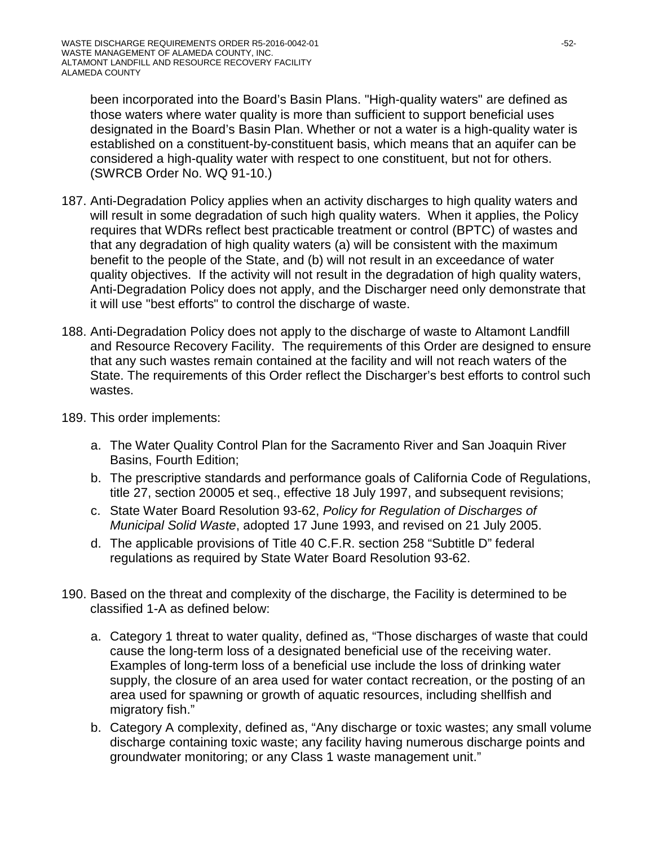been incorporated into the Board's Basin Plans. "High-quality waters" are defined as those waters where water quality is more than sufficient to support beneficial uses designated in the Board's Basin Plan. Whether or not a water is a high-quality water is established on a constituent-by-constituent basis, which means that an aquifer can be considered a high-quality water with respect to one constituent, but not for others. (SWRCB Order No. WQ 91-10.)

- 187. Anti-Degradation Policy applies when an activity discharges to high quality waters and will result in some degradation of such high quality waters. When it applies, the Policy requires that WDRs reflect best practicable treatment or control (BPTC) of wastes and that any degradation of high quality waters (a) will be consistent with the maximum benefit to the people of the State, and (b) will not result in an exceedance of water quality objectives. If the activity will not result in the degradation of high quality waters, Anti-Degradation Policy does not apply, and the Discharger need only demonstrate that it will use "best efforts" to control the discharge of waste.
- 188. Anti-Degradation Policy does not apply to the discharge of waste to Altamont Landfill and Resource Recovery Facility. The requirements of this Order are designed to ensure that any such wastes remain contained at the facility and will not reach waters of the State. The requirements of this Order reflect the Discharger's best efforts to control such wastes.
- 189. This order implements:
	- a. The Water Quality Control Plan for the Sacramento River and San Joaquin River Basins, Fourth Edition;
	- b. The prescriptive standards and performance goals of California Code of Regulations, title 27, section 20005 et seq., effective 18 July 1997, and subsequent revisions;
	- c. State Water Board Resolution 93-62, *Policy for Regulation of Discharges of Municipal Solid Waste*, adopted 17 June 1993, and revised on 21 July 2005.
	- d. The applicable provisions of Title 40 C.F.R. section 258 "Subtitle D" federal regulations as required by State Water Board Resolution 93-62.
- 190. Based on the threat and complexity of the discharge, the Facility is determined to be classified 1-A as defined below:
	- a. Category 1 threat to water quality, defined as, "Those discharges of waste that could cause the long-term loss of a designated beneficial use of the receiving water. Examples of long-term loss of a beneficial use include the loss of drinking water supply, the closure of an area used for water contact recreation, or the posting of an area used for spawning or growth of aquatic resources, including shellfish and migratory fish."
	- b. Category A complexity, defined as, "Any discharge or toxic wastes; any small volume discharge containing toxic waste; any facility having numerous discharge points and groundwater monitoring; or any Class 1 waste management unit."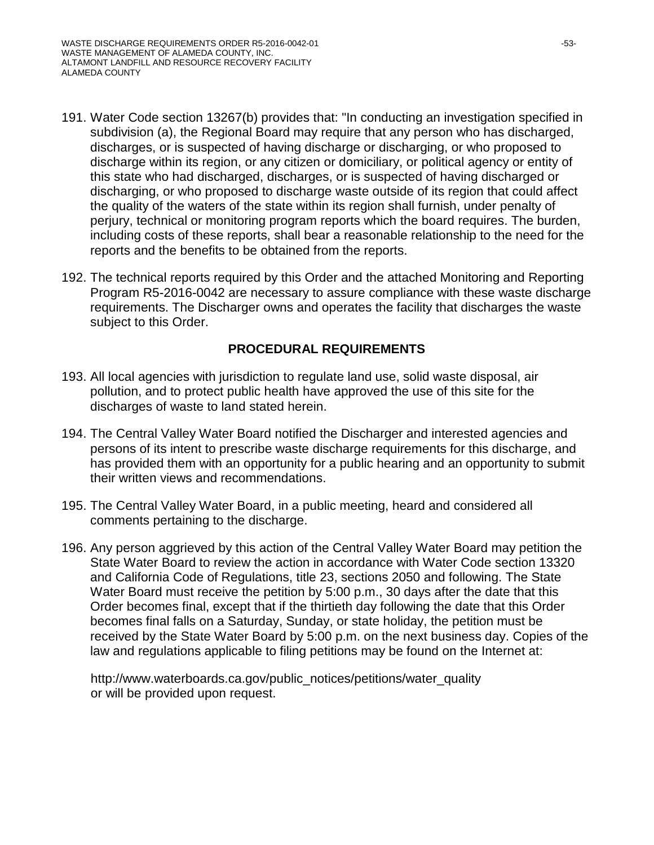- 191. Water Code section 13267(b) provides that: "In conducting an investigation specified in subdivision (a), the Regional Board may require that any person who has discharged, discharges, or is suspected of having discharge or discharging, or who proposed to discharge within its region, or any citizen or domiciliary, or political agency or entity of this state who had discharged, discharges, or is suspected of having discharged or discharging, or who proposed to discharge waste outside of its region that could affect the quality of the waters of the state within its region shall furnish, under penalty of perjury, technical or monitoring program reports which the board requires. The burden, including costs of these reports, shall bear a reasonable relationship to the need for the reports and the benefits to be obtained from the reports.
- 192. The technical reports required by this Order and the attached Monitoring and Reporting Program R5-2016-0042 are necessary to assure compliance with these waste discharge requirements. The Discharger owns and operates the facility that discharges the waste subject to this Order.

#### **PROCEDURAL REQUIREMENTS**

- 193. All local agencies with jurisdiction to regulate land use, solid waste disposal, air pollution, and to protect public health have approved the use of this site for the discharges of waste to land stated herein.
- 194. The Central Valley Water Board notified the Discharger and interested agencies and persons of its intent to prescribe waste discharge requirements for this discharge, and has provided them with an opportunity for a public hearing and an opportunity to submit their written views and recommendations.
- 195. The Central Valley Water Board, in a public meeting, heard and considered all comments pertaining to the discharge.
- 196. Any person aggrieved by this action of the Central Valley Water Board may petition the State Water Board to review the action in accordance with Water Code section 13320 and California Code of Regulations, title 23, sections 2050 and following. The State Water Board must receive the petition by 5:00 p.m., 30 days after the date that this Order becomes final, except that if the thirtieth day following the date that this Order becomes final falls on a Saturday, Sunday, or state holiday, the petition must be received by the State Water Board by 5:00 p.m. on the next business day. Copies of the law and regulations applicable to filing petitions may be found on the Internet at:

http://www.waterboards.ca.gov/public\_notices/petitions/water\_quality or will be provided upon request.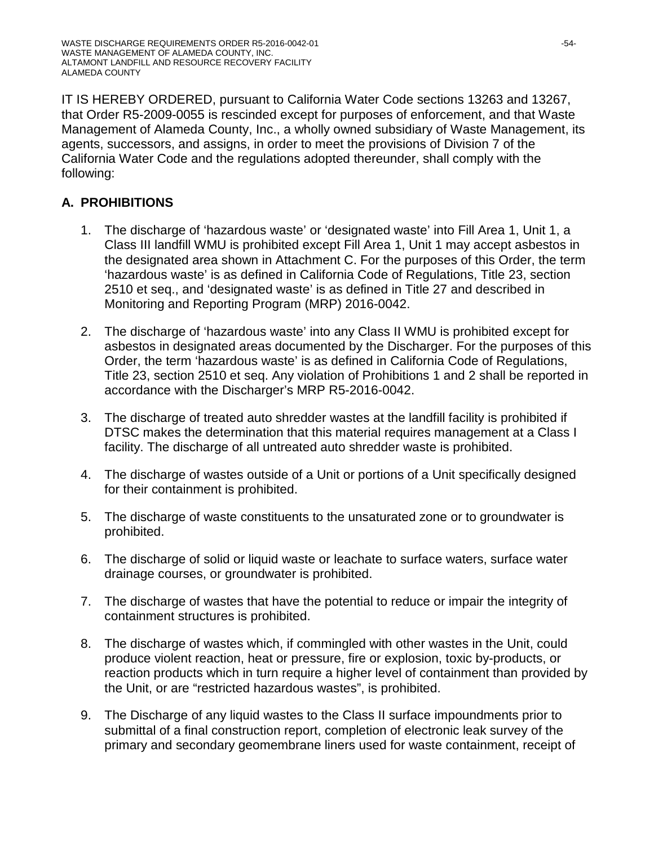IT IS HEREBY ORDERED, pursuant to California Water Code sections 13263 and 13267, that Order R5-2009-0055 is rescinded except for purposes of enforcement, and that Waste Management of Alameda County, Inc., a wholly owned subsidiary of Waste Management, its agents, successors, and assigns, in order to meet the provisions of Division 7 of the California Water Code and the regulations adopted thereunder, shall comply with the following:

# **A. PROHIBITIONS**

- 1. The discharge of 'hazardous waste' or 'designated waste' into Fill Area 1, Unit 1, a Class III landfill WMU is prohibited except Fill Area 1, Unit 1 may accept asbestos in the designated area shown in Attachment C. For the purposes of this Order, the term 'hazardous waste' is as defined in California Code of Regulations, Title 23, section 2510 et seq., and 'designated waste' is as defined in Title 27 and described in Monitoring and Reporting Program (MRP) 2016-0042.
- 2. The discharge of 'hazardous waste' into any Class II WMU is prohibited except for asbestos in designated areas documented by the Discharger. For the purposes of this Order, the term 'hazardous waste' is as defined in California Code of Regulations, Title 23, section 2510 et seq. Any violation of Prohibitions 1 and 2 shall be reported in accordance with the Discharger's MRP R5-2016-0042.
- 3. The discharge of treated auto shredder wastes at the landfill facility is prohibited if DTSC makes the determination that this material requires management at a Class I facility. The discharge of all untreated auto shredder waste is prohibited.
- 4. The discharge of wastes outside of a Unit or portions of a Unit specifically designed for their containment is prohibited.
- 5. The discharge of waste constituents to the unsaturated zone or to groundwater is prohibited.
- 6. The discharge of solid or liquid waste or leachate to surface waters, surface water drainage courses, or groundwater is prohibited.
- 7. The discharge of wastes that have the potential to reduce or impair the integrity of containment structures is prohibited.
- 8. The discharge of wastes which, if commingled with other wastes in the Unit, could produce violent reaction, heat or pressure, fire or explosion, toxic by-products, or reaction products which in turn require a higher level of containment than provided by the Unit, or are "restricted hazardous wastes", is prohibited.
- 9. The Discharge of any liquid wastes to the Class II surface impoundments prior to submittal of a final construction report, completion of electronic leak survey of the primary and secondary geomembrane liners used for waste containment, receipt of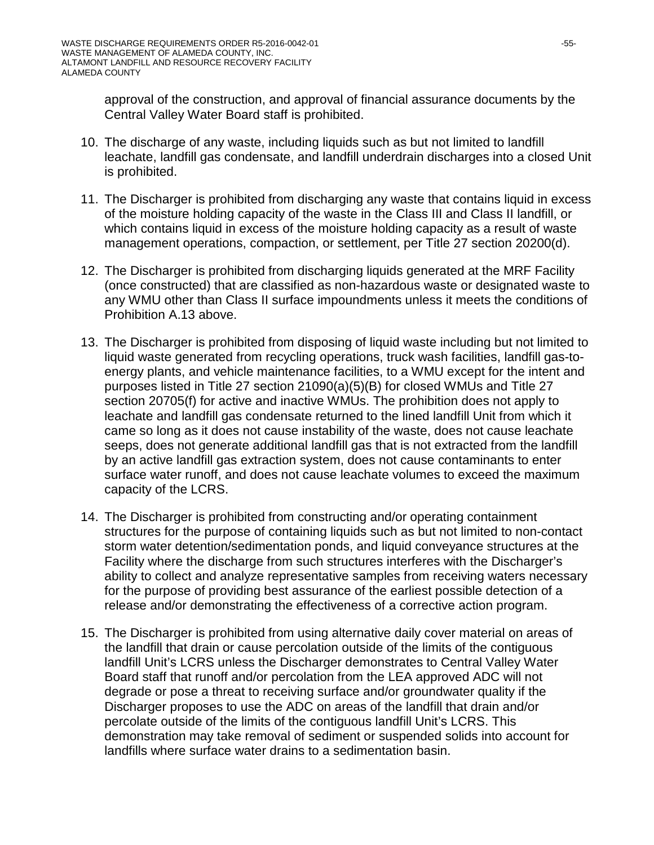approval of the construction, and approval of financial assurance documents by the Central Valley Water Board staff is prohibited.

- 10. The discharge of any waste, including liquids such as but not limited to landfill leachate, landfill gas condensate, and landfill underdrain discharges into a closed Unit is prohibited.
- 11. The Discharger is prohibited from discharging any waste that contains liquid in excess of the moisture holding capacity of the waste in the Class III and Class II landfill, or which contains liquid in excess of the moisture holding capacity as a result of waste management operations, compaction, or settlement, per Title 27 section 20200(d).
- 12. The Discharger is prohibited from discharging liquids generated at the MRF Facility (once constructed) that are classified as non-hazardous waste or designated waste to any WMU other than Class II surface impoundments unless it meets the conditions of Prohibition A.13 above.
- 13. The Discharger is prohibited from disposing of liquid waste including but not limited to liquid waste generated from recycling operations, truck wash facilities, landfill gas-toenergy plants, and vehicle maintenance facilities, to a WMU except for the intent and purposes listed in Title 27 section 21090(a)(5)(B) for closed WMUs and Title 27 section 20705(f) for active and inactive WMUs. The prohibition does not apply to leachate and landfill gas condensate returned to the lined landfill Unit from which it came so long as it does not cause instability of the waste, does not cause leachate seeps, does not generate additional landfill gas that is not extracted from the landfill by an active landfill gas extraction system, does not cause contaminants to enter surface water runoff, and does not cause leachate volumes to exceed the maximum capacity of the LCRS.
- 14. The Discharger is prohibited from constructing and/or operating containment structures for the purpose of containing liquids such as but not limited to non-contact storm water detention/sedimentation ponds, and liquid conveyance structures at the Facility where the discharge from such structures interferes with the Discharger's ability to collect and analyze representative samples from receiving waters necessary for the purpose of providing best assurance of the earliest possible detection of a release and/or demonstrating the effectiveness of a corrective action program.
- 15. The Discharger is prohibited from using alternative daily cover material on areas of the landfill that drain or cause percolation outside of the limits of the contiguous landfill Unit's LCRS unless the Discharger demonstrates to Central Valley Water Board staff that runoff and/or percolation from the LEA approved ADC will not degrade or pose a threat to receiving surface and/or groundwater quality if the Discharger proposes to use the ADC on areas of the landfill that drain and/or percolate outside of the limits of the contiguous landfill Unit's LCRS. This demonstration may take removal of sediment or suspended solids into account for landfills where surface water drains to a sedimentation basin.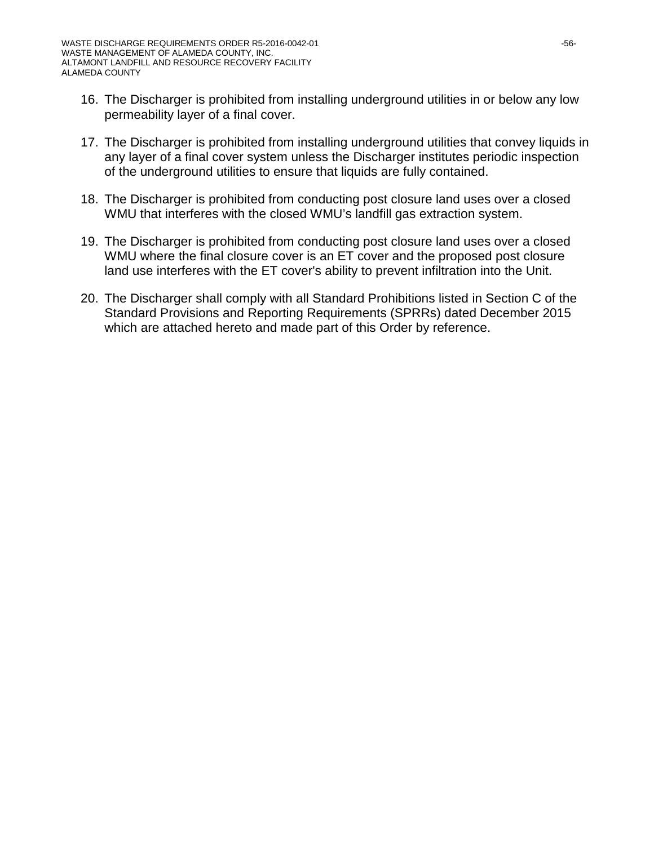- 16. The Discharger is prohibited from installing underground utilities in or below any low permeability layer of a final cover.
- 17. The Discharger is prohibited from installing underground utilities that convey liquids in any layer of a final cover system unless the Discharger institutes periodic inspection of the underground utilities to ensure that liquids are fully contained.
- 18. The Discharger is prohibited from conducting post closure land uses over a closed WMU that interferes with the closed WMU's landfill gas extraction system.
- 19. The Discharger is prohibited from conducting post closure land uses over a closed WMU where the final closure cover is an ET cover and the proposed post closure land use interferes with the ET cover's ability to prevent infiltration into the Unit.
- 20. The Discharger shall comply with all Standard Prohibitions listed in Section C of the Standard Provisions and Reporting Requirements (SPRRs) dated December 2015 which are attached hereto and made part of this Order by reference.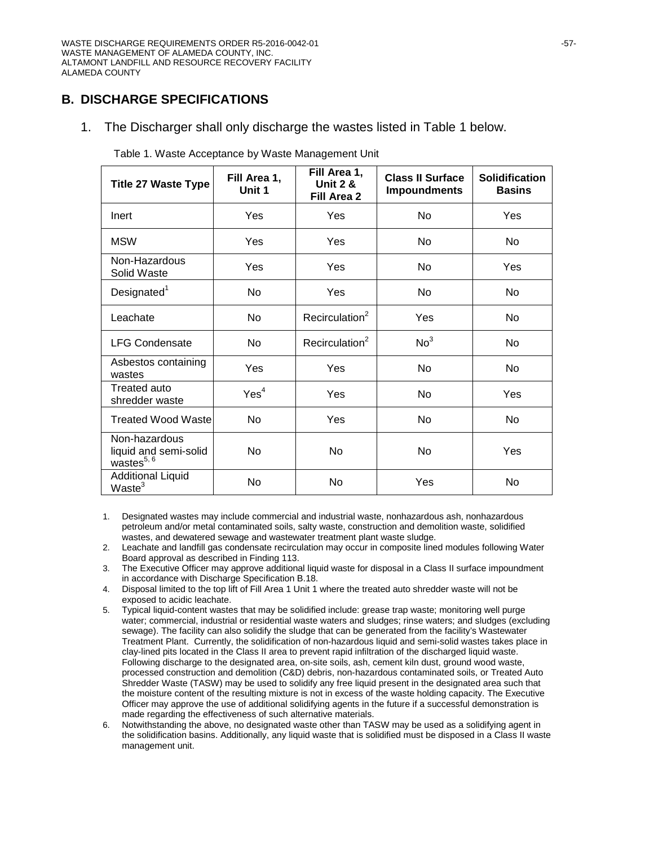### **B. DISCHARGE SPECIFICATIONS**

1. The Discharger shall only discharge the wastes listed in Table 1 below.

| <b>Title 27 Waste Type</b>                                | Fill Area 1,<br>Unit 1 | Fill Area 1,<br><b>Unit 2 &amp;</b><br>Fill Area 2 | <b>Class II Surface</b><br><b>Impoundments</b> | <b>Solidification</b><br><b>Basins</b> |
|-----------------------------------------------------------|------------------------|----------------------------------------------------|------------------------------------------------|----------------------------------------|
| Inert                                                     | Yes                    | Yes                                                | N <sub>o</sub>                                 | Yes                                    |
| <b>MSW</b>                                                | Yes                    | Yes                                                | N <sub>o</sub>                                 | <b>No</b>                              |
| Non-Hazardous<br>Solid Waste                              | Yes                    | Yes                                                | No                                             | Yes                                    |
| Designated <sup>1</sup>                                   | No                     | Yes                                                | No.                                            | N <sub>o</sub>                         |
| Leachate                                                  | No                     | Recirculation <sup>2</sup>                         | Yes                                            | No                                     |
| <b>LFG Condensate</b>                                     | No                     | Recirculation <sup>2</sup>                         | No <sup>3</sup>                                | <b>No</b>                              |
| Asbestos containing<br>wastes                             | Yes                    | Yes                                                | No.                                            | <b>No</b>                              |
| Treated auto<br>shredder waste                            | Yes <sup>4</sup>       | Yes                                                | No.                                            | Yes                                    |
| <b>Treated Wood Waste</b>                                 | <b>No</b>              | Yes                                                | No                                             | <b>No</b>                              |
| Non-hazardous<br>liquid and semi-solid<br>wastes $^{5,6}$ | No                     | No                                                 | No.                                            | Yes                                    |
| <b>Additional Liquid</b><br>Waste <sup>3</sup>            | No                     | No                                                 | Yes                                            | No                                     |

Table 1. Waste Acceptance by Waste Management Unit

1. Designated wastes may include commercial and industrial waste, nonhazardous ash, nonhazardous petroleum and/or metal contaminated soils, salty waste, construction and demolition waste, solidified wastes, and dewatered sewage and wastewater treatment plant waste sludge.

2. Leachate and landfill gas condensate recirculation may occur in composite lined modules following Water Board approval as described in Finding 113.

- 3. The Executive Officer may approve additional liquid waste for disposal in a Class II surface impoundment in accordance with Discharge Specification B.18.
- 4. Disposal limited to the top lift of Fill Area 1 Unit 1 where the treated auto shredder waste will not be exposed to acidic leachate.
- 5. Typical liquid-content wastes that may be solidified include: grease trap waste; monitoring well purge water; commercial, industrial or residential waste waters and sludges; rinse waters; and sludges (excluding sewage). The facility can also solidify the sludge that can be generated from the facility's Wastewater Treatment Plant. Currently, the solidification of non-hazardous liquid and semi-solid wastes takes place in clay-lined pits located in the Class II area to prevent rapid infiltration of the discharged liquid waste. Following discharge to the designated area, on-site soils, ash, cement kiln dust, ground wood waste, processed construction and demolition (C&D) debris, non-hazardous contaminated soils, or Treated Auto Shredder Waste (TASW) may be used to solidify any free liquid present in the designated area such that the moisture content of the resulting mixture is not in excess of the waste holding capacity. The Executive Officer may approve the use of additional solidifying agents in the future if a successful demonstration is made regarding the effectiveness of such alternative materials.
- 6. Notwithstanding the above, no designated waste other than TASW may be used as a solidifying agent in the solidification basins. Additionally, any liquid waste that is solidified must be disposed in a Class II waste management unit.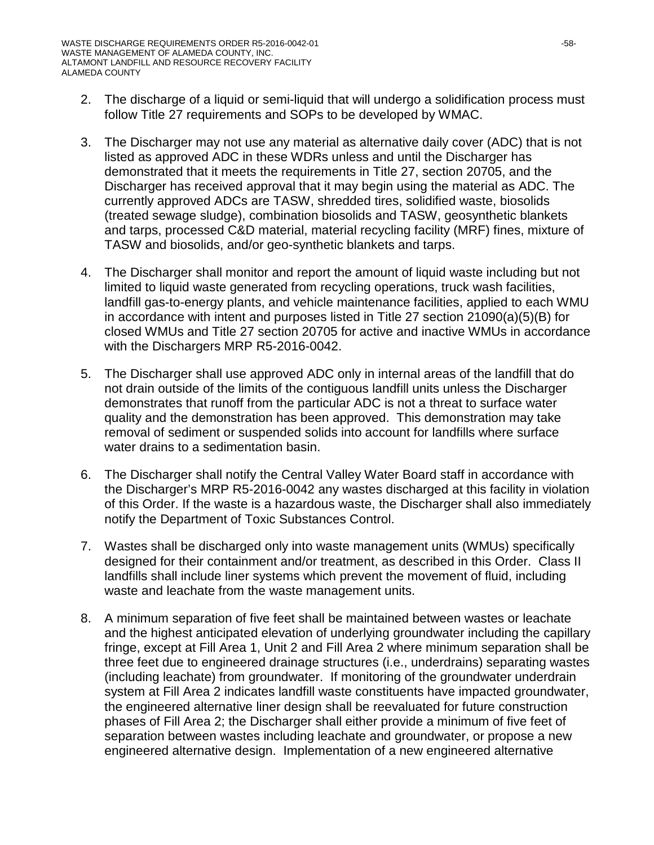- 2. The discharge of a liquid or semi-liquid that will undergo a solidification process must follow Title 27 requirements and SOPs to be developed by WMAC.
- 3. The Discharger may not use any material as alternative daily cover (ADC) that is not listed as approved ADC in these WDRs unless and until the Discharger has demonstrated that it meets the requirements in Title 27, section 20705, and the Discharger has received approval that it may begin using the material as ADC. The currently approved ADCs are TASW, shredded tires, solidified waste, biosolids (treated sewage sludge), combination biosolids and TASW, geosynthetic blankets and tarps, processed C&D material, material recycling facility (MRF) fines, mixture of TASW and biosolids, and/or geo-synthetic blankets and tarps.
- 4. The Discharger shall monitor and report the amount of liquid waste including but not limited to liquid waste generated from recycling operations, truck wash facilities, landfill gas-to-energy plants, and vehicle maintenance facilities, applied to each WMU in accordance with intent and purposes listed in Title 27 section 21090(a)(5)(B) for closed WMUs and Title 27 section 20705 for active and inactive WMUs in accordance with the Dischargers MRP R5-2016-0042.
- 5. The Discharger shall use approved ADC only in internal areas of the landfill that do not drain outside of the limits of the contiguous landfill units unless the Discharger demonstrates that runoff from the particular ADC is not a threat to surface water quality and the demonstration has been approved. This demonstration may take removal of sediment or suspended solids into account for landfills where surface water drains to a sedimentation basin.
- 6. The Discharger shall notify the Central Valley Water Board staff in accordance with the Discharger's MRP R5-2016-0042 any wastes discharged at this facility in violation of this Order. If the waste is a hazardous waste, the Discharger shall also immediately notify the Department of Toxic Substances Control.
- 7. Wastes shall be discharged only into waste management units (WMUs) specifically designed for their containment and/or treatment, as described in this Order. Class II landfills shall include liner systems which prevent the movement of fluid, including waste and leachate from the waste management units.
- 8. A minimum separation of five feet shall be maintained between wastes or leachate and the highest anticipated elevation of underlying groundwater including the capillary fringe, except at Fill Area 1, Unit 2 and Fill Area 2 where minimum separation shall be three feet due to engineered drainage structures (i.e., underdrains) separating wastes (including leachate) from groundwater. If monitoring of the groundwater underdrain system at Fill Area 2 indicates landfill waste constituents have impacted groundwater, the engineered alternative liner design shall be reevaluated for future construction phases of Fill Area 2; the Discharger shall either provide a minimum of five feet of separation between wastes including leachate and groundwater, or propose a new engineered alternative design. Implementation of a new engineered alternative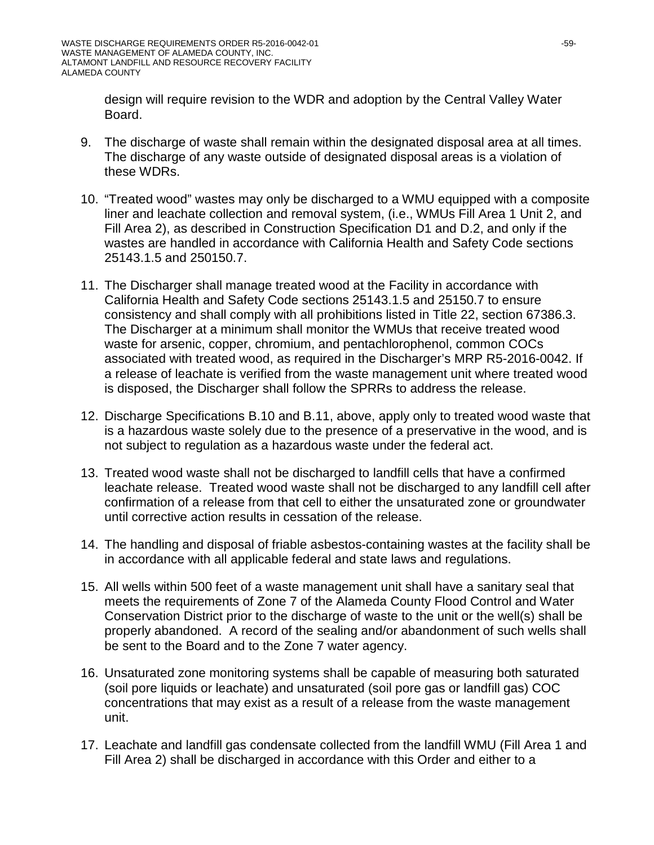design will require revision to the WDR and adoption by the Central Valley Water Board.

- 9. The discharge of waste shall remain within the designated disposal area at all times. The discharge of any waste outside of designated disposal areas is a violation of these WDRs.
- 10. "Treated wood" wastes may only be discharged to a WMU equipped with a composite liner and leachate collection and removal system, (i.e., WMUs Fill Area 1 Unit 2, and Fill Area 2), as described in Construction Specification D1 and D.2, and only if the wastes are handled in accordance with California Health and Safety Code sections 25143.1.5 and 250150.7.
- 11. The Discharger shall manage treated wood at the Facility in accordance with California Health and Safety Code sections 25143.1.5 and 25150.7 to ensure consistency and shall comply with all prohibitions listed in Title 22, section 67386.3. The Discharger at a minimum shall monitor the WMUs that receive treated wood waste for arsenic, copper, chromium, and pentachlorophenol, common COCs associated with treated wood, as required in the Discharger's MRP R5-2016-0042. If a release of leachate is verified from the waste management unit where treated wood is disposed, the Discharger shall follow the SPRRs to address the release.
- 12. Discharge Specifications B.10 and B.11, above, apply only to treated wood waste that is a hazardous waste solely due to the presence of a preservative in the wood, and is not subject to regulation as a hazardous waste under the federal act.
- 13. Treated wood waste shall not be discharged to landfill cells that have a confirmed leachate release. Treated wood waste shall not be discharged to any landfill cell after confirmation of a release from that cell to either the unsaturated zone or groundwater until corrective action results in cessation of the release.
- 14. The handling and disposal of friable asbestos-containing wastes at the facility shall be in accordance with all applicable federal and state laws and regulations.
- 15. All wells within 500 feet of a waste management unit shall have a sanitary seal that meets the requirements of Zone 7 of the Alameda County Flood Control and Water Conservation District prior to the discharge of waste to the unit or the well(s) shall be properly abandoned. A record of the sealing and/or abandonment of such wells shall be sent to the Board and to the Zone 7 water agency.
- 16. Unsaturated zone monitoring systems shall be capable of measuring both saturated (soil pore liquids or leachate) and unsaturated (soil pore gas or landfill gas) COC concentrations that may exist as a result of a release from the waste management unit.
- 17. Leachate and landfill gas condensate collected from the landfill WMU (Fill Area 1 and Fill Area 2) shall be discharged in accordance with this Order and either to a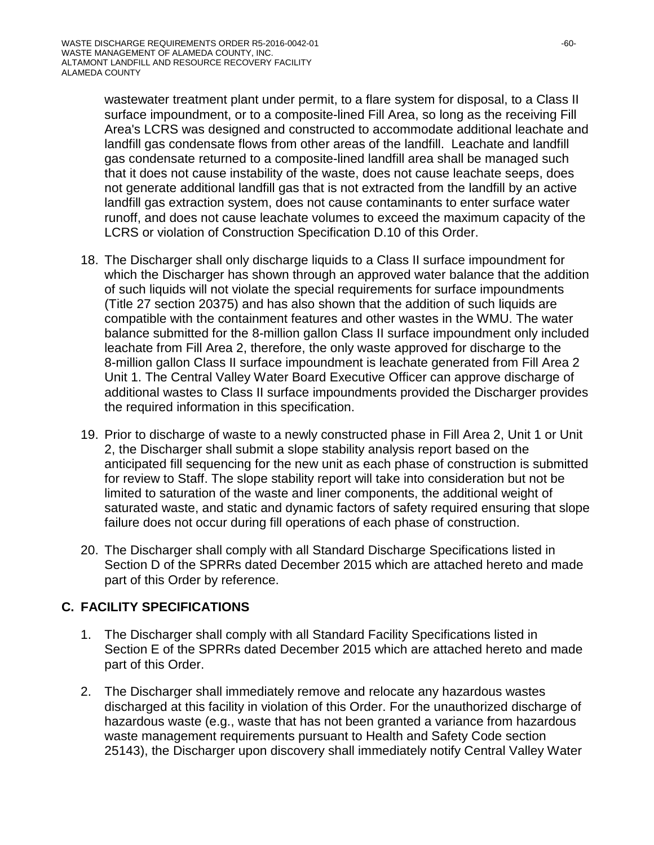wastewater treatment plant under permit, to a flare system for disposal, to a Class II surface impoundment, or to a composite-lined Fill Area, so long as the receiving Fill Area's LCRS was designed and constructed to accommodate additional leachate and landfill gas condensate flows from other areas of the landfill. Leachate and landfill gas condensate returned to a composite-lined landfill area shall be managed such that it does not cause instability of the waste, does not cause leachate seeps, does not generate additional landfill gas that is not extracted from the landfill by an active landfill gas extraction system, does not cause contaminants to enter surface water runoff, and does not cause leachate volumes to exceed the maximum capacity of the LCRS or violation of Construction Specification D.10 of this Order.

- 18. The Discharger shall only discharge liquids to a Class II surface impoundment for which the Discharger has shown through an approved water balance that the addition of such liquids will not violate the special requirements for surface impoundments (Title 27 section 20375) and has also shown that the addition of such liquids are compatible with the containment features and other wastes in the WMU. The water balance submitted for the 8-million gallon Class II surface impoundment only included leachate from Fill Area 2, therefore, the only waste approved for discharge to the 8-million gallon Class II surface impoundment is leachate generated from Fill Area 2 Unit 1. The Central Valley Water Board Executive Officer can approve discharge of additional wastes to Class II surface impoundments provided the Discharger provides the required information in this specification.
- 19. Prior to discharge of waste to a newly constructed phase in Fill Area 2, Unit 1 or Unit 2, the Discharger shall submit a slope stability analysis report based on the anticipated fill sequencing for the new unit as each phase of construction is submitted for review to Staff. The slope stability report will take into consideration but not be limited to saturation of the waste and liner components, the additional weight of saturated waste, and static and dynamic factors of safety required ensuring that slope failure does not occur during fill operations of each phase of construction.
- 20. The Discharger shall comply with all Standard Discharge Specifications listed in Section D of the SPRRs dated December 2015 which are attached hereto and made part of this Order by reference.

## **C. FACILITY SPECIFICATIONS**

- 1. The Discharger shall comply with all Standard Facility Specifications listed in Section E of the SPRRs dated December 2015 which are attached hereto and made part of this Order.
- 2. The Discharger shall immediately remove and relocate any hazardous wastes discharged at this facility in violation of this Order. For the unauthorized discharge of hazardous waste (e.g., waste that has not been granted a variance from hazardous waste management requirements pursuant to Health and Safety Code section 25143), the Discharger upon discovery shall immediately notify Central Valley Water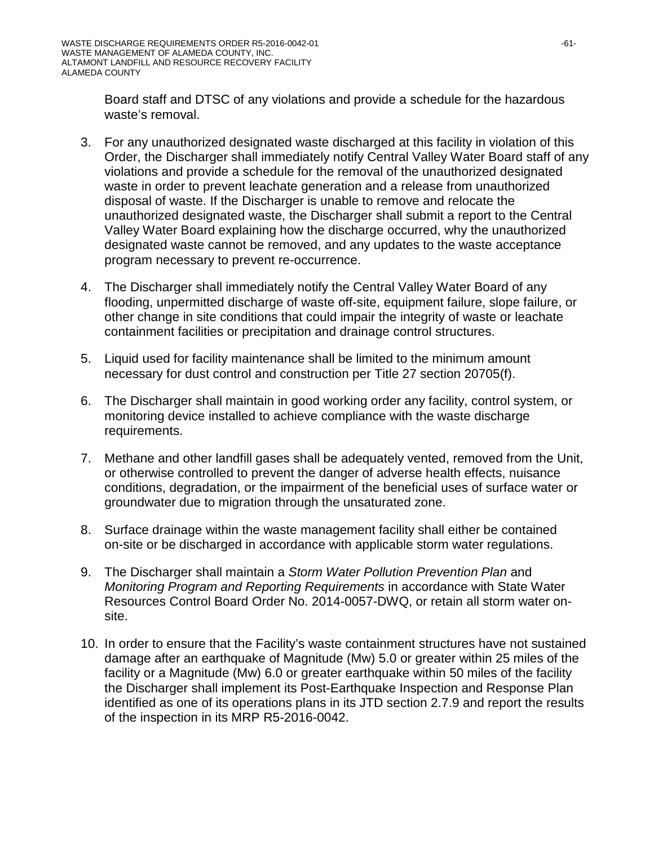Board staff and DTSC of any violations and provide a schedule for the hazardous waste's removal.

- 3. For any unauthorized designated waste discharged at this facility in violation of this Order, the Discharger shall immediately notify Central Valley Water Board staff of any violations and provide a schedule for the removal of the unauthorized designated waste in order to prevent leachate generation and a release from unauthorized disposal of waste. If the Discharger is unable to remove and relocate the unauthorized designated waste, the Discharger shall submit a report to the Central Valley Water Board explaining how the discharge occurred, why the unauthorized designated waste cannot be removed, and any updates to the waste acceptance program necessary to prevent re-occurrence.
- 4. The Discharger shall immediately notify the Central Valley Water Board of any flooding, unpermitted discharge of waste off-site, equipment failure, slope failure, or other change in site conditions that could impair the integrity of waste or leachate containment facilities or precipitation and drainage control structures.
- 5. Liquid used for facility maintenance shall be limited to the minimum amount necessary for dust control and construction per Title 27 section 20705(f).
- 6. The Discharger shall maintain in good working order any facility, control system, or monitoring device installed to achieve compliance with the waste discharge requirements.
- 7. Methane and other landfill gases shall be adequately vented, removed from the Unit, or otherwise controlled to prevent the danger of adverse health effects, nuisance conditions, degradation, or the impairment of the beneficial uses of surface water or groundwater due to migration through the unsaturated zone.
- 8. Surface drainage within the waste management facility shall either be contained on-site or be discharged in accordance with applicable storm water regulations.
- 9. The Discharger shall maintain a *Storm Water Pollution Prevention Plan* and *Monitoring Program and Reporting Requirements* in accordance with State Water Resources Control Board Order No. 2014-0057-DWQ, or retain all storm water onsite.
- 10. In order to ensure that the Facility's waste containment structures have not sustained damage after an earthquake of Magnitude (Mw) 5.0 or greater within 25 miles of the facility or a Magnitude (Mw) 6.0 or greater earthquake within 50 miles of the facility the Discharger shall implement its Post-Earthquake Inspection and Response Plan identified as one of its operations plans in its JTD section 2.7.9 and report the results of the inspection in its MRP R5-2016-0042.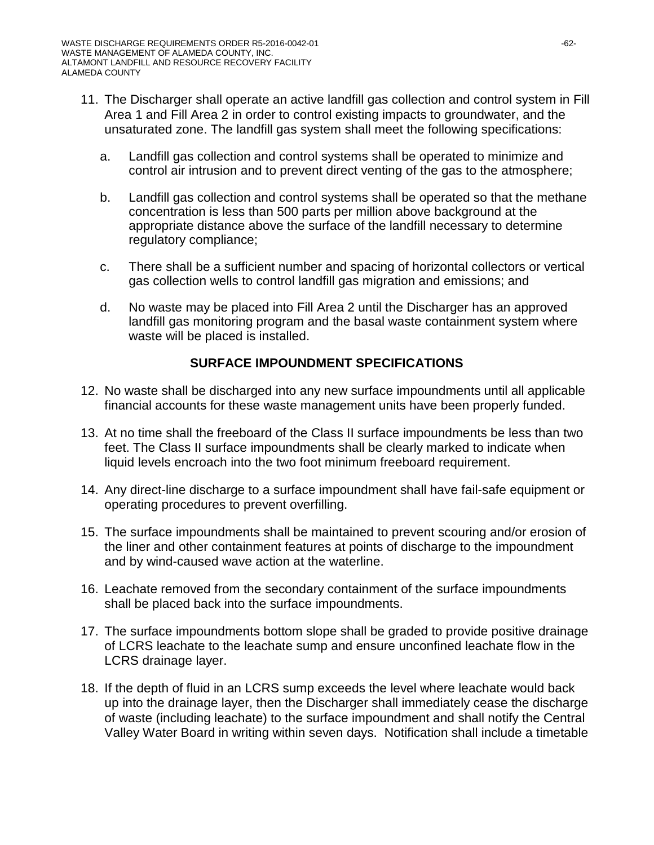- 11. The Discharger shall operate an active landfill gas collection and control system in Fill Area 1 and Fill Area 2 in order to control existing impacts to groundwater, and the unsaturated zone. The landfill gas system shall meet the following specifications:
	- a. Landfill gas collection and control systems shall be operated to minimize and control air intrusion and to prevent direct venting of the gas to the atmosphere;
	- b. Landfill gas collection and control systems shall be operated so that the methane concentration is less than 500 parts per million above background at the appropriate distance above the surface of the landfill necessary to determine regulatory compliance;
	- c. There shall be a sufficient number and spacing of horizontal collectors or vertical gas collection wells to control landfill gas migration and emissions; and
	- d. No waste may be placed into Fill Area 2 until the Discharger has an approved landfill gas monitoring program and the basal waste containment system where waste will be placed is installed.

## **SURFACE IMPOUNDMENT SPECIFICATIONS**

- 12. No waste shall be discharged into any new surface impoundments until all applicable financial accounts for these waste management units have been properly funded.
- 13. At no time shall the freeboard of the Class II surface impoundments be less than two feet. The Class II surface impoundments shall be clearly marked to indicate when liquid levels encroach into the two foot minimum freeboard requirement.
- 14. Any direct-line discharge to a surface impoundment shall have fail-safe equipment or operating procedures to prevent overfilling.
- 15. The surface impoundments shall be maintained to prevent scouring and/or erosion of the liner and other containment features at points of discharge to the impoundment and by wind-caused wave action at the waterline.
- 16. Leachate removed from the secondary containment of the surface impoundments shall be placed back into the surface impoundments.
- 17. The surface impoundments bottom slope shall be graded to provide positive drainage of LCRS leachate to the leachate sump and ensure unconfined leachate flow in the LCRS drainage layer.
- 18. If the depth of fluid in an LCRS sump exceeds the level where leachate would back up into the drainage layer, then the Discharger shall immediately cease the discharge of waste (including leachate) to the surface impoundment and shall notify the Central Valley Water Board in writing within seven days. Notification shall include a timetable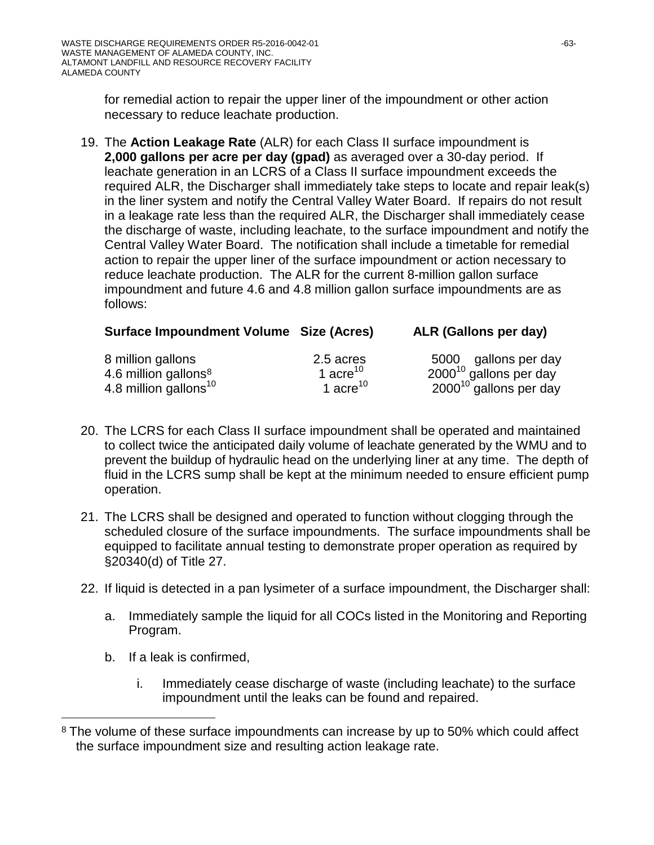for remedial action to repair the upper liner of the impoundment or other action necessary to reduce leachate production.

19. The **Action Leakage Rate** (ALR) for each Class II surface impoundment is **2,000 gallons per acre per day (gpad)** as averaged over a 30-day period. If leachate generation in an LCRS of a Class II surface impoundment exceeds the required ALR, the Discharger shall immediately take steps to locate and repair leak(s) in the liner system and notify the Central Valley Water Board. If repairs do not result in a leakage rate less than the required ALR, the Discharger shall immediately cease the discharge of waste, including leachate, to the surface impoundment and notify the Central Valley Water Board. The notification shall include a timetable for remedial action to repair the upper liner of the surface impoundment or action necessary to reduce leachate production. The ALR for the current 8-million gallon surface impoundment and future 4.6 and 4.8 million gallon surface impoundments are as follows:

| <b>Surface Impoundment Volume Size (Acres)</b> |                      | ALR (Gallons per day)       |
|------------------------------------------------|----------------------|-----------------------------|
| 8 million gallons                              | 2.5 acres            | 5000 gallons per day        |
| 4.6 million gallons $8$                        | 1 acre <sup>10</sup> | $2000^{10}$ gallons per day |
| 4.8 million gallons <sup>10</sup>              | 1 acre <sup>10</sup> | $2000^{10}$ gallons per day |

- 20. The LCRS for each Class II surface impoundment shall be operated and maintained to collect twice the anticipated daily volume of leachate generated by the WMU and to prevent the buildup of hydraulic head on the underlying liner at any time. The depth of fluid in the LCRS sump shall be kept at the minimum needed to ensure efficient pump operation.
- 21. The LCRS shall be designed and operated to function without clogging through the scheduled closure of the surface impoundments. The surface impoundments shall be equipped to facilitate annual testing to demonstrate proper operation as required by §20340(d) of Title 27.
- 22. If liquid is detected in a pan lysimeter of a surface impoundment, the Discharger shall:
	- a. Immediately sample the liquid for all COCs listed in the Monitoring and Reporting Program.
	- b. If a leak is confirmed,

 $\overline{a}$ 

i. Immediately cease discharge of waste (including leachate) to the surface impoundment until the leaks can be found and repaired.

<span id="page-62-0"></span><sup>&</sup>lt;sup>8</sup> The volume of these surface impoundments can increase by up to 50% which could affect the surface impoundment size and resulting action leakage rate.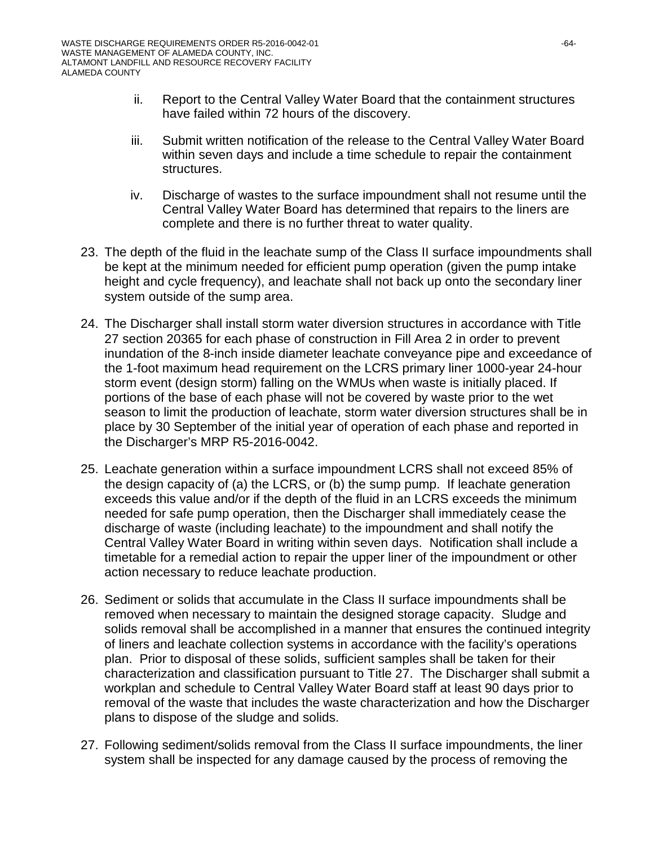- ii. Report to the Central Valley Water Board that the containment structures have failed within 72 hours of the discovery.
- iii. Submit written notification of the release to the Central Valley Water Board within seven days and include a time schedule to repair the containment structures.
- iv. Discharge of wastes to the surface impoundment shall not resume until the Central Valley Water Board has determined that repairs to the liners are complete and there is no further threat to water quality.
- 23. The depth of the fluid in the leachate sump of the Class II surface impoundments shall be kept at the minimum needed for efficient pump operation (given the pump intake height and cycle frequency), and leachate shall not back up onto the secondary liner system outside of the sump area.
- 24. The Discharger shall install storm water diversion structures in accordance with Title 27 section 20365 for each phase of construction in Fill Area 2 in order to prevent inundation of the 8-inch inside diameter leachate conveyance pipe and exceedance of the 1-foot maximum head requirement on the LCRS primary liner 1000-year 24-hour storm event (design storm) falling on the WMUs when waste is initially placed. If portions of the base of each phase will not be covered by waste prior to the wet season to limit the production of leachate, storm water diversion structures shall be in place by 30 September of the initial year of operation of each phase and reported in the Discharger's MRP R5-2016-0042.
- 25. Leachate generation within a surface impoundment LCRS shall not exceed 85% of the design capacity of (a) the LCRS, or (b) the sump pump. If leachate generation exceeds this value and/or if the depth of the fluid in an LCRS exceeds the minimum needed for safe pump operation, then the Discharger shall immediately cease the discharge of waste (including leachate) to the impoundment and shall notify the Central Valley Water Board in writing within seven days. Notification shall include a timetable for a remedial action to repair the upper liner of the impoundment or other action necessary to reduce leachate production.
- 26. Sediment or solids that accumulate in the Class II surface impoundments shall be removed when necessary to maintain the designed storage capacity. Sludge and solids removal shall be accomplished in a manner that ensures the continued integrity of liners and leachate collection systems in accordance with the facility's operations plan. Prior to disposal of these solids, sufficient samples shall be taken for their characterization and classification pursuant to Title 27. The Discharger shall submit a workplan and schedule to Central Valley Water Board staff at least 90 days prior to removal of the waste that includes the waste characterization and how the Discharger plans to dispose of the sludge and solids.
- 27. Following sediment/solids removal from the Class II surface impoundments, the liner system shall be inspected for any damage caused by the process of removing the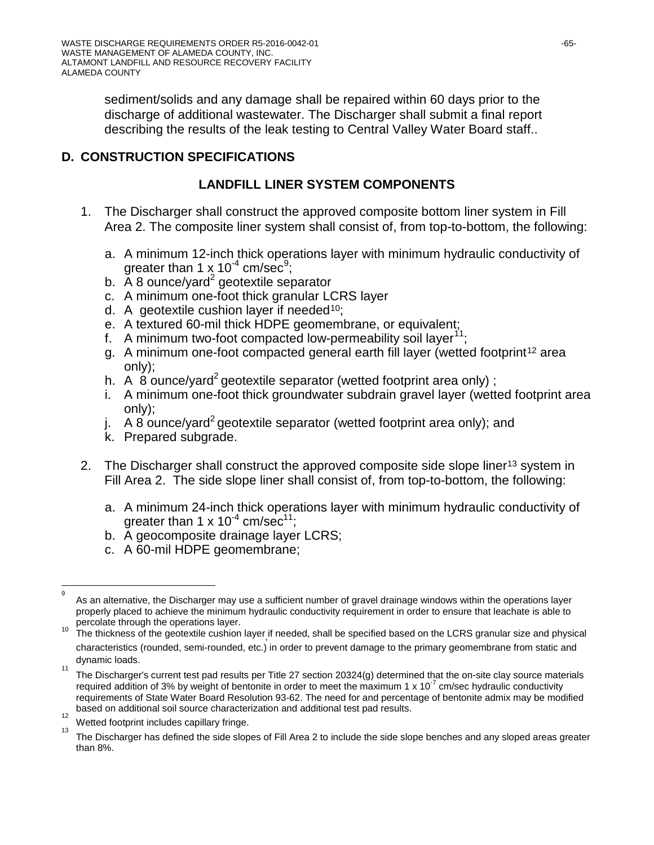sediment/solids and any damage shall be repaired within 60 days prior to the discharge of additional wastewater. The Discharger shall submit a final report describing the results of the leak testing to Central Valley Water Board staff..

## **D. CONSTRUCTION SPECIFICATIONS**

## **LANDFILL LINER SYSTEM COMPONENTS**

- 1. The Discharger shall construct the approved composite bottom liner system in Fill Area 2. The composite liner system shall consist of, from top-to-bottom, the following:
	- a. A minimum 12-inch thick operations layer with minimum hydraulic conductivity of greater than 1  $\times$  10<sup>-4</sup> cm/sec<sup>[9](#page-64-0)</sup>;
	- b.  $\overline{A}$  8 ounce/yard<sup>2</sup> geotextile separator
	- c. A minimum one-foot thick granular LCRS layer
	- d. A geotextile cushion layer if needed<sup>10</sup>;
	- e. A textured 60-mil thick HDPE geomembrane, or equivalent;
	- f. A minimum two-foot compacted low-permeability soil layer<sup>[11](#page-64-2)</sup>;
	- g. A minimum one-foot compacted general earth fill layer (wetted footprint<sup>[12](#page-64-3)</sup> area only);
	- h. A 8 ounce/yard<sup>2</sup> geotextile separator (wetted footprint area only);
	- i. A minimum one-foot thick groundwater subdrain gravel layer (wetted footprint area only);
	- j. A 8 ounce/yard<sup>2</sup> geotextile separator (wetted footprint area only); and
	- k. Prepared subgrade.
- 2. The Discharger shall construct the approved composite side slope liner<sup>[13](#page-64-4)</sup> system in Fill Area 2. The side slope liner shall consist of, from top-to-bottom, the following:
	- a. A minimum 24-inch thick operations layer with minimum hydraulic conductivity of greater than 1 x  $10^{-4}$  cm/sec<sup>11</sup>:
	- b. A geocomposite drainage layer LCRS;
	- c. A 60-mil HDPE geomembrane;

<span id="page-64-0"></span><sup>-&</sup>lt;br>9 q As an alternative, the Discharger may use a sufficient number of gravel drainage windows within the operations layer properly placed to achieve the minimum hydraulic conductivity requirement in order to ensure that leachate is able to<br>percolate through the operations layer.

<span id="page-64-1"></span>percolate through the operations layer.<br><sup>10</sup> The thickness of the geotextile cushion layer<sub>,</sub>if needed, shall be specified based on the LCRS granular size and physical characteristics (rounded, semi-rounded, etc.) in order to prevent damage to the primary geomembrane from static and dynamic loads.

<span id="page-64-2"></span><sup>11</sup> The Discharger's current test pad results per Title 27 section 20324(g) determined that the on-site clay source materials required addition of 3% by weight of bentonite in order to meet the maximum 1  $\times$  10<sup>-7</sup> cm/sec hydraulic conductivity requirements of State Water Board Resolution 93-62. The need for and percentage of bentonite admix may be modified  $b$  based on additional soil source characterization and additional test pad results.

<span id="page-64-4"></span><span id="page-64-3"></span> $\frac{1}{13}$  Wetted footprint includes capillary fringe.

The Discharger has defined the side slopes of Fill Area 2 to include the side slope benches and any sloped areas greater than 8%.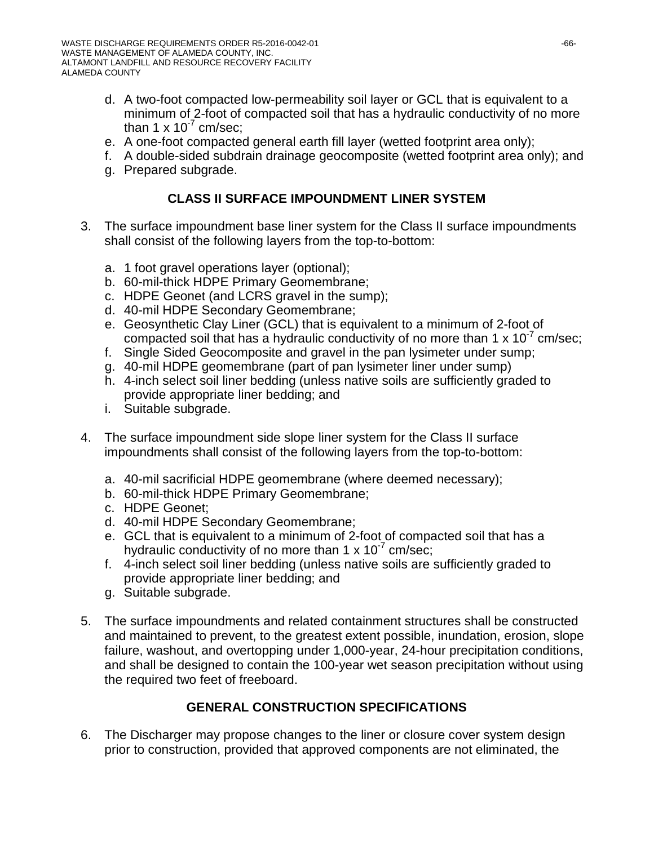- d. A two-foot compacted low-permeability soil layer or GCL that is equivalent to a minimum of 2-foot of compacted soil that has a hydraulic conductivity of no more than  $1 \times 10^{-7}$  cm/sec;
- e. A one-foot compacted general earth fill layer (wetted footprint area only);
- f. A double-sided subdrain drainage geocomposite (wetted footprint area only); and
- g. Prepared subgrade.

## **CLASS II SURFACE IMPOUNDMENT LINER SYSTEM**

- 3. The surface impoundment base liner system for the Class II surface impoundments shall consist of the following layers from the top-to-bottom:
	- a. 1 foot gravel operations layer (optional);
	- b. 60-mil-thick HDPE Primary Geomembrane;
	- c. HDPE Geonet (and LCRS gravel in the sump);
	- d. 40-mil HDPE Secondary Geomembrane;
	- e. Geosynthetic Clay Liner (GCL) that is equivalent to a minimum of 2-foot of compacted soil that has a hydraulic conductivity of no more than 1  $\times$  10<sup>- $\prime$ </sup> cm/sec;
	- f. Single Sided Geocomposite and gravel in the pan lysimeter under sump;
	- g. 40-mil HDPE geomembrane (part of pan lysimeter liner under sump)
	- h. 4-inch select soil liner bedding (unless native soils are sufficiently graded to provide appropriate liner bedding; and
	- i. Suitable subgrade.
- 4. The surface impoundment side slope liner system for the Class II surface impoundments shall consist of the following layers from the top-to-bottom:
	- a. 40-mil sacrificial HDPE geomembrane (where deemed necessary);
	- b. 60-mil-thick HDPE Primary Geomembrane;
	- c. HDPE Geonet;
	- d. 40-mil HDPE Secondary Geomembrane;
	- e. GCL that is equivalent to a minimum of 2-foot of compacted soil that has a hydraulic conductivity of no more than  $1 \times 10^{-7}$  cm/sec;
	- f. 4-inch select soil liner bedding (unless native soils are sufficiently graded to provide appropriate liner bedding; and
	- g. Suitable subgrade.
- 5. The surface impoundments and related containment structures shall be constructed and maintained to prevent, to the greatest extent possible, inundation, erosion, slope failure, washout, and overtopping under 1,000-year, 24-hour precipitation conditions, and shall be designed to contain the 100-year wet season precipitation without using the required two feet of freeboard.

## **GENERAL CONSTRUCTION SPECIFICATIONS**

6. The Discharger may propose changes to the liner or closure cover system design prior to construction, provided that approved components are not eliminated, the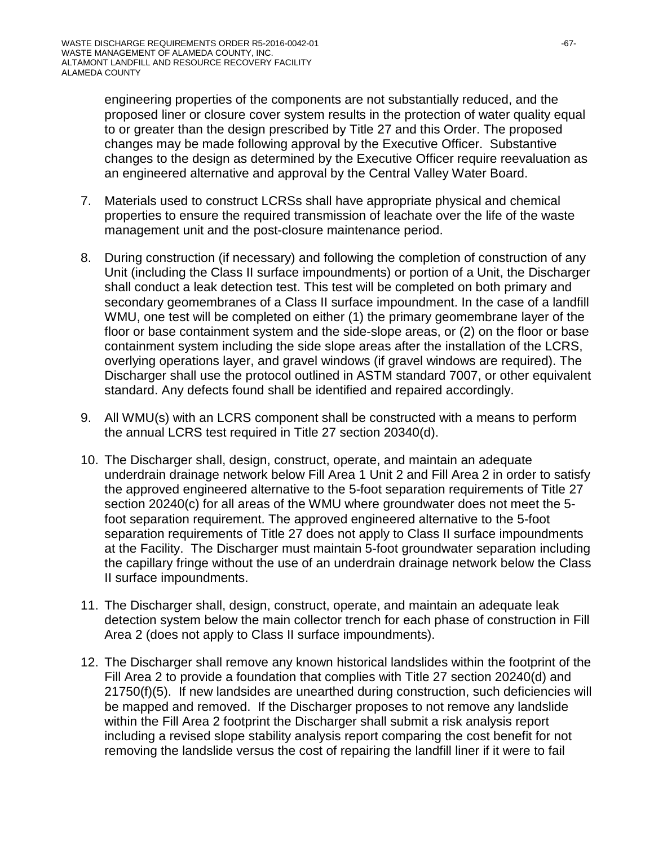engineering properties of the components are not substantially reduced, and the proposed liner or closure cover system results in the protection of water quality equal to or greater than the design prescribed by Title 27 and this Order. The proposed changes may be made following approval by the Executive Officer. Substantive changes to the design as determined by the Executive Officer require reevaluation as an engineered alternative and approval by the Central Valley Water Board.

- 7. Materials used to construct LCRSs shall have appropriate physical and chemical properties to ensure the required transmission of leachate over the life of the waste management unit and the post-closure maintenance period.
- 8. During construction (if necessary) and following the completion of construction of any Unit (including the Class II surface impoundments) or portion of a Unit, the Discharger shall conduct a leak detection test. This test will be completed on both primary and secondary geomembranes of a Class II surface impoundment. In the case of a landfill WMU, one test will be completed on either (1) the primary geomembrane layer of the floor or base containment system and the side-slope areas, or (2) on the floor or base containment system including the side slope areas after the installation of the LCRS, overlying operations layer, and gravel windows (if gravel windows are required). The Discharger shall use the protocol outlined in ASTM standard 7007, or other equivalent standard. Any defects found shall be identified and repaired accordingly.
- 9. All WMU(s) with an LCRS component shall be constructed with a means to perform the annual LCRS test required in Title 27 section 20340(d).
- 10. The Discharger shall, design, construct, operate, and maintain an adequate underdrain drainage network below Fill Area 1 Unit 2 and Fill Area 2 in order to satisfy the approved engineered alternative to the 5-foot separation requirements of Title 27 section 20240(c) for all areas of the WMU where groundwater does not meet the 5 foot separation requirement. The approved engineered alternative to the 5-foot separation requirements of Title 27 does not apply to Class II surface impoundments at the Facility. The Discharger must maintain 5-foot groundwater separation including the capillary fringe without the use of an underdrain drainage network below the Class II surface impoundments.
- 11. The Discharger shall, design, construct, operate, and maintain an adequate leak detection system below the main collector trench for each phase of construction in Fill Area 2 (does not apply to Class II surface impoundments).
- 12. The Discharger shall remove any known historical landslides within the footprint of the Fill Area 2 to provide a foundation that complies with Title 27 section 20240(d) and 21750(f)(5). If new landsides are unearthed during construction, such deficiencies will be mapped and removed. If the Discharger proposes to not remove any landslide within the Fill Area 2 footprint the Discharger shall submit a risk analysis report including a revised slope stability analysis report comparing the cost benefit for not removing the landslide versus the cost of repairing the landfill liner if it were to fail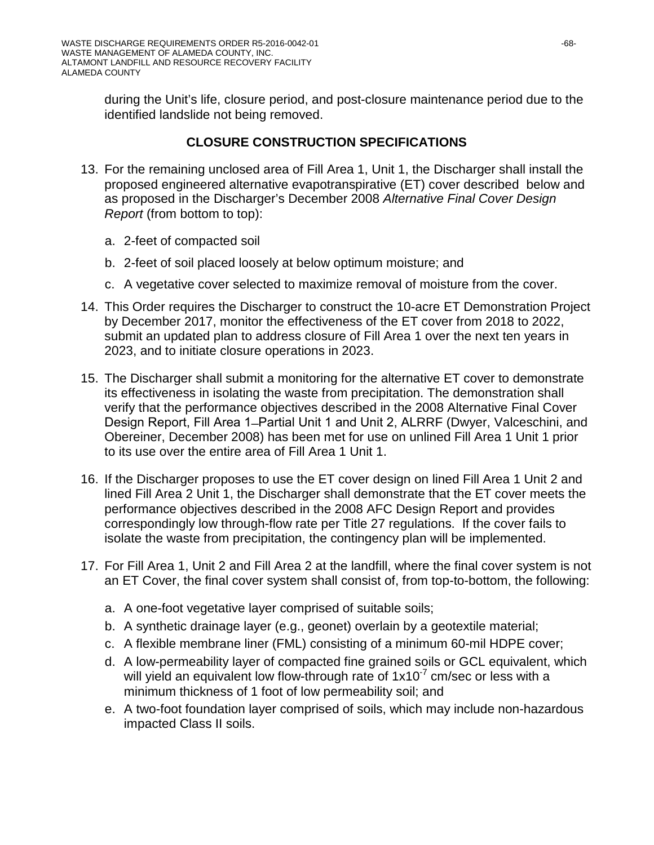during the Unit's life, closure period, and post-closure maintenance period due to the identified landslide not being removed.

## **CLOSURE CONSTRUCTION SPECIFICATIONS**

- 13. For the remaining unclosed area of Fill Area 1, Unit 1, the Discharger shall install the proposed engineered alternative evapotranspirative (ET) cover described below and as proposed in the Discharger's December 2008 *Alternative Final Cover Design Report* (from bottom to top):
	- a. 2-feet of compacted soil
	- b. 2-feet of soil placed loosely at below optimum moisture; and
	- c. A vegetative cover selected to maximize removal of moisture from the cover.
- 14. This Order requires the Discharger to construct the 10-acre ET Demonstration Project by December 2017, monitor the effectiveness of the ET cover from 2018 to 2022, submit an updated plan to address closure of Fill Area 1 over the next ten years in 2023, and to initiate closure operations in 2023.
- 15. The Discharger shall submit a monitoring for the alternative ET cover to demonstrate its effectiveness in isolating the waste from precipitation. The demonstration shall verify that the performance objectives described in the 2008 Alternative Final Cover Design Report, Fill Area 1–Partial Unit 1 and Unit 2, ALRRF (Dwyer, Valceschini, and Obereiner, December 2008) has been met for use on unlined Fill Area 1 Unit 1 prior to its use over the entire area of Fill Area 1 Unit 1.
- 16. If the Discharger proposes to use the ET cover design on lined Fill Area 1 Unit 2 and lined Fill Area 2 Unit 1, the Discharger shall demonstrate that the ET cover meets the performance objectives described in the 2008 AFC Design Report and provides correspondingly low through-flow rate per Title 27 regulations. If the cover fails to isolate the waste from precipitation, the contingency plan will be implemented.
- 17. For Fill Area 1, Unit 2 and Fill Area 2 at the landfill, where the final cover system is not an ET Cover, the final cover system shall consist of, from top-to-bottom, the following:
	- a. A one-foot vegetative layer comprised of suitable soils;
	- b. A synthetic drainage layer (e.g., geonet) overlain by a geotextile material;
	- c. A flexible membrane liner (FML) consisting of a minimum 60-mil HDPE cover;
	- d. A low-permeability layer of compacted fine grained soils or GCL equivalent, which will yield an equivalent low flow-through rate of  $1x10<sup>-7</sup>$  cm/sec or less with a minimum thickness of 1 foot of low permeability soil; and
	- e. A two-foot foundation layer comprised of soils, which may include non-hazardous impacted Class II soils.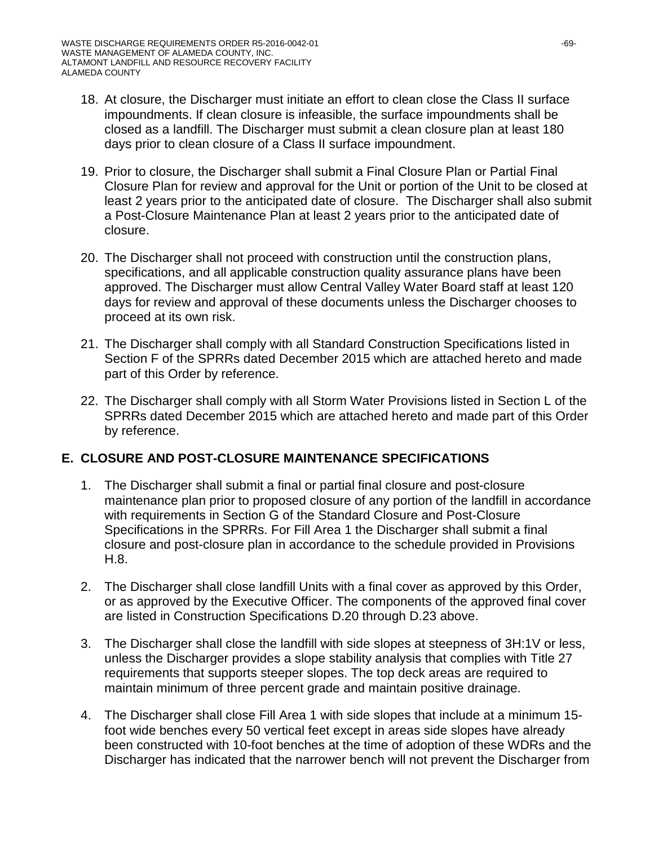- 18. At closure, the Discharger must initiate an effort to clean close the Class II surface impoundments. If clean closure is infeasible, the surface impoundments shall be closed as a landfill. The Discharger must submit a clean closure plan at least 180 days prior to clean closure of a Class II surface impoundment.
- 19. Prior to closure, the Discharger shall submit a Final Closure Plan or Partial Final Closure Plan for review and approval for the Unit or portion of the Unit to be closed at least 2 years prior to the anticipated date of closure. The Discharger shall also submit a Post-Closure Maintenance Plan at least 2 years prior to the anticipated date of closure.
- 20. The Discharger shall not proceed with construction until the construction plans, specifications, and all applicable construction quality assurance plans have been approved. The Discharger must allow Central Valley Water Board staff at least 120 days for review and approval of these documents unless the Discharger chooses to proceed at its own risk.
- 21. The Discharger shall comply with all Standard Construction Specifications listed in Section F of the SPRRs dated December 2015 which are attached hereto and made part of this Order by reference.
- 22. The Discharger shall comply with all Storm Water Provisions listed in Section L of the SPRRs dated December 2015 which are attached hereto and made part of this Order by reference.

## **E. CLOSURE AND POST-CLOSURE MAINTENANCE SPECIFICATIONS**

- 1. The Discharger shall submit a final or partial final closure and post-closure maintenance plan prior to proposed closure of any portion of the landfill in accordance with requirements in Section G of the Standard Closure and Post-Closure Specifications in the SPRRs. For Fill Area 1 the Discharger shall submit a final closure and post-closure plan in accordance to the schedule provided in Provisions H.8.
- 2. The Discharger shall close landfill Units with a final cover as approved by this Order, or as approved by the Executive Officer. The components of the approved final cover are listed in Construction Specifications D.20 through D.23 above.
- 3. The Discharger shall close the landfill with side slopes at steepness of 3H:1V or less, unless the Discharger provides a slope stability analysis that complies with Title 27 requirements that supports steeper slopes. The top deck areas are required to maintain minimum of three percent grade and maintain positive drainage.
- 4. The Discharger shall close Fill Area 1 with side slopes that include at a minimum 15 foot wide benches every 50 vertical feet except in areas side slopes have already been constructed with 10-foot benches at the time of adoption of these WDRs and the Discharger has indicated that the narrower bench will not prevent the Discharger from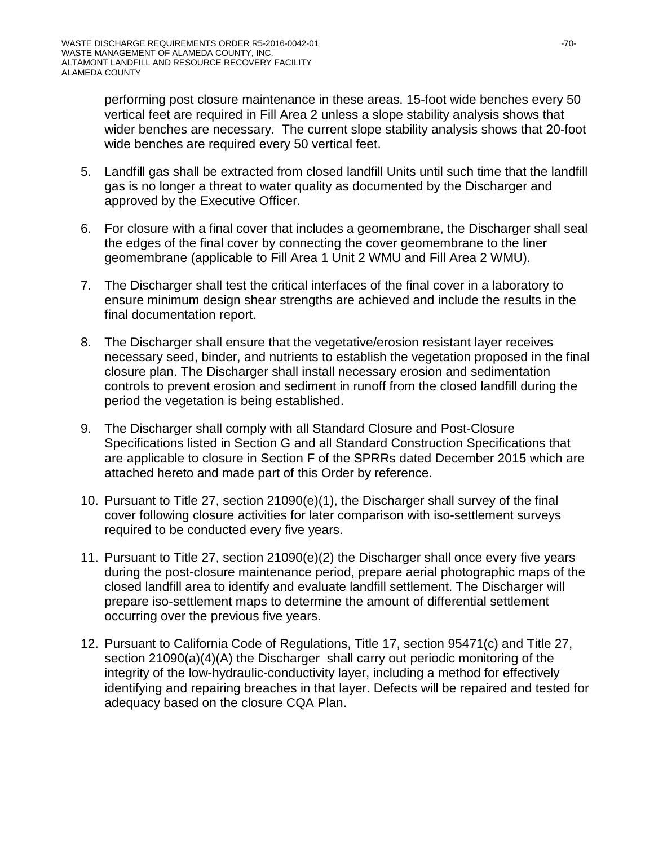performing post closure maintenance in these areas. 15-foot wide benches every 50 vertical feet are required in Fill Area 2 unless a slope stability analysis shows that wider benches are necessary. The current slope stability analysis shows that 20-foot wide benches are required every 50 vertical feet.

- 5. Landfill gas shall be extracted from closed landfill Units until such time that the landfill gas is no longer a threat to water quality as documented by the Discharger and approved by the Executive Officer.
- 6. For closure with a final cover that includes a geomembrane, the Discharger shall seal the edges of the final cover by connecting the cover geomembrane to the liner geomembrane (applicable to Fill Area 1 Unit 2 WMU and Fill Area 2 WMU).
- 7. The Discharger shall test the critical interfaces of the final cover in a laboratory to ensure minimum design shear strengths are achieved and include the results in the final documentation report.
- 8. The Discharger shall ensure that the vegetative/erosion resistant layer receives necessary seed, binder, and nutrients to establish the vegetation proposed in the final closure plan. The Discharger shall install necessary erosion and sedimentation controls to prevent erosion and sediment in runoff from the closed landfill during the period the vegetation is being established.
- 9. The Discharger shall comply with all Standard Closure and Post-Closure Specifications listed in Section G and all Standard Construction Specifications that are applicable to closure in Section F of the SPRRs dated December 2015 which are attached hereto and made part of this Order by reference.
- 10. Pursuant to Title 27, section 21090(e)(1), the Discharger shall survey of the final cover following closure activities for later comparison with iso-settlement surveys required to be conducted every five years.
- 11. Pursuant to Title 27, section 21090(e)(2) the Discharger shall once every five years during the post-closure maintenance period, prepare aerial photographic maps of the closed landfill area to identify and evaluate landfill settlement. The Discharger will prepare iso-settlement maps to determine the amount of differential settlement occurring over the previous five years.
- 12. Pursuant to California Code of Regulations, Title 17, section 95471(c) and Title 27, section 21090(a)(4)(A) the Discharger shall carry out periodic monitoring of the integrity of the low-hydraulic-conductivity layer, including a method for effectively identifying and repairing breaches in that layer. Defects will be repaired and tested for adequacy based on the closure CQA Plan.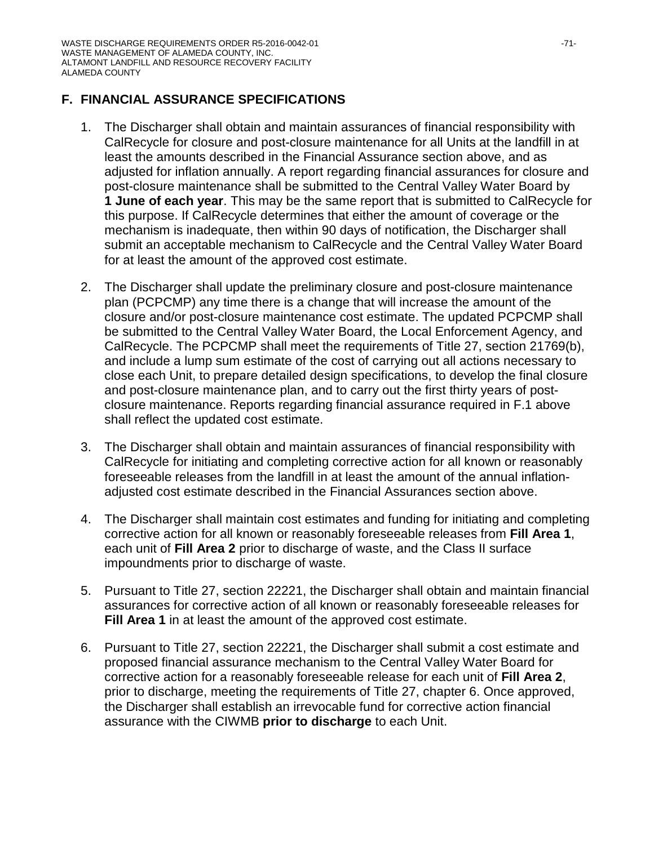### **F. FINANCIAL ASSURANCE SPECIFICATIONS**

- 1. The Discharger shall obtain and maintain assurances of financial responsibility with CalRecycle for closure and post-closure maintenance for all Units at the landfill in at least the amounts described in the Financial Assurance section above, and as adjusted for inflation annually. A report regarding financial assurances for closure and post-closure maintenance shall be submitted to the Central Valley Water Board by **1 June of each year**. This may be the same report that is submitted to CalRecycle for this purpose. If CalRecycle determines that either the amount of coverage or the mechanism is inadequate, then within 90 days of notification, the Discharger shall submit an acceptable mechanism to CalRecycle and the Central Valley Water Board for at least the amount of the approved cost estimate.
- 2. The Discharger shall update the preliminary closure and post-closure maintenance plan (PCPCMP) any time there is a change that will increase the amount of the closure and/or post-closure maintenance cost estimate. The updated PCPCMP shall be submitted to the Central Valley Water Board, the Local Enforcement Agency, and CalRecycle. The PCPCMP shall meet the requirements of Title 27, section 21769(b), and include a lump sum estimate of the cost of carrying out all actions necessary to close each Unit, to prepare detailed design specifications, to develop the final closure and post-closure maintenance plan, and to carry out the first thirty years of postclosure maintenance. Reports regarding financial assurance required in F.1 above shall reflect the updated cost estimate.
- 3. The Discharger shall obtain and maintain assurances of financial responsibility with CalRecycle for initiating and completing corrective action for all known or reasonably foreseeable releases from the landfill in at least the amount of the annual inflationadjusted cost estimate described in the Financial Assurances section above.
- 4. The Discharger shall maintain cost estimates and funding for initiating and completing corrective action for all known or reasonably foreseeable releases from **Fill Area 1**, each unit of **Fill Area 2** prior to discharge of waste, and the Class II surface impoundments prior to discharge of waste.
- 5. Pursuant to Title 27, section 22221, the Discharger shall obtain and maintain financial assurances for corrective action of all known or reasonably foreseeable releases for **Fill Area 1** in at least the amount of the approved cost estimate.
- 6. Pursuant to Title 27, section 22221, the Discharger shall submit a cost estimate and proposed financial assurance mechanism to the Central Valley Water Board for corrective action for a reasonably foreseeable release for each unit of **Fill Area 2**, prior to discharge, meeting the requirements of Title 27, chapter 6. Once approved, the Discharger shall establish an irrevocable fund for corrective action financial assurance with the CIWMB **prior to discharge** to each Unit.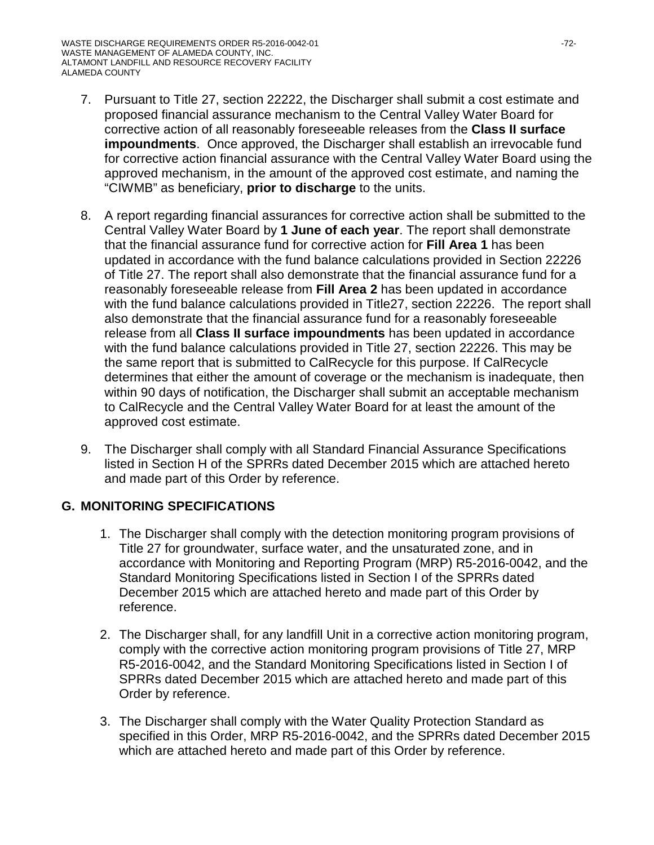- 7. Pursuant to Title 27, section 22222, the Discharger shall submit a cost estimate and proposed financial assurance mechanism to the Central Valley Water Board for corrective action of all reasonably foreseeable releases from the **Class II surface impoundments**. Once approved, the Discharger shall establish an irrevocable fund for corrective action financial assurance with the Central Valley Water Board using the approved mechanism, in the amount of the approved cost estimate, and naming the "CIWMB" as beneficiary, **prior to discharge** to the units.
- 8. A report regarding financial assurances for corrective action shall be submitted to the Central Valley Water Board by **1 June of each year**. The report shall demonstrate that the financial assurance fund for corrective action for **Fill Area 1** has been updated in accordance with the fund balance calculations provided in Section 22226 of Title 27. The report shall also demonstrate that the financial assurance fund for a reasonably foreseeable release from **Fill Area 2** has been updated in accordance with the fund balance calculations provided in Title27, section 22226. The report shall also demonstrate that the financial assurance fund for a reasonably foreseeable release from all **Class II surface impoundments** has been updated in accordance with the fund balance calculations provided in Title 27, section 22226. This may be the same report that is submitted to CalRecycle for this purpose. If CalRecycle determines that either the amount of coverage or the mechanism is inadequate, then within 90 days of notification, the Discharger shall submit an acceptable mechanism to CalRecycle and the Central Valley Water Board for at least the amount of the approved cost estimate.
- 9. The Discharger shall comply with all Standard Financial Assurance Specifications listed in Section H of the SPRRs dated December 2015 which are attached hereto and made part of this Order by reference.

## **G. MONITORING SPECIFICATIONS**

- 1. The Discharger shall comply with the detection monitoring program provisions of Title 27 for groundwater, surface water, and the unsaturated zone, and in accordance with Monitoring and Reporting Program (MRP) R5-2016-0042, and the Standard Monitoring Specifications listed in Section I of the SPRRs dated December 2015 which are attached hereto and made part of this Order by reference.
- 2. The Discharger shall, for any landfill Unit in a corrective action monitoring program, comply with the corrective action monitoring program provisions of Title 27, MRP R5-2016-0042, and the Standard Monitoring Specifications listed in Section I of SPRRs dated December 2015 which are attached hereto and made part of this Order by reference.
- 3. The Discharger shall comply with the Water Quality Protection Standard as specified in this Order, MRP R5-2016-0042, and the SPRRs dated December 2015 which are attached hereto and made part of this Order by reference.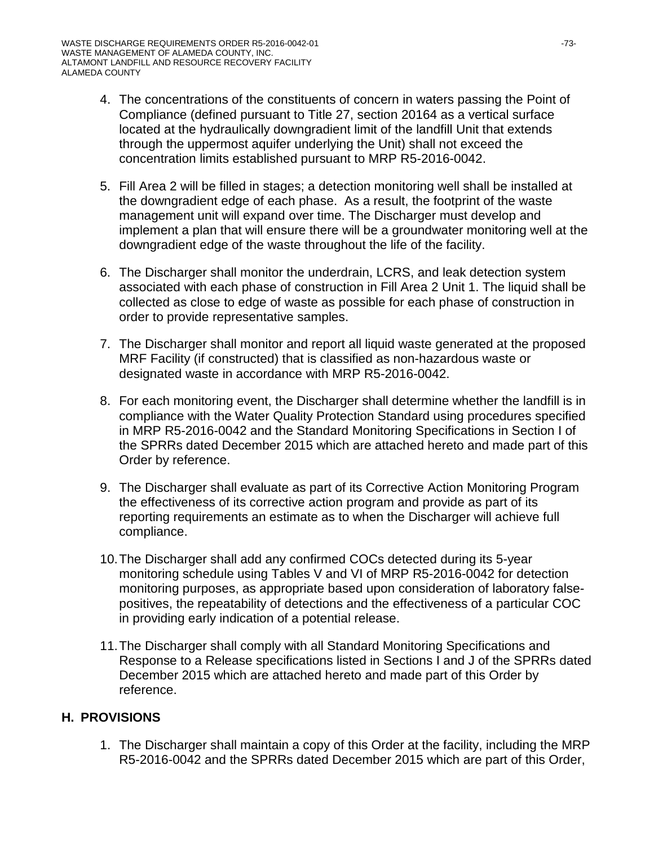- 4. The concentrations of the constituents of concern in waters passing the Point of Compliance (defined pursuant to Title 27, section 20164 as a vertical surface located at the hydraulically downgradient limit of the landfill Unit that extends through the uppermost aquifer underlying the Unit) shall not exceed the concentration limits established pursuant to MRP R5-2016-0042.
- 5. Fill Area 2 will be filled in stages; a detection monitoring well shall be installed at the downgradient edge of each phase. As a result, the footprint of the waste management unit will expand over time. The Discharger must develop and implement a plan that will ensure there will be a groundwater monitoring well at the downgradient edge of the waste throughout the life of the facility.
- 6. The Discharger shall monitor the underdrain, LCRS, and leak detection system associated with each phase of construction in Fill Area 2 Unit 1. The liquid shall be collected as close to edge of waste as possible for each phase of construction in order to provide representative samples.
- 7. The Discharger shall monitor and report all liquid waste generated at the proposed MRF Facility (if constructed) that is classified as non-hazardous waste or designated waste in accordance with MRP R5-2016-0042.
- 8. For each monitoring event, the Discharger shall determine whether the landfill is in compliance with the Water Quality Protection Standard using procedures specified in MRP R5-2016-0042 and the Standard Monitoring Specifications in Section I of the SPRRs dated December 2015 which are attached hereto and made part of this Order by reference.
- 9. The Discharger shall evaluate as part of its Corrective Action Monitoring Program the effectiveness of its corrective action program and provide as part of its reporting requirements an estimate as to when the Discharger will achieve full compliance.
- 10.The Discharger shall add any confirmed COCs detected during its 5-year monitoring schedule using Tables V and VI of MRP R5-2016-0042 for detection monitoring purposes, as appropriate based upon consideration of laboratory falsepositives, the repeatability of detections and the effectiveness of a particular COC in providing early indication of a potential release.
- 11.The Discharger shall comply with all Standard Monitoring Specifications and Response to a Release specifications listed in Sections I and J of the SPRRs dated December 2015 which are attached hereto and made part of this Order by reference.

## **H. PROVISIONS**

1. The Discharger shall maintain a copy of this Order at the facility, including the MRP R5-2016-0042 and the SPRRs dated December 2015 which are part of this Order,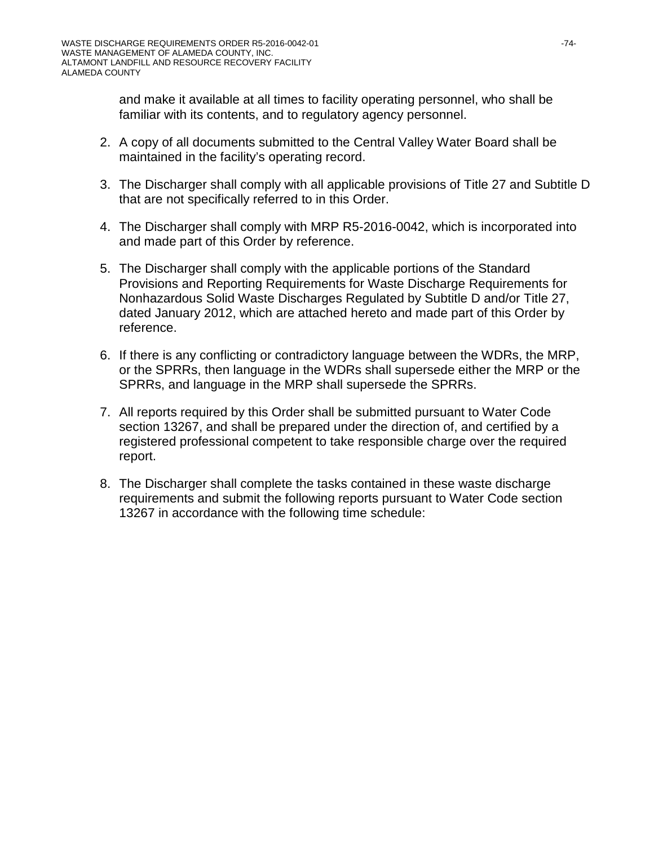and make it available at all times to facility operating personnel, who shall be familiar with its contents, and to regulatory agency personnel.

- 2. A copy of all documents submitted to the Central Valley Water Board shall be maintained in the facility's operating record.
- 3. The Discharger shall comply with all applicable provisions of Title 27 and Subtitle D that are not specifically referred to in this Order.
- 4. The Discharger shall comply with MRP R5-2016-0042, which is incorporated into and made part of this Order by reference.
- 5. The Discharger shall comply with the applicable portions of the Standard Provisions and Reporting Requirements for Waste Discharge Requirements for Nonhazardous Solid Waste Discharges Regulated by Subtitle D and/or Title 27, dated January 2012, which are attached hereto and made part of this Order by reference.
- 6. If there is any conflicting or contradictory language between the WDRs, the MRP, or the SPRRs, then language in the WDRs shall supersede either the MRP or the SPRRs, and language in the MRP shall supersede the SPRRs.
- 7. All reports required by this Order shall be submitted pursuant to Water Code section 13267, and shall be prepared under the direction of, and certified by a registered professional competent to take responsible charge over the required report.
- 8. The Discharger shall complete the tasks contained in these waste discharge requirements and submit the following reports pursuant to Water Code section 13267 in accordance with the following time schedule: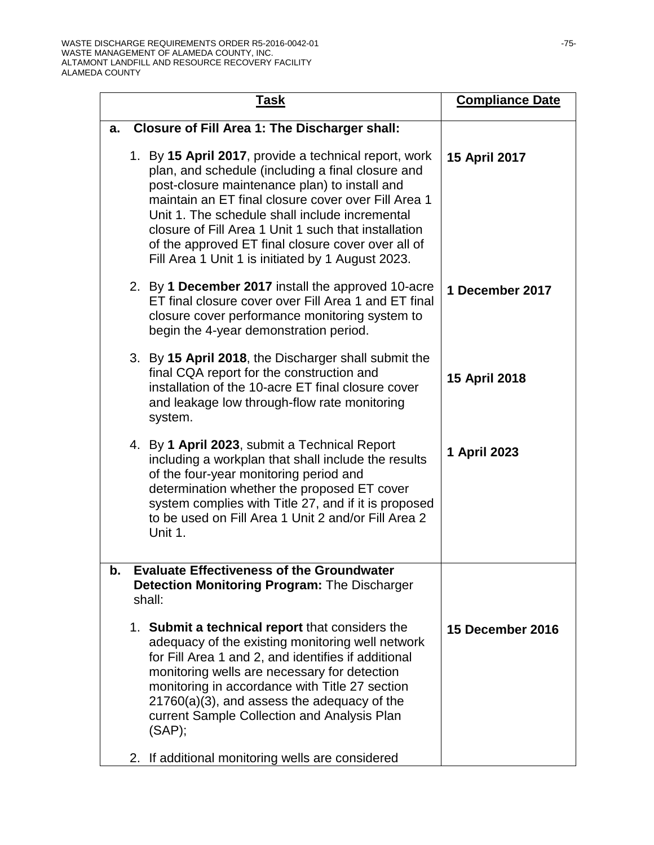| <u>Task</u>                                                                                                                                                                                                                                                                                                                                                                                                                             | <b>Compliance Date</b> |
|-----------------------------------------------------------------------------------------------------------------------------------------------------------------------------------------------------------------------------------------------------------------------------------------------------------------------------------------------------------------------------------------------------------------------------------------|------------------------|
| <b>Closure of Fill Area 1: The Discharger shall:</b><br>a.                                                                                                                                                                                                                                                                                                                                                                              |                        |
| 1. By 15 April 2017, provide a technical report, work<br>plan, and schedule (including a final closure and<br>post-closure maintenance plan) to install and<br>maintain an ET final closure cover over Fill Area 1<br>Unit 1. The schedule shall include incremental<br>closure of Fill Area 1 Unit 1 such that installation<br>of the approved ET final closure cover over all of<br>Fill Area 1 Unit 1 is initiated by 1 August 2023. | 15 April 2017          |
| 2. By 1 December 2017 install the approved 10-acre<br>ET final closure cover over Fill Area 1 and ET final<br>closure cover performance monitoring system to<br>begin the 4-year demonstration period.                                                                                                                                                                                                                                  | 1 December 2017        |
| 3. By 15 April 2018, the Discharger shall submit the<br>final CQA report for the construction and<br>installation of the 10-acre ET final closure cover<br>and leakage low through-flow rate monitoring<br>system.                                                                                                                                                                                                                      | 15 April 2018          |
| 4. By 1 April 2023, submit a Technical Report<br>including a workplan that shall include the results<br>of the four-year monitoring period and<br>determination whether the proposed ET cover<br>system complies with Title 27, and if it is proposed<br>to be used on Fill Area 1 Unit 2 and/or Fill Area 2<br>Unit 1.                                                                                                                 | 1 April 2023           |
| <b>Evaluate Effectiveness of the Groundwater</b><br>b.<br><b>Detection Monitoring Program: The Discharger</b><br>shall:                                                                                                                                                                                                                                                                                                                 |                        |
| 1. Submit a technical report that considers the<br>adequacy of the existing monitoring well network<br>for Fill Area 1 and 2, and identifies if additional<br>monitoring wells are necessary for detection<br>monitoring in accordance with Title 27 section<br>$21760(a)(3)$ , and assess the adequacy of the<br>current Sample Collection and Analysis Plan<br>(SAP);<br>2. If additional monitoring wells are considered             | 15 December 2016       |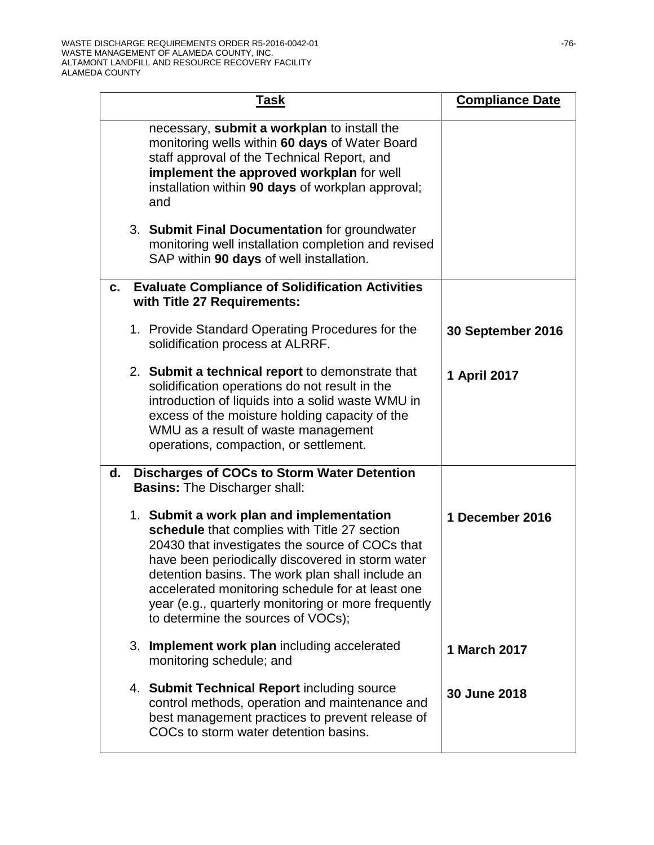| Task                                                                                                                                                                                                                                                                                                                                                                                                 | <b>Compliance Date</b> |
|------------------------------------------------------------------------------------------------------------------------------------------------------------------------------------------------------------------------------------------------------------------------------------------------------------------------------------------------------------------------------------------------------|------------------------|
| necessary, submit a workplan to install the<br>monitoring wells within 60 days of Water Board<br>staff approval of the Technical Report, and<br>implement the approved workplan for well<br>installation within 90 days of workplan approval;<br>and                                                                                                                                                 |                        |
| 3. Submit Final Documentation for groundwater<br>monitoring well installation completion and revised<br>SAP within 90 days of well installation.                                                                                                                                                                                                                                                     |                        |
| <b>Evaluate Compliance of Solidification Activities</b><br>C.<br>with Title 27 Requirements:                                                                                                                                                                                                                                                                                                         |                        |
| 1. Provide Standard Operating Procedures for the<br>solidification process at ALRRF.                                                                                                                                                                                                                                                                                                                 | 30 September 2016      |
| 2. Submit a technical report to demonstrate that<br>solidification operations do not result in the<br>introduction of liquids into a solid waste WMU in<br>excess of the moisture holding capacity of the<br>WMU as a result of waste management<br>operations, compaction, or settlement.                                                                                                           | 1 April 2017           |
| <b>Discharges of COCs to Storm Water Detention</b><br>d.<br><b>Basins: The Discharger shall:</b>                                                                                                                                                                                                                                                                                                     |                        |
| 1. Submit a work plan and implementation<br>schedule that complies with Title 27 section<br>20430 that investigates the source of COCs that<br>have been periodically discovered in storm water<br>detention basins. The work plan shall include an<br>accelerated monitoring schedule for at least one<br>year (e.g., quarterly monitoring or more frequently<br>to determine the sources of VOCs); | 1 December 2016        |
| 3. Implement work plan including accelerated<br>monitoring schedule; and                                                                                                                                                                                                                                                                                                                             | 1 March 2017           |
| 4. Submit Technical Report including source<br>control methods, operation and maintenance and<br>best management practices to prevent release of<br>COCs to storm water detention basins.                                                                                                                                                                                                            | 30 June 2018           |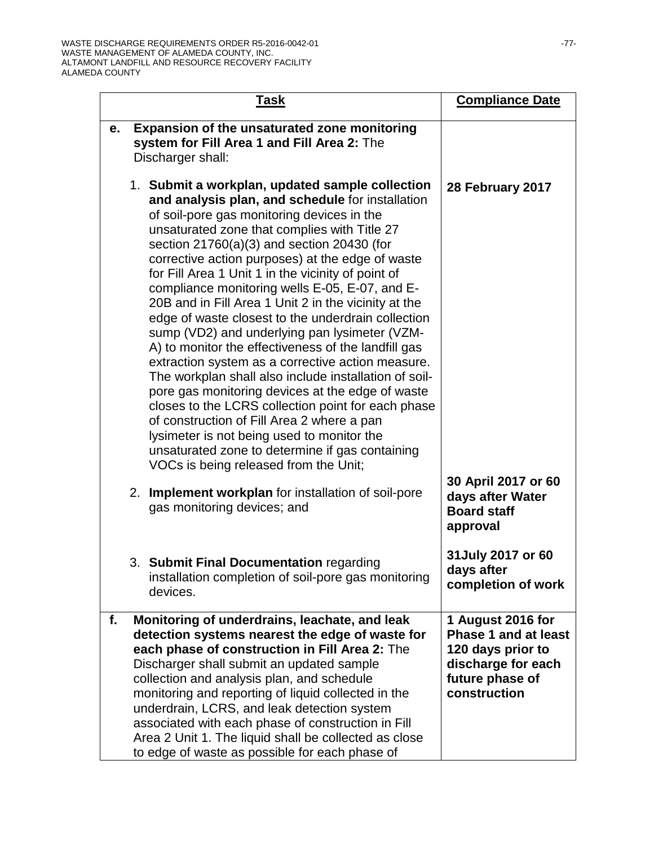| <b>Task</b>                                                                                                                                                                                                                                                                                                                                                                                                                                                                                                                                                                                                                                                                                                                                                                                                                                                                                                                                                                                                                                         | <b>Compliance Date</b>                                                                                                         |
|-----------------------------------------------------------------------------------------------------------------------------------------------------------------------------------------------------------------------------------------------------------------------------------------------------------------------------------------------------------------------------------------------------------------------------------------------------------------------------------------------------------------------------------------------------------------------------------------------------------------------------------------------------------------------------------------------------------------------------------------------------------------------------------------------------------------------------------------------------------------------------------------------------------------------------------------------------------------------------------------------------------------------------------------------------|--------------------------------------------------------------------------------------------------------------------------------|
| <b>Expansion of the unsaturated zone monitoring</b><br>e.<br>system for Fill Area 1 and Fill Area 2: The<br>Discharger shall:                                                                                                                                                                                                                                                                                                                                                                                                                                                                                                                                                                                                                                                                                                                                                                                                                                                                                                                       |                                                                                                                                |
| 1. Submit a workplan, updated sample collection<br>and analysis plan, and schedule for installation<br>of soil-pore gas monitoring devices in the<br>unsaturated zone that complies with Title 27<br>section $21760(a)(3)$ and section 20430 (for<br>corrective action purposes) at the edge of waste<br>for Fill Area 1 Unit 1 in the vicinity of point of<br>compliance monitoring wells E-05, E-07, and E-<br>20B and in Fill Area 1 Unit 2 in the vicinity at the<br>edge of waste closest to the underdrain collection<br>sump (VD2) and underlying pan lysimeter (VZM-<br>A) to monitor the effectiveness of the landfill gas<br>extraction system as a corrective action measure.<br>The workplan shall also include installation of soil-<br>pore gas monitoring devices at the edge of waste<br>closes to the LCRS collection point for each phase<br>of construction of Fill Area 2 where a pan<br>lysimeter is not being used to monitor the<br>unsaturated zone to determine if gas containing<br>VOCs is being released from the Unit; | 28 February 2017                                                                                                               |
| Implement workplan for installation of soil-pore<br>2.<br>gas monitoring devices; and                                                                                                                                                                                                                                                                                                                                                                                                                                                                                                                                                                                                                                                                                                                                                                                                                                                                                                                                                               | 30 April 2017 or 60<br>days after Water<br><b>Board staff</b><br>approval                                                      |
| 3. Submit Final Documentation regarding<br>installation completion of soil-pore gas monitoring<br>devices.                                                                                                                                                                                                                                                                                                                                                                                                                                                                                                                                                                                                                                                                                                                                                                                                                                                                                                                                          | 31 July 2017 or 60<br>days after<br>completion of work                                                                         |
| Monitoring of underdrains, leachate, and leak<br>f.<br>detection systems nearest the edge of waste for<br>each phase of construction in Fill Area 2: The<br>Discharger shall submit an updated sample<br>collection and analysis plan, and schedule<br>monitoring and reporting of liquid collected in the<br>underdrain, LCRS, and leak detection system<br>associated with each phase of construction in Fill<br>Area 2 Unit 1. The liquid shall be collected as close<br>to edge of waste as possible for each phase of                                                                                                                                                                                                                                                                                                                                                                                                                                                                                                                          | 1 August 2016 for<br><b>Phase 1 and at least</b><br>120 days prior to<br>discharge for each<br>future phase of<br>construction |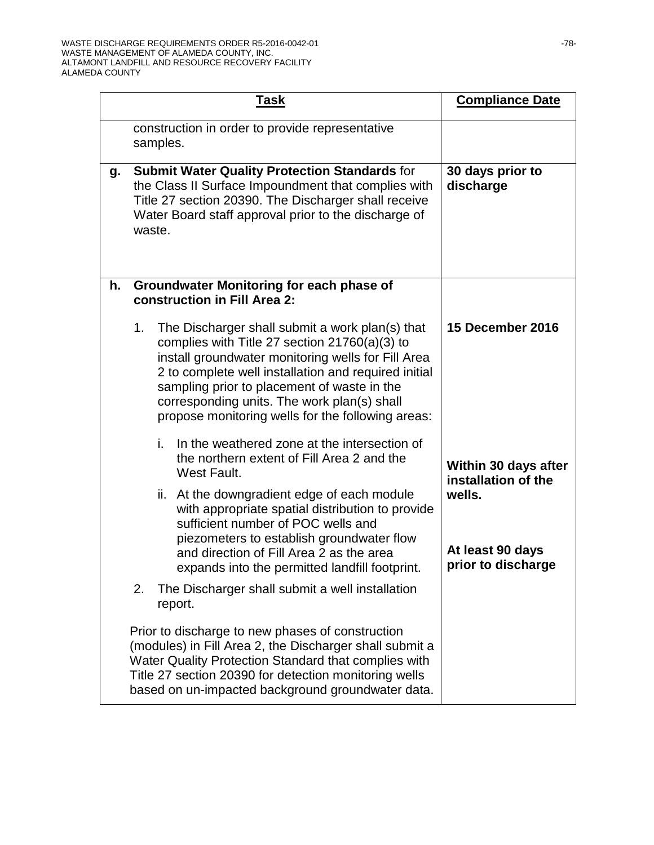|    | <u>Task</u> |                                                                                                                                                                                                                                                                                                                                                                     | <b>Compliance Date</b>                           |
|----|-------------|---------------------------------------------------------------------------------------------------------------------------------------------------------------------------------------------------------------------------------------------------------------------------------------------------------------------------------------------------------------------|--------------------------------------------------|
|    |             | construction in order to provide representative<br>samples.                                                                                                                                                                                                                                                                                                         |                                                  |
| g. | waste.      | <b>Submit Water Quality Protection Standards for</b><br>the Class II Surface Impoundment that complies with<br>Title 27 section 20390. The Discharger shall receive<br>Water Board staff approval prior to the discharge of                                                                                                                                         | 30 days prior to<br>discharge                    |
| h. |             | <b>Groundwater Monitoring for each phase of</b><br>construction in Fill Area 2:                                                                                                                                                                                                                                                                                     |                                                  |
|    | 1.          | The Discharger shall submit a work plan(s) that<br>complies with Title 27 section $21760(a)(3)$ to<br>install groundwater monitoring wells for Fill Area<br>2 to complete well installation and required initial<br>sampling prior to placement of waste in the<br>corresponding units. The work plan(s) shall<br>propose monitoring wells for the following areas: | 15 December 2016                                 |
|    |             | In the weathered zone at the intersection of<br>i.<br>the northern extent of Fill Area 2 and the<br>West Fault.                                                                                                                                                                                                                                                     | Within 30 days after<br>installation of the      |
|    |             | ii. At the downgradient edge of each module<br>with appropriate spatial distribution to provide<br>sufficient number of POC wells and<br>piezometers to establish groundwater flow<br>and direction of Fill Area 2 as the area<br>expands into the permitted landfill footprint.                                                                                    | wells.<br>At least 90 days<br>prior to discharge |
|    | 2.          | The Discharger shall submit a well installation<br>report.                                                                                                                                                                                                                                                                                                          |                                                  |
|    |             | Prior to discharge to new phases of construction<br>(modules) in Fill Area 2, the Discharger shall submit a<br>Water Quality Protection Standard that complies with<br>Title 27 section 20390 for detection monitoring wells<br>based on un-impacted background groundwater data.                                                                                   |                                                  |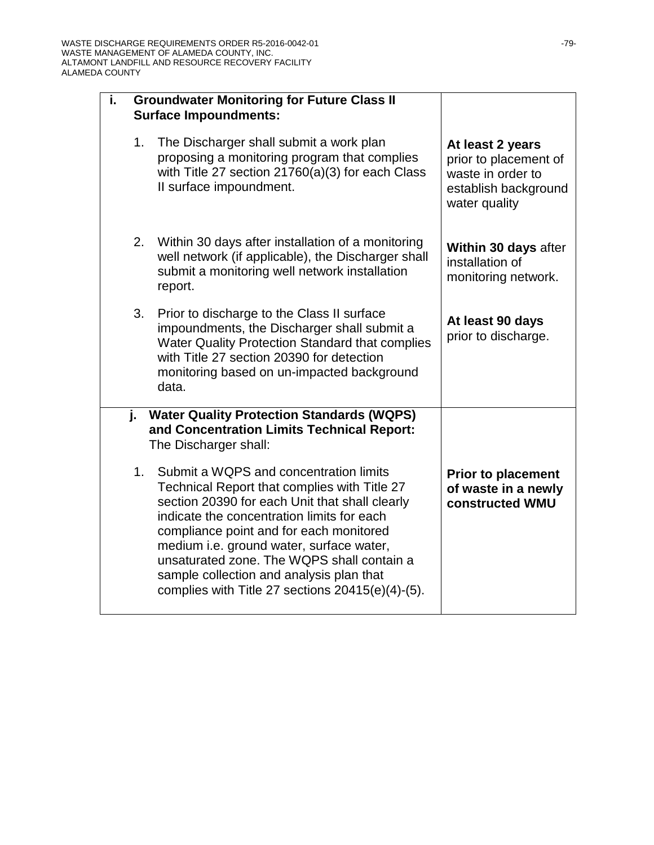| i. | <b>Groundwater Monitoring for Future Class II</b><br><b>Surface Impoundments:</b> |                                                                                                                                                                                                                                                                                                                                                                                                                                |                                                                                                         |  |
|----|-----------------------------------------------------------------------------------|--------------------------------------------------------------------------------------------------------------------------------------------------------------------------------------------------------------------------------------------------------------------------------------------------------------------------------------------------------------------------------------------------------------------------------|---------------------------------------------------------------------------------------------------------|--|
|    | 1.                                                                                | The Discharger shall submit a work plan<br>proposing a monitoring program that complies<br>with Title 27 section 21760(a)(3) for each Class<br>Il surface impoundment.                                                                                                                                                                                                                                                         | At least 2 years<br>prior to placement of<br>waste in order to<br>establish background<br>water quality |  |
|    | 2.                                                                                | Within 30 days after installation of a monitoring<br>well network (if applicable), the Discharger shall<br>submit a monitoring well network installation<br>report.                                                                                                                                                                                                                                                            | Within 30 days after<br>installation of<br>monitoring network.                                          |  |
|    | 3.                                                                                | Prior to discharge to the Class II surface<br>impoundments, the Discharger shall submit a<br><b>Water Quality Protection Standard that complies</b><br>with Title 27 section 20390 for detection<br>monitoring based on un-impacted background<br>data.                                                                                                                                                                        | At least 90 days<br>prior to discharge.                                                                 |  |
| j. |                                                                                   | <b>Water Quality Protection Standards (WQPS)</b><br>and Concentration Limits Technical Report:<br>The Discharger shall:                                                                                                                                                                                                                                                                                                        |                                                                                                         |  |
|    | 1.                                                                                | Submit a WQPS and concentration limits<br>Technical Report that complies with Title 27<br>section 20390 for each Unit that shall clearly<br>indicate the concentration limits for each<br>compliance point and for each monitored<br>medium i.e. ground water, surface water,<br>unsaturated zone. The WQPS shall contain a<br>sample collection and analysis plan that<br>complies with Title 27 sections $20415(e)(4)-(5)$ . | <b>Prior to placement</b><br>of waste in a newly<br>constructed WMU                                     |  |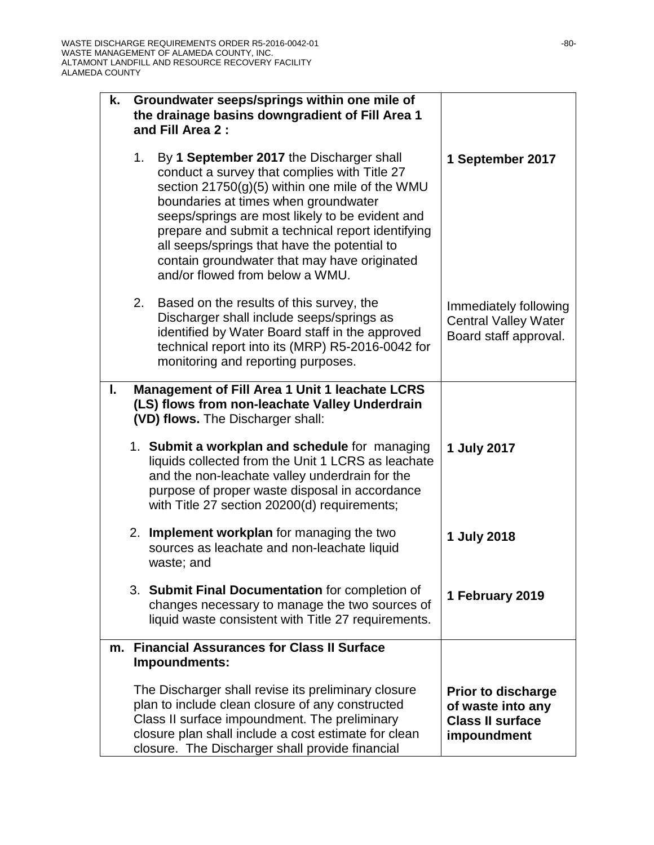| k. | Groundwater seeps/springs within one mile of<br>the drainage basins downgradient of Fill Area 1<br>and Fill Area 2: |                                                                                                                                                                                                                                                                                                                                                                                                                               |                                                                                          |
|----|---------------------------------------------------------------------------------------------------------------------|-------------------------------------------------------------------------------------------------------------------------------------------------------------------------------------------------------------------------------------------------------------------------------------------------------------------------------------------------------------------------------------------------------------------------------|------------------------------------------------------------------------------------------|
|    | 1.                                                                                                                  | By 1 September 2017 the Discharger shall<br>conduct a survey that complies with Title 27<br>section 21750(g)(5) within one mile of the WMU<br>boundaries at times when groundwater<br>seeps/springs are most likely to be evident and<br>prepare and submit a technical report identifying<br>all seeps/springs that have the potential to<br>contain groundwater that may have originated<br>and/or flowed from below a WMU. | 1 September 2017                                                                         |
|    | 2.                                                                                                                  | Based on the results of this survey, the<br>Discharger shall include seeps/springs as<br>identified by Water Board staff in the approved<br>technical report into its (MRP) R5-2016-0042 for<br>monitoring and reporting purposes.                                                                                                                                                                                            | Immediately following<br><b>Central Valley Water</b><br>Board staff approval.            |
| L. |                                                                                                                     | <b>Management of Fill Area 1 Unit 1 leachate LCRS</b><br>(LS) flows from non-leachate Valley Underdrain<br>(VD) flows. The Discharger shall:                                                                                                                                                                                                                                                                                  |                                                                                          |
|    |                                                                                                                     | 1. Submit a workplan and schedule for managing<br>liquids collected from the Unit 1 LCRS as leachate<br>and the non-leachate valley underdrain for the<br>purpose of proper waste disposal in accordance<br>with Title 27 section 20200(d) requirements;                                                                                                                                                                      | 1 July 2017                                                                              |
|    |                                                                                                                     | 2. Implement workplan for managing the two<br>sources as leachate and non-leachate liquid<br>waste; and                                                                                                                                                                                                                                                                                                                       | 1 July 2018                                                                              |
|    |                                                                                                                     | 3. Submit Final Documentation for completion of<br>changes necessary to manage the two sources of<br>liquid waste consistent with Title 27 requirements.                                                                                                                                                                                                                                                                      | 1 February 2019                                                                          |
|    |                                                                                                                     | m. Financial Assurances for Class II Surface<br>Impoundments:                                                                                                                                                                                                                                                                                                                                                                 |                                                                                          |
|    |                                                                                                                     | The Discharger shall revise its preliminary closure<br>plan to include clean closure of any constructed<br>Class II surface impoundment. The preliminary<br>closure plan shall include a cost estimate for clean<br>closure. The Discharger shall provide financial                                                                                                                                                           | <b>Prior to discharge</b><br>of waste into any<br><b>Class II surface</b><br>impoundment |